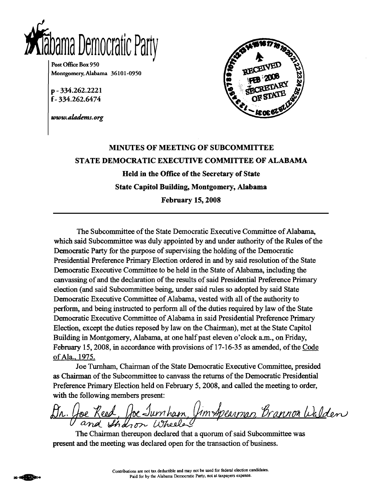

Post Office Box 950 Montgomery, Alabama 36101-0950

p-334.262.2221 f-334.262.6474

www.aladems.org



# **MINUTES OF MEETING OF SUBCOMMITTEE** STATE DEMOCRATIC EXECUTIVE COMMITTEE OF ALABAMA Held in the Office of the Secretary of State **State Capitol Building, Montgomery, Alabama February 15, 2008**

The Subcommittee of the State Democratic Executive Committee of Alabama. which said Subcommittee was duly appointed by and under authority of the Rules of the Democratic Party for the purpose of supervising the holding of the Democratic Presidential Preference Primary Election ordered in and by said resolution of the State Democratic Executive Committee to be held in the State of Alabama, including the canvassing of and the declaration of the results of said Presidential Preference Primary election (and said Subcommittee being, under said rules so adopted by said State Democratic Executive Committee of Alabama, vested with all of the authority to perform, and being instructed to perform all of the duties required by law of the State Democratic Executive Committee of Alabama in said Presidential Preference Primary Election, except the duties reposed by law on the Chairman), met at the State Capitol Building in Montgomery, Alabama, at one half past eleven o'clock a.m., on Friday, February 15, 2008, in accordance with provisions of 17-16-35 as amended, of the Code of Ala., 1975.

Joe Turnham, Chairman of the State Democratic Executive Committee, presided as Chairman of the Subcommittee to canvass the returns of the Democratic Presidential Preference Primary Election held on February 5, 2008, and called the meeting to order, with the following members present:

<u>oe Reed, Joe Jumham, Jim Apearman, Brannon Walden</u>

The Chairman thereupon declared that a quorum of said Subcommittee was present and the meeting was declared open for the transaction of business.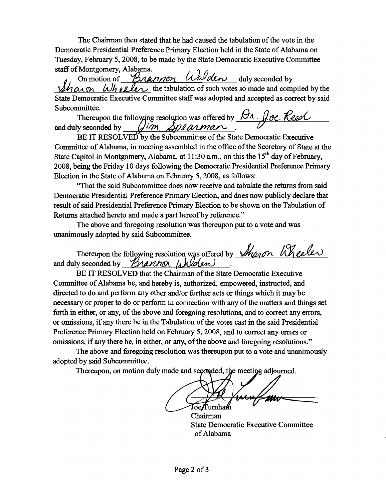The Chairman then stated that he had caused the tabulation of the vote in the Democratic Presidential Preference Primary Election held in the State of Alabama on Tuesday, February 5, 2008, to be made by the State Democratic Executive Committee staff of Montgomery, Alabama.

On motion of Brannon Walden duly seconded by  $h\alpha$  on  $\omega$  b  $\alpha$  le $\alpha$  the tabulation of such votes so made and compiled by the State Democratic Executive Committee staff was adopted and accepted as correct by said Subcommittee.

Thereupon the following resolution was offered by  $\beta\Lambda$ . Joe Reed Dim Spearman. and duly seconded by

BE IT RESOLVED by the Subcommittee of the State Democratic Executive Committee of Alabama, in meeting assembled in the office of the Secretary of State at the State Capitol in Montgomery, Alabama, at 11:30 a.m., on this the  $15<sup>th</sup>$  day of February, 2008, being the Friday 10 days following the Democratic Presidential Preference Primary Election in the State of Alabama on February 5, 2008, as follows:

"That the said Subcommittee does now receive and tabulate the returns from said Democratic Presidential Preference Primary Election, and does now publicly declare that result of said Presidential Preference Primary Election to be shown on the Tabulation of Returns attached hereto and made a part hereof by reference."

The above and foregoing resolution was thereupon put to a vote and was unanimously adopted by said Subcommittee.

Thereupon the following resolution was offered by *Sharon* Wheeler and duly seconded by *Brannon Walden* 

BE IT RESOLVED that the Chairman of the State Democratic Executive Committee of Alabama be, and hereby is, authorized, empowered, instructed, and directed to do and perform any other and/or further acts or things which it may be necessary or proper to do or perform in connection with any of the matters and things set forth in either, or any, of the above and foregoing resolutions, and to correct any errors, or omissions, if any there be in the Tabulation of the votes cast in the said Presidential Preference Primary Election held on February 5, 2008, and to correct any errors or omissions, if any there be, in either, or any, of the above and foregoing resolutions."

The above and foregoing resolution was thereupon put to a vote and unanimously adopted by said Subcommittee.

Thereupon, on motion duly made and seconded, the meeting adjourned.

oe/Turnha Chairman

**State Democratic Executive Committee** of Alabama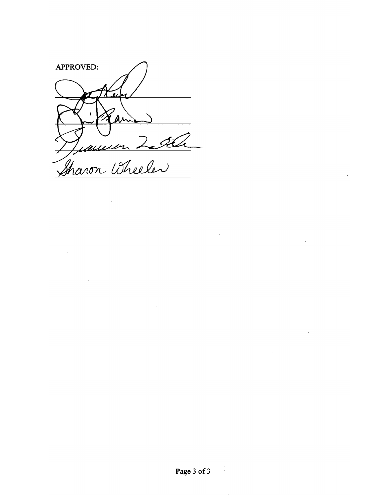**APPROVED:** Juannen 2006

 $\sim$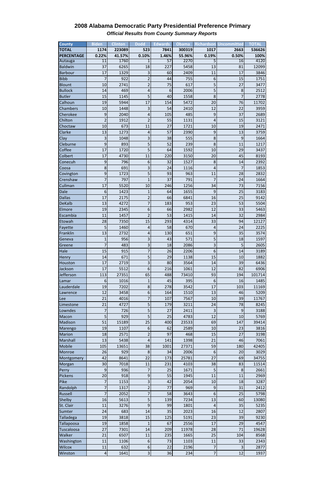| <b>County</b>     | <b>Biden</b>    | <b>Clinton</b> | <b>Dodd</b>             | <b>Edwards</b>  | <b>Obama</b> |                 | <b>Richardson Uncommitted</b> | TOTAI  |
|-------------------|-----------------|----------------|-------------------------|-----------------|--------------|-----------------|-------------------------------|--------|
| <b>TOTAL</b>      | 1174            | 223089         | 523                     | 7841            | 300319       | 1017            | 2663                          | 536626 |
| <b>PERCENTAGE</b> | 0.22%           | 41.57%         | 0.10%                   | 1.46%           | 55.96%       | 0.19%           | 0.50%                         | 100%   |
| Autauga           | $\overline{11}$ | 1760           |                         | $\overline{57}$ | 2270         |                 | 16                            | 4120   |
| <b>Baldwin</b>    | 37              | 6265           | 18                      | 227             | 5458         | 13              | 81                            | 12099  |
| <b>Barbour</b>    | 17              | 1329           | 3                       | 60              | 2409         | 11              | 17                            | 3846   |
| <b>Bibb</b>       | 7               | 922            | $\overline{2}$          | 44              | 755          | $6\phantom{1}6$ | 15                            | 1751   |
| <b>Blount</b>     | 10              | 2741           | $\overline{2}$          | 75              | 617          | 5               | 27                            | 3477   |
| <b>Bullock</b>    | 14              | 469            | $\overline{\mathbf{r}}$ | 6               | 2006         | 5               | $\,8\,$                       | 2512   |
| <b>Butler</b>     | 15              | 1145           | 5                       | 40              | 1558         | 8               | $\overline{7}$                | 2778   |
| Calhoun           | 19              | 5944           | 17                      | 154             | 5472         | 20              | 76                            | 11702  |
| Chambers          | 10              | 1448           | 3                       | 54              | 2410         | 12              | 22                            | 3959   |
| Cherokee          | 9               | 2040           | 4                       | 105             | 485          | 9               | 37                            | 2689   |
| Chilton           | $\overline{2}$  | 1912           | $\overline{2}$          | 55              | 1131         | 4               | 15                            | 3121   |
| Choctaw           | 10              | 673            | 11                      | 27              | 1721         | 10              | 19                            | 2471   |
| Clarke            | 13              | 1273           | $\overline{a}$          | 57              | 2390         | 9               | 13                            | 3759   |
| Clay              | 3               | 1048           | $\overline{\mathbf{3}}$ | 38              | 555          | 8               | 9                             | 1664   |
| Cleburne          | 9               | 893            | 5                       | 52              | 239          | 8               | 11                            | 1217   |
| Coffee            | 17              | 1720           | 5                       | 64              | 1592         | 10              | 29                            | 3437   |
| Colbert           | 17              | 4730           | 11                      | 220             | 3150         | 20              | 45                            | 8193   |
| Conecuh           | 9               | 796            | 6                       | 32              | 1527         | 8               | 14                            | 2392   |
| Coosa             | 8               | 691            | 3                       | 24              | 1116         | 4               | $\overline{7}$                | 1853   |
| Covington         | 9               | 1723           | $\overline{5}$          | 93              | 963          | 11              | 28                            | 2832   |
| Crenshaw          | 7               | 797            | $\overline{1}$          | 37              | 791          | 7               | 24                            | 1664   |
| Cullman           | 17              | 5520           | 10                      | 246             | 1256         | 34              | 73                            | 7156   |
| Dale              | 6               | 1423           | $\mathbf{1}$            | 64              | 1655         | 9               | 25                            | 3183   |
| <b>Dallas</b>     | 17              | 2175           | $\overline{2}$          | 66              | 6841         | 16              | 25                            | 9142   |
| <b>DeKalb</b>     | 13              | 4272           | $\overline{7}$          | 183             | 953          | 23              | 53                            | 5504   |
| Elmore            | 19              | 2345           | 6                       | 66              | 2982         | 12              | 33                            | 5463   |
| Escambia          | 11              | 1457           | $\overline{2}$          | 53              | 1415         | 14              | 32                            | 2984   |
| Etowah            | 28              | 7350           | 15                      | 293             | 4314         | २२।             | 94                            | 12127  |
| Fayette           | 5               | 1460           | $\overline{\mathbf{r}}$ | 58              | 670          | --<br>4         | 24                            | 2225   |
| Franklin          | 13              | 2732           | $\sqrt{4}$              | 130             | 651          | $9$             | 35                            | 3574   |
| Geneva            | 1               | 956            | 3                       | 43              | 571          | 5               | 18                            | 1597   |
| Greene            | 7               | 483            | $\overline{\mathbf{3}}$ | 18              | 2086         | 3               | 5                             | 2605   |
| Hale              | 15              | 915            | $\overline{7}$          | 26              | 2206         | 6               | 14                            | 3189   |
| Henry             | 14              | 671            | 5                       | 29              | 1138         | 15              | 10                            | 1882   |
| Houston           | 17              | 2719           | 3                       | 80              | 3564         | 14              | 39                            | 6436   |
| Jackson           | 17              | 5512           | 6                       | 216             | 1061         | 12              | 82                            | 6906   |
| <b>Jefferson</b>  | 113             | 27351          | 65                      | 488             | 73410        | 93              | 194                           | 101714 |
| Lamar             | 6               | 1016           | $\mathbf{1}$            | 45              | 395          | 6               | 16                            | 1485   |
| Lauderdale        | 19              | 7202           | $\bf 8$                 | 278             | 3542         | 17              | 103                           | 11169  |
| Lawrence          | 12              | 3458           | 6                       | 164             | 1510         | 13              | 46                            | 5209   |
| Lee               | 21              | 4016           | $\overline{7}$          | 107             | 7567         | 10              | 39                            | 11767  |
| Limestone         | 21              | 4727           | 5                       | 179             | 3211         | 24              | 78                            | 8245   |
| Lowndes           | 7               | 726            | 5                       | 27              | 2411         | 3               | 9                             | 3188   |
| Macon             | 5               | 929            | 5                       | 25              | 4783         | 12              | 10                            | 5769   |
| Madison           | 51              | 15189          | 25                      | 400             | 23533        | 69              | 147                           | 39414  |
|                   | 19              | 1107           | 6                       | 62              | 2589         | 10              | 23                            | 3816   |
| Marengo           |                 |                |                         | 97              |              | 15              | 27                            |        |
| <b>Marion</b>     | 18              | 2571           | $\mathbf 2$             |                 | 468          |                 |                               | 3198   |
| Marshall          | 13              | 5438           | 4                       | 141             | 1398         | 21              | 46                            | 7061   |
| Mobile            | 105             | 13651          | 38                      | 1001            | 27371        | 59              | 180                           | 42405  |
| Monroe            | 26              | 929            | $\,8\,$                 | 34              | 2006         | 6               | 20                            | 3029   |
| Montgomery        | 42              | 8641           | 22                      | 173             | 25781        | 27              | 69                            | 34755  |
| Morgan            | 30 <sup>°</sup> | 7018           | $11\,$                  | 231             | 4103         | 38              | 83                            | 11514  |

| Perry          | $\overline{9}$  | 936  |                          | 25  | 1671  | 5  | 8   | 2661  |
|----------------|-----------------|------|--------------------------|-----|-------|----|-----|-------|
| <b>Pickens</b> | 20 <sup>1</sup> | 918  | 9                        | 55  | 1945  | 11 | 11  | 2969  |
| Pike           |                 | 1153 | 3                        | 42  | 2054  | 10 | 18  | 3287  |
| Randolph       |                 | 1317 | $\overline{\phantom{a}}$ | 77  | 969   | 9  | 31  | 2412  |
| Russell        |                 | 2052 |                          | 58  | 3643  | 6  | 25  | 5798  |
| Shelby         | 16              | 5613 | 5                        | 139 | 7234  | 13 | 60  | 13080 |
| St. Clair      | 11              | 3276 | 9                        | 99  | 1801  | 4  | 35  | 5235  |
| Sumter         | 24              | 683  | 14                       | 35  | 2023  | 16 | 12  | 2807  |
| Talladega      | 19              | 3818 | 15                       | 125 | 5191  | 23 | 39  | 9230  |
| Tallapoosa     | 19              | 1858 | 1                        | 67  | 2556  | 17 | 29  | 4547  |
| Tuscaloosa     | 27              | 7301 | 14                       | 209 | 11978 | 28 | 71  | 19628 |
| Walker         | 21              | 6507 | 11                       | 235 | 1665  | 25 | 104 | 8568  |
| Washington     | 11              | 1106 | 6                        | 73  | 1103  | 11 | 33  | 2343  |
| <b>Wilcox</b>  | 11              | 632  | 6                        | 22  | 2196  | 7  | 3   | 2877  |
| Winston        | $\overline{4}$  | 1641 | $\overline{3}$           | 36  | 234   |    | 12  | 1937  |

## **2008 Alabama Democratic Party Presidential Preference Primary** *Official Results from County Summary Reports*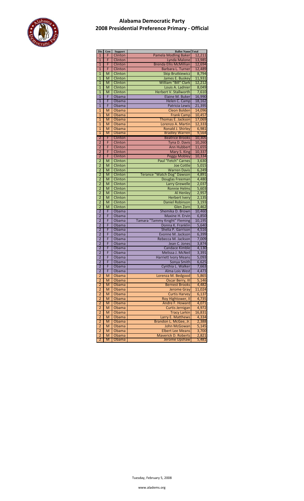

| Dis                     | $\mathbf{Gen}$          | Support      | <b>Ballot Name Total</b>      |        |
|-------------------------|-------------------------|--------------|-------------------------------|--------|
| $\mathbf{1}$            | F                       |              | <b>Pamela Modling Baker</b>   | 12,211 |
|                         |                         | Clinton      |                               |        |
| $\mathbf{1}$            | F                       | Clinton      | Lynda Malone                  | 13,985 |
| $\mathbf{1}$            | F                       | Clinton      | <b>Brenda Ellis McMillian</b> | 12,694 |
| $\overline{1}$          | F                       | Clinton      | Barbara L. Turner             | 12,489 |
| $\mathbf{1}$            | M                       | Clinton      | <b>Skip Brutkiewicz</b>       | 8,794  |
|                         |                         |              |                               |        |
| $\overline{1}$          | M                       | Clinton      | James E. Buskey               | 11,931 |
| $\overline{1}$          | M                       | Clinton      | William "Bill" Clark          | 12,212 |
| $\overline{1}$          | M                       | Clinton      | Louis A. Ladnier              | 8,049  |
| $\overline{1}$          | M                       | Clinton      | <b>Herbert V. Stallworth</b>  | 7,610  |
| $\overline{1}$          | F                       | Obama        | Elaine M. Buker               | 16,990 |
| $\overline{1}$          | F                       |              | Helen C. Camp                 | 18,162 |
|                         |                         | Obama        |                               |        |
| $\mathbf{1}$            | F                       | Obama        | Patricia Lewis                | 21,395 |
| 1                       | M                       | Obama        | <b>Cleon Bolden</b>           | 14,096 |
| $\mathbf{1}$            | M                       | <b>Obama</b> | <b>Frank Camp</b>             | 10,457 |
| $\mathbf{1}$            | M                       | Obama        | Thomas E. Jackson             | 17,069 |
| $\overline{1}$          | M                       | <b>Obama</b> | Lorenzo A. Martin             | 12,333 |
|                         |                         |              |                               |        |
| $\overline{1}$          | M                       | Obama        | Ronald J. Shirley             | 6,981  |
| 1                       | M                       | Obama        | <b>Bradley Warren</b>         | 9,564  |
| $\overline{\mathbf{2}}$ | F                       | Clinton      | <b>Beatrice Brooks</b>        | 10,305 |
| $\overline{2}$          | F                       | Clinton      | <b>Tyna D. Davis</b>          | 10,260 |
| $\overline{2}$          | F                       | Clinton      | <b>Ann Hubbert</b>            | 11,655 |
| $\overline{2}$          | F                       | Clinton      |                               | 10,337 |
|                         |                         |              | Mary S. King                  |        |
| $\overline{2}$          | F                       | Clinton      | <b>Peggy Mobley</b>           | 10,334 |
| $\overline{2}$          | M                       | Clinton      | Paul "Fetch" Carnes           | 3,630  |
| $\overline{2}$          | M                       | Clinton      | <b>Joe Cottle</b>             | 5,015  |
| $\overline{2}$          | M                       | Clinton      | <b>Warren Davis</b>           | 6,249  |
| $\overline{2}$          | M                       | Clinton      | Terance "Watch Dog" Dawson    | 4,891  |
| $\overline{2}$          |                         |              |                               |        |
|                         | M                       | Clinton      | Douglas Freeman               | 4,480  |
| $\overline{2}$          | $\overline{M}$          | Clinton      | <b>Larry Grewelle</b>         | 2,037  |
| $\overline{2}$          | M                       | Clinton      | <b>Ronnie Helms</b>           | 5,603  |
| $\overline{2}$          | M                       | Clinton      | <b>Al Henley</b>              | 2,957  |
| $\overline{2}$          | $\overline{M}$          | Clinton      | <b>Herbert Ivery</b>          | 2,135  |
| $\overline{2}$          | M                       | Clinton      | <b>Daniel Robinson</b>        | 3,193  |
| $\overline{2}$          |                         |              |                               |        |
|                         | $\overline{M}$          | Clinton      | Glen Zorn                     | 3,462  |
| $\overline{2}$          | F                       | Obama        | Shemika D. Brown              | 10,460 |
| $\overline{2}$          | F                       | Obama        | Maxine H. Ervin               | 6,850  |
| $\overline{2}$          | F                       | Obama        | Tamara "Tammy Knight" Fleming | 10,195 |
| $\overline{2}$          | F                       | Obama        | Donna K. Franklin             | 5,640  |
| $\overline{2}$          | F                       | Obama        | Shelia P. Garrison            | 4,516  |
|                         |                         |              |                               |        |
| $\overline{2}$          | F                       | Obama        | Evonne M. Jackson             | 6,399  |
| $\overline{2}$          | F                       | Obama        | Rebecca M. Jackson            | 7,009  |
| $\overline{2}$          | F                       | Obama        | Jean C. Jones                 | 3,874  |
| $\overline{2}$          | F                       | Obama        | <b>Candace Kimble</b>         | 4,130  |
| $\overline{2}$          | F                       | Obama        | Melissa J. McNeil             | 3,391  |
| $\overline{2}$          | F                       | Obama        | <b>Harriett Ivory Means</b>   | 5,093  |
| $\overline{2}$          | F                       |              |                               |        |
|                         |                         | Obama        | Sonya Smith                   | 6,625  |
| $\overline{2}$          | F                       | Obama        | Cynthia L. Walker             | 7,663  |
| $\overline{2}$          | F                       | Obama        | Alma Lois West                | 4,473  |
| 2                       | M                       | Obama        | Lorenza M. Bedgood            | 5,865  |
| $\overline{2}$          |                         |              |                               |        |
|                         |                         |              |                               |        |
|                         | M                       | Obama        | Oscar Berry, III              | 5,146  |
| $\overline{2}$          | M                       | Obama        | <b>Bernest Brooks</b>         | 4,482  |
| $\overline{2}$          | M                       | Obama        | <b>Jerome Gray</b>            | 11,024 |
| $\overline{2}$          | M                       | <b>Obama</b> | <b>Curtis Harvey</b>          | 6,137  |
| $\overline{\mathbf{2}}$ | M                       | <b>Obama</b> | Roy Hightower, II             | 4,735  |
| $\overline{\mathbf{2}}$ | M                       | Obama        | Andre F. Howard               | 4,071  |
|                         | M                       |              |                               |        |
| $\overline{\mathbf{2}}$ |                         | Obama        | Curtis Jernigan               | 4,972  |
| $\overline{\mathbf{c}}$ | M                       | Obama        | <b>Tracy Larkin</b>           | 16,831 |
| $\overline{2}$          | $\overline{\mathsf{M}}$ | Obama        | Larry E. Matthews             | 4,334  |
| $\overline{2}$          | M                       | Obama        | Brandon L. McGee, Jr.         | 2,388  |
| $\overline{2}$          | M                       | Obama        | <b>John McGowan</b>           | 5,145  |
| $\overline{\mathbf{2}}$ | M                       | Obama        | <b>Elbert Lee Means</b>       | 3,700  |
| $\overline{2}$          | M                       | Obama        | <b>Maverick D. Roberts</b>    | 2,821  |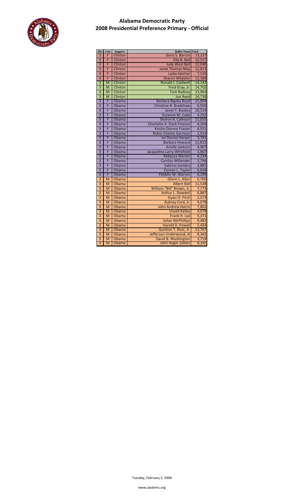

| Dis                                  | Gen            | Support | <b>Ballot Name Total</b>      |        |  |  |  |  |  |
|--------------------------------------|----------------|---------|-------------------------------|--------|--|--|--|--|--|
| 3                                    | F              | Clinton | Doris S. Barron               | 13,237 |  |  |  |  |  |
| $\overline{3}$                       | F              | Clinton | Ella B. Bell                  | 12,557 |  |  |  |  |  |
| $\overline{3}$                       | F              | Clinton | <b>Judy West Bell</b>         | 12,040 |  |  |  |  |  |
| $\overline{3}$                       | F              | Clinton | <b>Janet Thomas May</b>       | 12,813 |  |  |  |  |  |
| 3                                    | F              | Clinton | Lydia Satcher                 | 7,520  |  |  |  |  |  |
| 3                                    | F              | Clinton | <b>Sharon Wheeler</b>         | 12,388 |  |  |  |  |  |
| $\overline{\overline{3}}$            | M              | Clinton | Ronald J. Caldwell            | 14,142 |  |  |  |  |  |
| $\overline{3}$                       | $\overline{M}$ | Clinton | Fred Gray, Jr.                | 14,702 |  |  |  |  |  |
| $\overline{\overline{3}}$            | M              | Clinton | <b>Tom Radney</b>             | 13,963 |  |  |  |  |  |
| $\overline{3}$                       | M              | Clinton | <b>Joe Reed</b>               | 14,738 |  |  |  |  |  |
| $\overline{\overline{\overline{3}}}$ | F              | Obama   | <b>Barbara Bigsby Boyd</b>    | 15,804 |  |  |  |  |  |
| 3                                    | F              | Obama   | Christine R. Bradshaw         | 6,550  |  |  |  |  |  |
| $\overline{3}$                       | F              | Obama   | Janet Y. Buskey               | 10,514 |  |  |  |  |  |
| $\overline{3}$                       | F              | Obama   | Suzanne M. Cade               | 4,252  |  |  |  |  |  |
| $\overline{\overline{3}}$            | F              | Obama   | Sharon R. Calhoun             | 11,055 |  |  |  |  |  |
| $\overline{3}$                       | F              | Obama   | Charlotte A. Clark-Frieson    | 4,204  |  |  |  |  |  |
| $\overline{3}$                       | F              | Obama   | Kristin Dionne Frazier        | 4,551  |  |  |  |  |  |
| $\overline{3}$                       | F              | Obama   | <b>Robin Chelsie Garrison</b> | 2,914  |  |  |  |  |  |
| $\overline{3}$                       | F              | Obama   | Jer'Donna Harper              | 3,761  |  |  |  |  |  |
| $\overline{3}$                       | F              | Obama   | <b>Barbara Howard</b>         | 11,811 |  |  |  |  |  |
| 3                                    | F              | Obama   | Arielle Jackson               | 4,967  |  |  |  |  |  |
| $\overline{3}$                       | F              | Obama   | Jacqueline Larry-Whitfield    | 3,807  |  |  |  |  |  |
| 3                                    | F              | Obama   | <b>Rebecca Marion</b>         | 4,234  |  |  |  |  |  |
| $\overline{3}$                       | F              | Obama   | <b>Carolyn Millender</b>      | 2,796  |  |  |  |  |  |
| $\overline{3}$                       | F              | Obama   | Sabrina Sumbry                | 3,881  |  |  |  |  |  |
| $\overline{3}$                       | F              | Obama   | Connie L. Taylor              | 6,658  |  |  |  |  |  |
| $\overline{\overline{3}}$            | F              | Obama   | Pebblin W. Warren             | 6,299  |  |  |  |  |  |
| $\overline{3}$                       | M              | Obama   | Glenn L. Allen                | 6,700  |  |  |  |  |  |
| $\overline{\mathbf{3}}$              | M              | Obama   | <b>Albert Bell</b>            | 11,538 |  |  |  |  |  |
| $\overline{3}$                       | M              | Obama   | William "Bill" Brown, Jr.     | 7,773  |  |  |  |  |  |
| $\overline{3}$                       | M              | Obama   | Arthur L. Dowdell             | 6,887  |  |  |  |  |  |
| $\overline{3}$                       | M              | Obama   | Gyasi O. Fitch                | 2,573  |  |  |  |  |  |
| $\overline{3}$                       | M              | Obama   | Aubrey Ford, Jr.              | 9,078  |  |  |  |  |  |
| $\overline{\overline{3}}$            | M              | Obama   | <b>John Andrew Harris</b>     | 7,862  |  |  |  |  |  |
| $\overline{\overline{3}}$            | M              | Obama   | <b>Unzell Kelley</b>          | 4,078  |  |  |  |  |  |
| $\overline{3}$                       | M              | Obama   | Frank H. Lee                  | 5,371  |  |  |  |  |  |
| $\overline{\mathbf{3}}$              | M              | Obama   | <b>Julian McPhillips</b>      | 9,483  |  |  |  |  |  |
| $\overline{3}$                       | M              | Obama   | Harold D. Powell              | 5,434  |  |  |  |  |  |
| $\overline{3}$                       | M              | Obama   | Quinton T. Ross, Jr.          | 13,767 |  |  |  |  |  |
| $\overline{3}$                       | M              | Obama   | Jefferson Underwood, III      | 8,342  |  |  |  |  |  |
| $\overline{3}$                       | M              | Obama   | David B. Washington           | 3,719  |  |  |  |  |  |
| $\overline{3}$                       | M              | Obama   | <b>John Roger Zellars</b>     | 4,295  |  |  |  |  |  |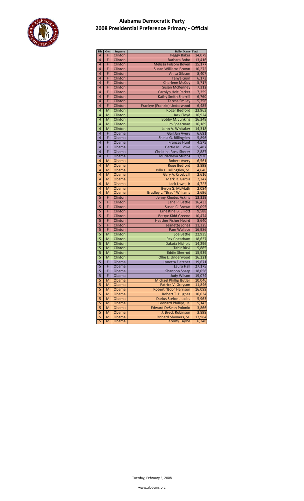

| Dis            | Gen                     | <b>Support</b> | <b>Ballot Name Total</b>          |                 |
|----------------|-------------------------|----------------|-----------------------------------|-----------------|
| 4              | F                       | Clinton        | <b>Peggy Baker</b>                | 14,079          |
| 4              | F                       | Clinton        | <b>Barbara Bobo</b>               | 13,416          |
| 4              | F                       | Clinton        |                                   | 15,177          |
|                |                         |                | Melissa Folsom Boyen              |                 |
| 4              | F                       | Clinton        | <b>Susan Williams Brown</b>       | 10,272          |
| 4              | F                       | Clinton        | <b>Anita Gibson</b>               | 8,407           |
| 4              | F                       | Clinton        | <b>Tanya Guin</b>                 | 6,173           |
|                |                         |                |                                   |                 |
| 4              | F                       | Clinton        | <b>Charlene McCoy</b>             | 5,717           |
| 4              | F                       | Clinton        | <b>Susan McKenney</b>             | 7,312           |
| $\overline{4}$ | F                       | Clinton        | <b>Carolyn Holt Parker</b>        | 7,359           |
|                |                         |                |                                   |                 |
| 4              | F                       | Clinton        | <b>Kathy Smith Sherrill</b>       | 6,760           |
| 4              | F                       | Clinton        | <b>Teresa Smiley</b>              | 5,356           |
| 4              | F                       | Clinton        | Frankye (Frankie) Underwood       | 6,485           |
|                |                         |                |                                   |                 |
| 4              | M                       | Clinton        | <b>Roger Bedford</b>              | 23,963          |
| 4              | M                       | Clinton        | <b>Jack Floyd</b>                 | 16,924          |
| 4              | M                       | Clinton        | <b>Bobby M. Junkins</b>           | 16,348          |
|                |                         |                |                                   |                 |
| 4              | M                       | Clinton        | <b>Jim Spearman</b>               | 16,189          |
| $\overline{4}$ | M                       | Clinton        | John A. Whitaker                  | 14,318          |
| $\overline{4}$ | F                       | Obama          | Gail Jan Avery                    | 6,691           |
| 4              | F                       | Obama          | Sheila G. Billingsley             | 5,896           |
|                |                         |                |                                   |                 |
| 4              | F                       | Obama          | <b>Frances Hunt</b>               | 4,575           |
| 4              | F                       | Obama          | Gertie M. Lowe                    | 5,487           |
| 4              | F                       | Obama          | <b>Christina Ross-Sherer</b>      | 2,887           |
|                |                         |                |                                   |                 |
| 4              | F                       | Obama          | Tourischeva Stubbs                | 1,926           |
| 4              | M                       | Obama          | <b>Robert Avery</b>               | 6,561           |
| 4              | M                       | Obama          | <b>Roge Bedford</b>               | 3,899           |
| 4              | M                       | Obama          | Billy F. Billingsley, Sr.         | 4,646           |
|                |                         |                |                                   |                 |
| 4              | M                       | Obama          | Gary A. Crosby, II                | 2,616           |
| 4              | M                       | Obama          | Mark R. Garcia                    | 2,247           |
| 4              | M                       | Obama          | Jack Lowe, Jr                     | 4,723           |
|                |                         |                |                                   |                 |
| 4              | M                       | Obama          | <b>Byron G. McMath</b>            | 2,084           |
| 4              | M                       | Obama          | <b>Bradley L. "Brad" Williams</b> | 2,696           |
| 5              | F                       | Clinton        | <b>Jenny Rhodes Askins</b>        | 13,329          |
| $\overline{5}$ | F                       | Clinton        | Jane P. Battle                    | 16,433          |
|                | F                       |                |                                   |                 |
| 5              |                         | Clinton        | Susan C. Brown                    | 19,095          |
| 5              | F                       | Clinton        | <b>Ernestine B. Elliott</b>       | 9,588           |
| 5              | F                       | Clinton        | <b>Bettye Kidd Greene</b>         | 10,474          |
| 5              | F                       | Clinton        | <b>Heather Fisher Heard</b>       | 8,640           |
|                |                         |                |                                   |                 |
| $\overline{5}$ | F                       | Clinton        | Jeanette Jones                    | 11,325          |
| $\overline{5}$ | F                       | Clinton        | <b>Pam Wallace</b>                | 16,986          |
| 5              | M                       | Clinton        | <b>Joe Battle</b>                 | 22,935          |
| 5              | M                       |                |                                   |                 |
|                |                         | Clinton        | <b>Rex Cheatham</b>               | 18,637          |
| 5              | M                       | Clinton        | <b>Dakota Nichols</b>             | 14,296          |
| 5              | M                       | Clinton        | <b>Tahir Rizvi</b>                | 5,885           |
| 5              | M                       | Clinton        | <b>Eddie Sherrod</b>              | 15,939          |
|                |                         |                |                                   |                 |
| 5              | M                       | Clinton        | Ollie L. Underwood                | 16,221          |
| 5              | F                       | Obama          | Lynetta Fletcher                  | 19,671          |
| 5              | F                       | Obama          | Laura Hall                        | 27,175          |
| 5              | F                       | Obama          | <b>Shannon Sharp</b>              | 18,058          |
|                |                         |                |                                   |                 |
| 5              | F                       | Obama          | <b>Judy Wilson</b>                | 19,074          |
| 5              | M                       | Obama          | <b>Michael Phillip Butler</b>     | 10,046          |
| 5              | M                       | Obama          | Patrick V. Grayson                | 11,846          |
| $\overline{5}$ | M                       |                | <b>Robert "Bob" Harrison</b>      | 16,099          |
|                |                         | Obama          |                                   |                 |
| 5              | M                       | Obama          | <b>Robert T. Hughes</b>           | 10,034          |
| 5              | M                       | Obama          | <b>Darius Stefon Jacobs</b>       | 5,963           |
| 5              | $\overline{\mathsf{M}}$ | Obama          | Leonard Phillips, Jr.             | 5,143           |
| 5              |                         |                |                                   |                 |
|                | M                       | Obama          | <b>Edward DeSean Polonio</b>      | 3,866           |
|                |                         |                |                                   |                 |
| 5              | M                       | Obama          | J. Breck Robinson                 | 3,899           |
|                | M                       |                | <b>Richard Showers, Sr.</b>       |                 |
| 5<br>5         | M                       | Obama<br>Obama | Jeremy Taylor                     | 17,984<br>6,248 |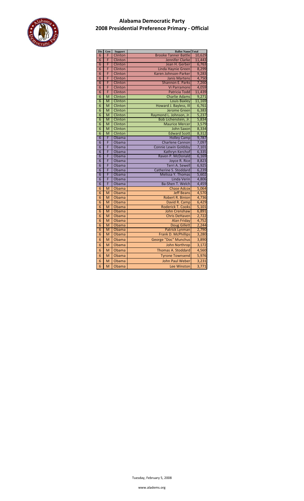

| Dis | Gen                     | <b>Support</b> | <b>Ballot Name Total</b>    |                |
|-----|-------------------------|----------------|-----------------------------|----------------|
| 6   | F                       | Clinton        | <b>Brooke Tanner Battle</b> | 10,629         |
| 6   | F                       | Clinton        | <b>Jennifer Clarke</b>      | 11,443         |
| 6   | F                       | Clinton        | Jean H. Gerber              | 6,763          |
| 6   | F                       | Clinton        | Linda Haynie Green          | 8,299          |
| 6   | F                       | Clinton        | Karen Johnson-Parker        | 9,283          |
| 6   | F                       | Clinton        | <b>Janis Martens</b>        | 4,750          |
| 6   | F                       | Clinton        | <b>Shannon E. Parks</b>     | 7,260          |
| 6   | F                       | Clinton        | <b>Vi Parramore</b>         | 4,059          |
| 6   | F                       | Clinton        | <b>Patricia Todd</b>        | 11,439         |
| 6   | M                       | Clinton        | <b>Charlie Adams</b>        | 9,271          |
| 6   | M                       | Clinton        | <b>Louis Baxley</b>         | 11,169         |
| 6   | $\overline{\mathsf{M}}$ | Clinton        | Howard J. Bayless, III      | 6,761          |
| 6   | M                       | Clinton        | <b>Jerome Green</b>         | 6,383          |
| 6   | M                       | Clinton        | Raymond L. Johnson, Jr.     | 5,237          |
| 6   | M                       | Clinton        | Bob Lichenstein, Jr.        | 5,834          |
| 6   | M                       | Clinton        | <b>Maurice Mercer</b>       | 3,579          |
| 6   | M                       | Clinton        | <b>John Saxon</b>           | 8,334          |
| 6   | M                       | Clinton        | <b>Edward Scott</b>         | 8,312          |
| 6   | F                       | Obama          | <b>Holley Camp</b>          | 9,787          |
| 6   | F                       | Obama          | <b>Charlene Cannon</b>      | 7,097          |
| 6   | F                       | Obama          | Connie Lewin Goldsby        | 7,101          |
| 6   | F                       | Obama          | Kathryn Kerchof             | 6,335          |
| 6   | F                       | Obama          | Raven P. McDonald           | 6,169          |
| 6   | F                       | Obama          | Joyce R. Rice               | 8,823          |
| 6   | F                       | Obama          | Terri A. Sewell             | 6,925          |
| 6   | F                       | Obama          | Catherine S. Stoddard       | 6,239          |
| 6   | F                       |                | Melissa Y. Thomas           |                |
| 6   | F                       | Obama<br>Obama | Linda Verin                 | 5,602<br>4,806 |
|     | F                       |                | Ba-Shen T. Welch            |                |
| 6   |                         | Obama          |                             | 4,459          |
| 6   | M                       | Obama          | <b>Chase Adcox</b>          | 5,064          |
| 6   | M                       | Obama          | <b>Jeff Beans</b>           | 4,570          |
| 6   | M                       | Obama          | <b>Robert R. Binion</b>     | 4,736          |
| 6   | M                       | Obama          | David R. Camp               | 6,429          |
| 6   | M                       | Obama          | <b>Roderick T. Cooks</b>    | 5,101          |
| 6   | M                       | Obama          | <b>John Crenshaw</b>        | 6,891          |
| 6   | M                       | Obama          | <b>Chris DeHaven</b>        | 2,722          |
| 6   | $\overline{\mathsf{M}}$ | Obama          | <b>Alan Friday</b>          | 4,752          |
| 6   | M                       | Obama          | <b>Doug Gillett</b>         | 2,244          |
| 6   | M                       | Obama          | <b>Patrick Lynman</b>       | 2,790          |
| 6   | M                       | <b>Obama</b>   | Frank D. McPhillips         | 3,280          |
| 6   | M                       | Obama          | George "Doc" Munchus        | 3,890          |
| 6   | M                       | Obama          | <b>John Northrop</b>        | 3,172          |
| 6   | M                       | Obama          | Thomas A. Stoddard          | 4,560          |
| 6   | M                       | Obama          | <b>Tyrone Townsend</b>      | 5,976          |
| 6   | M                       | Obama          | <b>John Paul Weber</b>      | 3,231          |
| 6   | M                       | Obama          | <b>Lee Winston</b>          | 3,771          |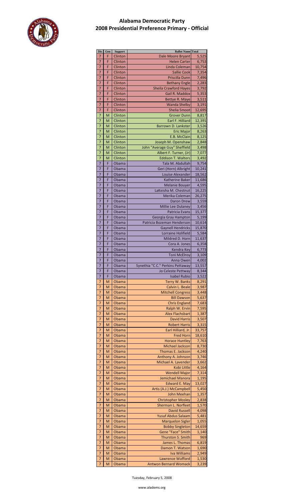

| Dis            | Gen | <b>Support</b> | <b>Ballot Name Total</b>         |        |  |  |  |  |
|----------------|-----|----------------|----------------------------------|--------|--|--|--|--|
| 7              | F   | Clinton        | Dale Moore Bryant                | 5,525  |  |  |  |  |
| $\overline{7}$ | F   | Clinton        | <b>Helen Carter</b>              | 6,753  |  |  |  |  |
| 7              | F   | Clinton        | Linda Coleman                    | 10,754 |  |  |  |  |
| 7              | F   | Clinton        | <b>Sallie Cook</b>               | 7,354  |  |  |  |  |
| 7              | F   | Clinton        | Priscilla Dunn                   | 7,496  |  |  |  |  |
| 7              | F   | Clinton        | <b>Bethany Engle</b>             | 2,283  |  |  |  |  |
| $\overline{7}$ | F   | Clinton        | <b>Sheila Crawford Hayes</b>     | 3,792  |  |  |  |  |
| 7              | F   | Clinton        | Gail R. Maddox                   | 5,353  |  |  |  |  |
| 7              | F   | Clinton        | Bettye R. Maye                   | 3,511  |  |  |  |  |
| 7              | F   | Clinton        | <b>Wanda Shelby</b>              | 3,191  |  |  |  |  |
| 7              | F   | Clinton        | <b>Shelia Smoot</b>              | 12,695 |  |  |  |  |
| $\overline{7}$ | M   | Clinton        | <b>Grover Dunn</b>               | 8,817  |  |  |  |  |
| 7              | M   | Clinton        | Earl F. Hilliard                 | 12,391 |  |  |  |  |
| 7              | M   | Clinton        | Barrown D. Lankster              | 3,526  |  |  |  |  |
| 7              | M   | Clinton        | <b>Eric Major</b>                | 8,263  |  |  |  |  |
| 7              | M   | Clinton        | E.B. McClain                     | 8,125  |  |  |  |  |
| $\overline{7}$ | M   | Clinton        | Joseph M. Openshaw               | 2,848  |  |  |  |  |
| 7              | M   | Clinton        | John "Average Guy" Sheffield     | 3,498  |  |  |  |  |
| 7              | M   | Clinton        | Albert F. Turner, (Jr)           | 7,077  |  |  |  |  |
| 7              | М   | Clinton        | <b>Eddison T. Walters</b>        | 3,492  |  |  |  |  |
| 7              | F   | Obama          | Tala M. Abdullah                 | 9,754  |  |  |  |  |
| 7              | F   | Obama          | Geri (Horn) Albright             | 10,241 |  |  |  |  |
| 7              | F   | Obama          | Louise Alexander                 | 18,562 |  |  |  |  |
| 7              | F   | Obama          | <b>Katherine Baker</b>           | 11,686 |  |  |  |  |
| 7              | F   | Obama          | <b>Melanie Bouyer</b>            | 4,595  |  |  |  |  |
| 7              | F   | Obama          | LaKeisha M. Chestnut             | 16,225 |  |  |  |  |
| 7              | F   | Obama          | Merika Coleman                   | 26,275 |  |  |  |  |
| 7              | F   | Obama          | <b>Daron Drew</b>                | 3,559  |  |  |  |  |
| 7              | F   | Obama          | Millie Lee Dulaney               | 3,456  |  |  |  |  |
| 7              | F   | Obama          | <b>Patricia Evans</b>            | 15,377 |  |  |  |  |
| 7              | F   | Obama          | Georgia Gray Hampton             | 5,199  |  |  |  |  |
| 7              | F   | Obama          | Patricia Bozeman Henderson       | 10,614 |  |  |  |  |
| 7              | F   | Obama          | <b>Gaynell Hendricks</b>         | 15,870 |  |  |  |  |
| 7              | F   | Obama          | Lorraine Holifield               | 5,584  |  |  |  |  |
| 7              | F   | Obama          | Mildred D. Horn                  | 11,637 |  |  |  |  |
| 7              | F   | Obama          | Cora A. Jones                    | 6,358  |  |  |  |  |
| 7              | F   | Obama          | Kendra Key                       | 6,773  |  |  |  |  |
| 7              | F   | Obama          | <b>Toni McElroy</b>              | 3,109  |  |  |  |  |
| 7              | F   | Obama          | Anna Owen                        | 4,002  |  |  |  |  |
| 7              | F   | Obama          | Synethia "C.C." Perkins Pettaway | 13,557 |  |  |  |  |
| 7              | F   | Obama          | Jo Celeste Pettway               | 8,344  |  |  |  |  |
| 7              | F   | Obama          | <b>Isabel Rubio</b>              | 3,522  |  |  |  |  |
| 7              | M   | Obama          | Terry W. Banks                   | 8,291  |  |  |  |  |
| 7              | M   | Obama          | Calvin L. Beale                  | 3,987  |  |  |  |  |
| 7              | М   | Obama          | <b>Mitchell Congress</b>         | 3,448  |  |  |  |  |
| 7              | M   | Obama          | <b>Bill Dawson</b>               | 5,637  |  |  |  |  |
| 7              | M   | Obama          | <b>Chris England</b>             | 7,683  |  |  |  |  |
| 7              | M   | Obama          | Ralph W. Ervin                   | 7,595  |  |  |  |  |
| 7              | M   | Obama          | <b>Alex Flachsbart</b>           | 1,387  |  |  |  |  |
| 7              | M   | Obama          | <b>David Harris</b>              | 3,507  |  |  |  |  |
| 7              | M   | Obama          | <b>Robert Harris</b>             | 3,315  |  |  |  |  |
| 7              | M   | Obama          | Earl Hilliard, Jr.               | 33,757 |  |  |  |  |
| 7              | M   | Obama          | <b>Fred Horn</b>                 | 18,610 |  |  |  |  |
| 7              | M   | Obama          | <b>Horace Huntley</b>            | 7,763  |  |  |  |  |
| 7              | М   | Obama          | <b>Michael Jackson</b>           | 8,730  |  |  |  |  |
| 7              | M   | Obama          | Thomas E. Jackson                | 4,240  |  |  |  |  |
| 7              | M   | Obama          | Anthony A. Johnson               | 3,746  |  |  |  |  |
| 7              | M   | Obama          | Michael A. Lavender              | 3,662  |  |  |  |  |
| 7              | M   | Obama          | Kobi Little                      | 4,164  |  |  |  |  |
| 7              | M   | Obama          | <b>Wendell Major</b>             | 7,314  |  |  |  |  |
| 7              | M   | Obama          | Jemichael Manora                 | 1,195  |  |  |  |  |
| 7              | M   | Obama          | <b>Edward E. May</b>             | 13,027 |  |  |  |  |
| 7              | M   | Obama          | Artis (A.J.) McCampbell          | 5,450  |  |  |  |  |
| 7              | M   | Obama          | <b>John Meehan</b>               | 1,357  |  |  |  |  |
| 7              | М   | Obama          | <b>Christopher Mosley</b>        | 2,838  |  |  |  |  |
| 7              | M   | Obama          | Sherman L. Norfleet              | 1,570  |  |  |  |  |
| 7              | M   | Obama          | <b>David Russell</b>             | 4,098  |  |  |  |  |
| 7              | M   | Obama          | <b>Yusuf Abdus Salaam</b>        | 5,481  |  |  |  |  |
| 7              | M   | Obama          | <b>Marquelon Sigler</b>          | 1,055  |  |  |  |  |
| 7              | M   | Obama          | <b>Bobby Singleton</b>           | 14,659 |  |  |  |  |
| 7              | M   | Obama          | Gene "Face" Smith                | 1,140  |  |  |  |  |
| 7              | M   | Obama          | Thurston S. Smith                | 969    |  |  |  |  |
| 7              | M   | Obama          | James L. Thomas                  | 6,819  |  |  |  |  |
| 7              | M   | Obama          | Damon T. Watson                  | 1,690  |  |  |  |  |
| 7              | M   | Obama          | <b>Iva Williams</b>              | 2,949  |  |  |  |  |
| 7              | M   | Obama          | <b>Lawrence Wofford</b>          | 1,530  |  |  |  |  |
|                | M   | Obama          | <b>Antwon Bernard Womack</b>     | 3,239  |  |  |  |  |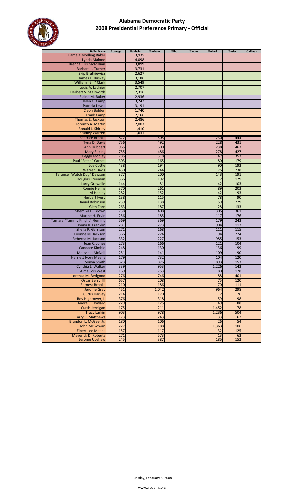

| <b>Ballot Name</b>                                    | Autuaga | <b>Baldwin</b> | <b>Barbour</b> | <b>Bibb</b> | <b>Blount</b> | <b>Bullock</b> | <b>Butler</b> | Calhoun |
|-------------------------------------------------------|---------|----------------|----------------|-------------|---------------|----------------|---------------|---------|
| <b>Pamela Modling Baker</b>                           |         | 3,935          |                |             |               |                |               |         |
| Lynda Malone                                          |         | 4,098          |                |             |               |                |               |         |
| <b>Brenda Ellis McMillian</b>                         |         | 3,899          |                |             |               |                |               |         |
| Barbara L. Turner                                     |         | 3,731          |                |             |               |                |               |         |
| <b>Skip Brutkiewicz</b>                               |         | 2,627          |                |             |               |                |               |         |
| James E. Buskey                                       |         | 3,186          |                |             |               |                |               |         |
| William "Bill" Clark                                  |         | 3,549          |                |             |               |                |               |         |
| Louis A. Ladnier                                      |         | 2,707          |                |             |               |                |               |         |
| Herbert V. Stallworth                                 |         | 2,316          |                |             |               |                |               |         |
| Elaine M. Buker                                       |         | 2,936          |                |             |               |                |               |         |
| Helen C. Camp                                         |         | 3,242          |                |             |               |                |               |         |
| <b>Patricia Lewis</b>                                 |         | 3,191          |                |             |               |                |               |         |
| <b>Cleon Bolden</b>                                   |         | 1,740          |                |             |               |                |               |         |
| <b>Frank Camp</b>                                     |         | 2,166          |                |             |               |                |               |         |
| Thomas E. Jackson                                     |         | 2,486          |                |             |               |                |               |         |
| Lorenzo A. Martin                                     |         | 2,003          |                |             |               |                |               |         |
| Ronald J. Shirley                                     |         | 1,410          |                |             |               |                |               |         |
| <b>Bradley Warren</b>                                 |         | 1,631          |                |             |               |                |               |         |
| <b>Beatrice Brooks</b>                                | 822     |                | 505            |             |               | 230            | 444           |         |
| Tyna D. Davis                                         | 756     |                | 492            |             |               | 228            | 431           |         |
| Ann Hubbert                                           | 965     |                | 600            |             |               | 238            | 463           |         |
| Mary S. King                                          | 755     |                | 486            |             |               | 278            | 427           |         |
| <b>Peggy Mobley</b>                                   | 785     |                | 518            |             |               | 147            | 353           |         |
| Paul "Fetch" Carnes                                   | 303     |                | 165            |             |               | 80             | 179           |         |
| <b>Joe Cottle</b>                                     | 438     |                | 194            |             |               | 90             | 193           |         |
| <b>Warren Davis</b>                                   | 430     |                | 244            |             |               | 175            | 238           |         |
| Terance "Watch Dog" Dawson                            | 377     |                | 200            |             |               | 143            | 191           |         |
| Douglas Freeman                                       | 366     |                | 192            |             |               | 112            | 179           |         |
| <b>Larry Grewelle</b>                                 | 144     |                | 81             |             |               | 42             | 103           |         |
| <b>Ronnie Helms</b>                                   | 370     |                | 261            |             |               | 89             | 203           |         |
| Al Henley                                             | 282     |                | 152            |             |               | 42             | 93            |         |
| <b>Herbert Ivery</b>                                  | 138     |                | 115            |             |               | 78             | 90            |         |
| <b>Daniel Robinson</b>                                | 239     |                | 138            |             |               | 59             | 229           |         |
| Glen Zorn                                             | 263     |                | 187            |             |               | 28             | 133           |         |
| Shemika D. Brown                                      | 738     |                | 408            |             |               | 305            | 361           |         |
| Maxine H. Ervin                                       | 256     |                | 185            |             |               | 117            | 176           |         |
| Tamara "Tammy Knight" Fleming                         | 569     |                | 369            |             |               | 179            | 243           |         |
| Donna K. Franklin                                     | 281     |                | 273            |             |               | 904            | 117           |         |
| Shelia P. Garrison                                    | 271     |                | 168            |             |               | 111            | 115           |         |
| Evonne M. Jackson                                     | 366     |                | 224            |             |               | 194            | 224           |         |
| Rebecca M. Jackson                                    | 332     |                | 227            |             |               | 985            | 153           |         |
| Jean C. Jones                                         | 273     |                | 166            |             |               | 121            | 104           |         |
| Candace Kimble                                        | 248     |                | 130            |             |               | 136            | 99            |         |
| Melissa J. McNeil                                     | 251     |                | 141            |             |               | 109            | 90            |         |
| <b>Harriett Ivory Means</b>                           | 179     |                | 732            |             |               | 104            | 120           |         |
| Sonya Smith                                           | 323     |                | 876            |             |               | 893            | 153           |         |
| Cynthia L. Walker                                     | 339     |                | 953            |             |               | 1,226          | 143           |         |
| Alma Lois West                                        | 169     |                | 753            |             |               | 80             | 128           |         |
| Lorenza M. Bedgood                                    | 276     |                | 746            |             |               | 88             | 401           |         |
| Oscar Berry, III                                      | 657     |                | 208            |             |               | 75             | 120           |         |
| <b>Bernest Brooks</b>                                 | 210     |                | 186            |             |               | 70             | 111           |         |
| <b>Jerome Gray</b>                                    | 451     |                | 1,042          |             |               | 964            | 298           |         |
| <b>Curtis Harvey</b>                                  | 214     |                | 170            |             |               | 112            | 76            |         |
| Roy Hightower, II                                     | 376     |                | 318            |             |               | 59             | 98            |         |
| Andre F. Howard                                       | 229     |                | 125            |             |               | 49             | 88            |         |
|                                                       | 175     |                | 211            |             |               |                | 78            |         |
| Curtis Jernigan                                       | 903     |                | 978            |             |               | 1,452          | 504           |         |
| <b>Tracy Larkin</b>                                   | 173     |                | 243            |             |               | 1,236<br>33    | 62            |         |
| Larry E. Matthews<br>Brandon L. McGee, Jr.            | 180     |                | 106            |             |               | 26             | 54            |         |
|                                                       | 227     |                | 188            |             |               |                | 106           |         |
| John McGowan                                          | 157     |                | 117            |             |               | 1,363          |               |         |
| <b>Elbert Lee Means</b><br><b>Maverick D. Roberts</b> | 271     |                |                |             |               | 32             | 125           |         |
| <b>Jerome Upshaw</b>                                  | 245     |                | 573<br>387     |             |               | 13<br>185      | 63<br>152     |         |
|                                                       |         |                |                |             |               |                |               |         |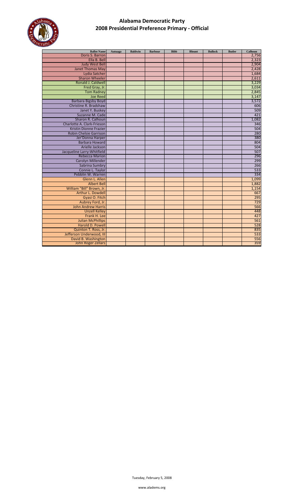

| <b>Ballot Name</b>            | Autuaga | <b>Baldwin</b> | <b>Barbour</b> | <b>Bibb</b> | <b>Blount</b> | <b>Bullock</b> | <b>Butler</b> | Calhoun |
|-------------------------------|---------|----------------|----------------|-------------|---------------|----------------|---------------|---------|
| Doris S. Barron               |         |                |                |             |               |                |               | 2,756   |
| Ella B. Bell                  |         |                |                |             |               |                |               | 2,323   |
| <b>Judy West Bell</b>         |         |                |                |             |               |                |               | 2,904   |
| <b>Janet Thomas May</b>       |         |                |                |             |               |                |               | 2,428   |
| Lydia Satcher                 |         |                |                |             |               |                |               | 1,684   |
| <b>Sharon Wheeler</b>         |         |                |                |             |               |                |               | 2,611   |
| Ronald J. Caldwell            |         |                |                |             |               |                |               | 3,229   |
| Fred Gray, Jr.                |         |                |                |             |               |                |               | 3,034   |
| <b>Tom Radney</b>             |         |                |                |             |               |                |               | 2,845   |
| <b>Joe Reed</b>               |         |                |                |             |               |                |               | 3,147   |
| <b>Barbara Bigsby Boyd</b>    |         |                |                |             |               |                |               | 3,572   |
| Christine R. Bradshaw         |         |                |                |             |               |                |               | 606     |
| Janet Y. Buskey               |         |                |                |             |               |                |               | 509     |
| Suzanne M. Cade               |         |                |                |             |               |                |               | 421     |
| Sharon R. Calhoun             |         |                |                |             |               |                |               | 1,082   |
| Charlotte A. Clark-Frieson    |         |                |                |             |               |                |               | 346     |
| <b>Kristin Dionne Frazier</b> |         |                |                |             |               |                |               | 504     |
| <b>Robin Chelsie Garrison</b> |         |                |                |             |               |                |               | 280     |
| Jer'Donna Harper              |         |                |                |             |               |                |               | 380     |
| <b>Barbara Howard</b>         |         |                |                |             |               |                |               | 804     |
| Arielle Jackson               |         |                |                |             |               |                |               | 504     |
| Jacqueline Larry-Whitfield    |         |                |                |             |               |                |               | 507     |
| <b>Rebecca Marion</b>         |         |                |                |             |               |                |               | 296     |
| <b>Carolyn Millender</b>      |         |                |                |             |               |                |               | 299     |
| Sabrina Sumbry                |         |                |                |             |               |                |               | 266     |
| Connie L. Taylor              |         |                |                |             |               |                |               | 533     |
| Pebblin W. Warren             |         |                |                |             |               |                |               | 334     |
| Glenn L. Allen                |         |                |                |             |               |                |               | 1,099   |
| <b>Albert Bell</b>            |         |                |                |             |               |                |               | 1,882   |
| William "Bill" Brown, Jr.     |         |                |                |             |               |                |               | 1,154   |
| Arthur L. Dowdell             |         |                |                |             |               |                |               | 667     |
| Gyasi O. Fitch                |         |                |                |             |               |                |               | 295     |
| Aubrey Ford, Jr.              |         |                |                |             |               |                |               | 729     |
| <b>John Andrew Harris</b>     |         |                |                |             |               |                |               | 566     |
| <b>Unzell Kelley</b>          |         |                |                |             |               |                |               | 448     |
| Frank H. Lee                  |         |                |                |             |               |                |               | 427     |
| <b>Julian McPhillips</b>      |         |                |                |             |               |                |               | 561     |
| Harold D. Powell              |         |                |                |             |               |                |               | 528     |
| Quinton T. Ross, Jr.          |         |                |                |             |               |                |               | 835     |
| Jefferson Underwood, III      |         |                |                |             |               |                |               | 533     |
| David B. Washington           |         |                |                |             |               |                |               | 556     |
| <b>John Roger Zellars</b>     |         |                |                |             |               |                |               | 359     |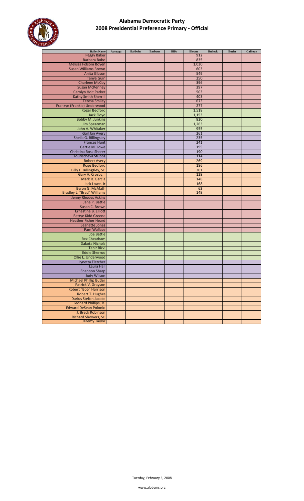

| <b>Ballot Name</b>                | Autuaga | <b>Baldwin</b> | <b>Barbour</b> | <b>Bibb</b> | <b>Blount</b> | <b>Bullock</b> | <b>Butler</b> | Calhoun |
|-----------------------------------|---------|----------------|----------------|-------------|---------------|----------------|---------------|---------|
| <b>Peggy Baker</b>                |         |                |                |             | 912           |                |               |         |
| <b>Barbara Bobo</b>               |         |                |                |             | 835           |                |               |         |
| Melissa Folsom Boyen              |         |                |                |             | 1,030         |                |               |         |
| <b>Susan Williams Brown</b>       |         |                |                |             | 603           |                |               |         |
| Anita Gibson                      |         |                |                |             | 549           |                |               |         |
| <b>Tanya Guin</b>                 |         |                |                |             | 250           |                |               |         |
| <b>Charlene McCoy</b>             |         |                |                |             | 396           |                |               |         |
| <b>Susan McKenney</b>             |         |                |                |             | 397           |                |               |         |
| Carolyn Holt Parker               |         |                |                |             | 503           |                |               |         |
| Kathy Smith Sherrill              |         |                |                |             | 403           |                |               |         |
| <b>Teresa Smiley</b>              |         |                |                |             | 673           |                |               |         |
|                                   |         |                |                |             | 277           |                |               |         |
| Frankye (Frankie) Underwood       |         |                |                |             |               |                |               |         |
| <b>Roger Bedford</b>              |         |                |                |             | 1,518         |                |               |         |
| <b>Jack Floyd</b>                 |         |                |                |             | 1,153         |                |               |         |
| <b>Bobby M. Junkins</b>           |         |                |                |             | 820           |                |               |         |
| Jim Spearman                      |         |                |                |             | 1,263         |                |               |         |
| John A. Whitaker                  |         |                |                |             | 955           |                |               |         |
| <b>Gail Jan Avery</b>             |         |                |                |             | 261           |                |               |         |
| Sheila G. Billingsley             |         |                |                |             | 235           |                |               |         |
| <b>Frances Hunt</b>               |         |                |                |             | 241           |                |               |         |
| Gertie M. Lowe                    |         |                |                |             | 195           |                |               |         |
| Christina Ross-Sherer             |         |                |                |             | 190           |                |               |         |
| Tourischeva Stubbs                |         |                |                |             | 114           |                |               |         |
| <b>Robert Avery</b>               |         |                |                |             | 269           |                |               |         |
| <b>Roge Bedford</b>               |         |                |                |             | 186           |                |               |         |
| Billy F. Billingsley, Sr.         |         |                |                |             | 201           |                |               |         |
| Gary A. Crosby, II                |         |                |                |             | 129           |                |               |         |
| Mark R. Garcia                    |         |                |                |             |               |                |               |         |
|                                   |         |                |                |             | 148           |                |               |         |
| Jack Lowe, Jr                     |         |                |                |             | 168           |                |               |         |
| Byron G. McMath                   |         |                |                |             | 63            |                |               |         |
| <b>Bradley L. "Brad" Williams</b> |         |                |                |             | 149           |                |               |         |
| Jenny Rhodes Askins               |         |                |                |             |               |                |               |         |
| Jane P. Battle                    |         |                |                |             |               |                |               |         |
| Susan C. Brown                    |         |                |                |             |               |                |               |         |
| <b>Ernestine B. Elliott</b>       |         |                |                |             |               |                |               |         |
| <b>Bettye Kidd Greene</b>         |         |                |                |             |               |                |               |         |
| <b>Heather Fisher Heard</b>       |         |                |                |             |               |                |               |         |
| Jeanette Jones                    |         |                |                |             |               |                |               |         |
| Pam Wallace                       |         |                |                |             |               |                |               |         |
| Joe Battle                        |         |                |                |             |               |                |               |         |
| <b>Rex Cheatham</b>               |         |                |                |             |               |                |               |         |
| <b>Dakota Nichols</b>             |         |                |                |             |               |                |               |         |
| <b>Tahir Rizvi</b>                |         |                |                |             |               |                |               |         |
| <b>Eddie Sherrod</b>              |         |                |                |             |               |                |               |         |
| Ollie L. Underwood                |         |                |                |             |               |                |               |         |
| Lynetta Fletcher                  |         |                |                |             |               |                |               |         |
|                                   |         |                |                |             |               |                |               |         |
| Laura Hall                        |         |                |                |             |               |                |               |         |
| <b>Shannon Sharp</b>              |         |                |                |             |               |                |               |         |
| <b>Judy Wilson</b>                |         |                |                |             |               |                |               |         |
| <b>Michael Phillip Butler</b>     |         |                |                |             |               |                |               |         |
| Patrick V. Grayson                |         |                |                |             |               |                |               |         |
| Robert "Bob" Harrison             |         |                |                |             |               |                |               |         |
| <b>Robert T. Hughes</b>           |         |                |                |             |               |                |               |         |
| <b>Darius Stefon Jacobs</b>       |         |                |                |             |               |                |               |         |
| Leonard Phillips, Jr.             |         |                |                |             |               |                |               |         |
| <b>Edward DeSean Polonio</b>      |         |                |                |             |               |                |               |         |
| J. Breck Robinson                 |         |                |                |             |               |                |               |         |
| Richard Showers, Sr.              |         |                |                |             |               |                |               |         |
| <b>Jeremy Taylor</b>              |         |                |                |             |               |                |               |         |
|                                   |         |                |                |             |               |                |               |         |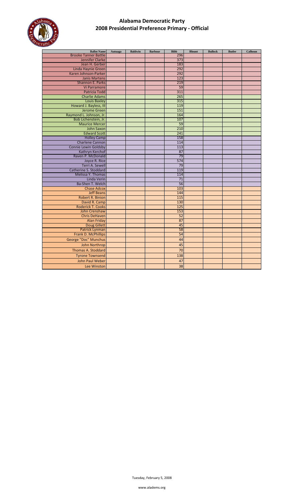

| <b>Ballot Name</b>                         | Autuaga | <b>Baldwin</b> | <b>Barbour</b> | <b>Bibb</b> | <b>Blount</b> | <b>Bullock</b> | <b>Butler</b> | Calhoun |
|--------------------------------------------|---------|----------------|----------------|-------------|---------------|----------------|---------------|---------|
| <b>Brooke Tanner Battle</b>                |         |                |                | 296         |               |                |               |         |
| Jennifer Clarke                            |         |                |                | 373         |               |                |               |         |
| Jean H. Gerber                             |         |                |                | 183<br>292  |               |                |               |         |
| Linda Haynie Green<br>Karen Johnson-Parker |         |                |                | 292         |               |                |               |         |
| <b>Janis Martens</b>                       |         |                |                | 123         |               |                |               |         |
| Shannon E. Parks                           |         |                |                | 219         |               |                |               |         |
| Vi Parramore                               |         |                |                | 59          |               |                |               |         |
| Patricia Todd                              |         |                |                | 311         |               |                |               |         |
| <b>Charlie Adams</b>                       |         |                |                | 265         |               |                |               |         |
| <b>Louis Baxley</b>                        |         |                |                | 315         |               |                |               |         |
| Howard J. Bayless, III                     |         |                |                | 119         |               |                |               |         |
| Jerome Green                               |         |                |                | 151         |               |                |               |         |
| Raymond L. Johnson, Jr.                    |         |                |                | 164         |               |                |               |         |
| Bob Lichenstein, Jr.                       |         |                |                | 107         |               |                |               |         |
| <b>Maurice Mercer</b>                      |         |                |                | 59          |               |                |               |         |
| <b>John Saxon</b>                          |         |                |                | 210         |               |                |               |         |
| <b>Edward Scott</b>                        |         |                |                | 241         |               |                |               |         |
| <b>Holley Camp</b>                         |         |                |                | 158         |               |                |               |         |
| <b>Charlene Cannon</b>                     |         |                |                | 114         |               |                |               |         |
| <b>Connie Lewin Goldsby</b>                |         |                |                | 113         |               |                |               |         |
| Kathryn Kerchof                            |         |                |                | 87          |               |                |               |         |
| Raven P. McDonald                          |         |                |                | 79          |               |                |               |         |
| Joyce R. Rice                              |         |                |                | 574         |               |                |               |         |
| Terri A. Sewell                            |         |                |                | 79          |               |                |               |         |
| Catherine S. Stoddard                      |         |                |                | 119         |               |                |               |         |
| Melissa Y. Thomas                          |         |                |                | 114         |               |                |               |         |
| Linda Verin<br>Ba-Shen T. Welch            |         |                |                | 71<br>56    |               |                |               |         |
| <b>Chase Adcox</b>                         |         |                |                | 103         |               |                |               |         |
| <b>Jeff Beans</b>                          |         |                |                | 144         |               |                |               |         |
| Robert R. Binion                           |         |                |                | 115         |               |                |               |         |
| David R. Camp                              |         |                |                | 130         |               |                |               |         |
| <b>Roderick T. Cooks</b>                   |         |                |                | 125         |               |                |               |         |
| John Crenshaw                              |         |                |                | 153         |               |                |               |         |
| <b>Chris DeHaven</b>                       |         |                |                | 52          |               |                |               |         |
| <b>Alan Friday</b>                         |         |                |                | 87          |               |                |               |         |
| <b>Doug Gillett</b>                        |         |                |                | 45          |               |                |               |         |
| <b>Patrick Lynman</b>                      |         |                |                | 58          |               |                |               |         |
| Frank D. McPhillips                        |         |                |                | 54          |               |                |               |         |
| George "Doc" Munchus                       |         |                |                | 44          |               |                |               |         |
| <b>John Northrop</b>                       |         |                |                | 45          |               |                |               |         |
| <b>Thomas A. Stoddard</b>                  |         |                |                | 70          |               |                |               |         |
| <b>Tyrone Townsend</b>                     |         |                |                | 138         |               |                |               |         |
| John Paul Weber                            |         |                |                | 47          |               |                |               |         |
| Lee Winston                                |         |                |                | 38          |               |                |               |         |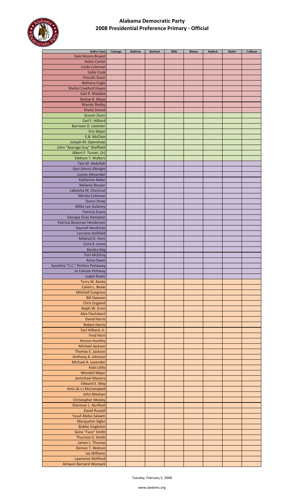

| <b>Ballot Name</b>               | Autuaga | <b>Baldwin</b> | <b>Barbour</b> | <b>Bibb</b> | <b>Blount</b> | <b>Bullock</b> | <b>Butler</b> | Calhoun |
|----------------------------------|---------|----------------|----------------|-------------|---------------|----------------|---------------|---------|
| Dale Moore Bryant                |         |                |                |             |               |                |               |         |
| <b>Helen Carter</b>              |         |                |                |             |               |                |               |         |
|                                  |         |                |                |             |               |                |               |         |
| Linda Coleman                    |         |                |                |             |               |                |               |         |
| <b>Sallie Cook</b>               |         |                |                |             |               |                |               |         |
| Priscilla Dunn                   |         |                |                |             |               |                |               |         |
| <b>Bethany Engle</b>             |         |                |                |             |               |                |               |         |
| <b>Sheila Crawford Hayes</b>     |         |                |                |             |               |                |               |         |
|                                  |         |                |                |             |               |                |               |         |
| Gail R. Maddox                   |         |                |                |             |               |                |               |         |
| Bettye R. Maye                   |         |                |                |             |               |                |               |         |
| <b>Wanda Shelby</b>              |         |                |                |             |               |                |               |         |
| <b>Shelia Smoot</b>              |         |                |                |             |               |                |               |         |
| <b>Grover Dunn</b>               |         |                |                |             |               |                |               |         |
|                                  |         |                |                |             |               |                |               |         |
| Earl F. Hilliard                 |         |                |                |             |               |                |               |         |
| Barrown D. Lankster              |         |                |                |             |               |                |               |         |
| Eric Major                       |         |                |                |             |               |                |               |         |
| E.B. McClain                     |         |                |                |             |               |                |               |         |
| Joseph M. Openshaw               |         |                |                |             |               |                |               |         |
|                                  |         |                |                |             |               |                |               |         |
| John "Average Guy" Sheffield     |         |                |                |             |               |                |               |         |
| Albert F. Turner, (Jr)           |         |                |                |             |               |                |               |         |
| <b>Eddison T. Walters</b>        |         |                |                |             |               |                |               |         |
| Tala M. Abdullah                 |         |                |                |             |               |                |               |         |
| Geri (Horn) Albright             |         |                |                |             |               |                |               |         |
| Louise Alexander                 |         |                |                |             |               |                |               |         |
|                                  |         |                |                |             |               |                |               |         |
| Katherine Baker                  |         |                |                |             |               |                |               |         |
| <b>Melanie Bouyer</b>            |         |                |                |             |               |                |               |         |
| LaKeisha M. Chestnut             |         |                |                |             |               |                |               |         |
| Merika Coleman                   |         |                |                |             |               |                |               |         |
|                                  |         |                |                |             |               |                |               |         |
| Daron Drew                       |         |                |                |             |               |                |               |         |
| Millie Lee Dulaney               |         |                |                |             |               |                |               |         |
| Patricia Evans                   |         |                |                |             |               |                |               |         |
| Georgia Gray Hampton             |         |                |                |             |               |                |               |         |
| Patricia Bozeman Henderson       |         |                |                |             |               |                |               |         |
| <b>Gaynell Hendricks</b>         |         |                |                |             |               |                |               |         |
|                                  |         |                |                |             |               |                |               |         |
| Lorraine Holifield               |         |                |                |             |               |                |               |         |
| Mildred D. Horn                  |         |                |                |             |               |                |               |         |
| Cora A. Jones                    |         |                |                |             |               |                |               |         |
| Kendra Key                       |         |                |                |             |               |                |               |         |
| <b>Toni McElroy</b>              |         |                |                |             |               |                |               |         |
| Anna Owen                        |         |                |                |             |               |                |               |         |
| Synethia "C.C." Perkins Pettaway |         |                |                |             |               |                |               |         |
|                                  |         |                |                |             |               |                |               |         |
| Jo Celeste Pettway               |         |                |                |             |               |                |               |         |
| <b>Isabel Rubio</b>              |         |                |                |             |               |                |               |         |
| Terry W. Banks                   |         |                |                |             |               |                |               |         |
| Calvin L. Beale                  |         |                |                |             |               |                |               |         |
| <b>Mitchell Congress</b>         |         |                |                |             |               |                |               |         |
| <b>Bill Dawson</b>               |         |                |                |             |               |                |               |         |
| <b>Chris England</b>             |         |                |                |             |               |                |               |         |
|                                  |         |                |                |             |               |                |               |         |
| Ralph W. Ervin                   |         |                |                |             |               |                |               |         |
| <b>Alex Flachsbart</b>           |         |                |                |             |               |                |               |         |
| <b>David Harris</b>              |         |                |                |             |               |                |               |         |
| <b>Robert Harris</b>             |         |                |                |             |               |                |               |         |
| Earl Hilliard, Jr.               |         |                |                |             |               |                |               |         |
|                                  |         |                |                |             |               |                |               |         |
| <b>Fred Horn</b>                 |         |                |                |             |               |                |               |         |
| <b>Horace Huntley</b>            |         |                |                |             |               |                |               |         |
| <b>Michael Jackson</b>           |         |                |                |             |               |                |               |         |
| Thomas E. Jackson                |         |                |                |             |               |                |               |         |
| Anthony A. Johnson               |         |                |                |             |               |                |               |         |
| Michael A. Lavender              |         |                |                |             |               |                |               |         |
| Kobi Little                      |         |                |                |             |               |                |               |         |
|                                  |         |                |                |             |               |                |               |         |
| <b>Wendell Major</b>             |         |                |                |             |               |                |               |         |
| Jemichael Manora                 |         |                |                |             |               |                |               |         |
| <b>Edward E. May</b>             |         |                |                |             |               |                |               |         |
| Artis (A.J.) McCampbell          |         |                |                |             |               |                |               |         |
| John Meehan                      |         |                |                |             |               |                |               |         |
| <b>Christopher Mosley</b>        |         |                |                |             |               |                |               |         |
| Sherman L. Norfleet              |         |                |                |             |               |                |               |         |
|                                  |         |                |                |             |               |                |               |         |
| <b>David Russell</b>             |         |                |                |             |               |                |               |         |
| <b>Yusuf Abdus Salaam</b>        |         |                |                |             |               |                |               |         |
| <b>Marquelon Sigler</b>          |         |                |                |             |               |                |               |         |
| <b>Bobby Singleton</b>           |         |                |                |             |               |                |               |         |
| Gene "Face" Smith                |         |                |                |             |               |                |               |         |
| Thurston S. Smith                |         |                |                |             |               |                |               |         |
| James L. Thomas                  |         |                |                |             |               |                |               |         |
|                                  |         |                |                |             |               |                |               |         |
| Damon T. Watson                  |         |                |                |             |               |                |               |         |
| <b>Iva Williams</b>              |         |                |                |             |               |                |               |         |
| Lawrence Wofford                 |         |                |                |             |               |                |               |         |
| <b>Antwon Bernard Womack</b>     |         |                |                |             |               |                |               |         |
|                                  |         |                |                |             |               |                |               |         |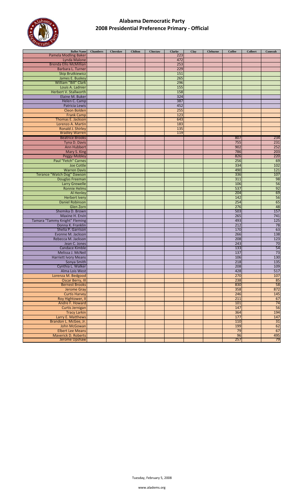

| <b>Ballot Name</b>                               | <b>Chambers</b> | <b>Cherokee</b> | <b>Chilton</b> | Choctaw | Clarke | Clay | <b>Cleburne</b> | <b>Coffee</b> | <b>Colbert</b> | Conecuh  |
|--------------------------------------------------|-----------------|-----------------|----------------|---------|--------|------|-----------------|---------------|----------------|----------|
| <b>Pamela Modling Baker</b>                      |                 |                 |                |         | 223    |      |                 |               |                |          |
| Lynda Malone                                     |                 |                 |                |         | 472    |      |                 |               |                |          |
| <b>Brenda Ellis McMillian</b>                    |                 |                 |                |         | 253    |      |                 |               |                |          |
| Barbara L. Turner                                |                 |                 |                |         | 229    |      |                 |               |                |          |
| <b>Skip Brutkiewicz</b>                          |                 |                 |                |         | 151    |      |                 |               |                |          |
| James E. Buskey                                  |                 |                 |                |         | 265    |      |                 |               |                |          |
| William "Bill" Clark                             |                 |                 |                |         | 296    |      |                 |               |                |          |
| Louis A. Ladnier                                 |                 |                 |                |         | 155    |      |                 |               |                |          |
| Herbert V. Stallworth                            |                 |                 |                |         | 158    |      |                 |               |                |          |
| Elaine M. Buker                                  |                 |                 |                |         | 324    |      |                 |               |                |          |
| Helen C. Camp                                    |                 |                 |                |         | 387    |      |                 |               |                |          |
| Patricia Lewis                                   |                 |                 |                |         | 452    |      |                 |               |                |          |
| <b>Cleon Bolden</b>                              |                 |                 |                |         | 255    |      |                 |               |                |          |
| <b>Frank Camp</b>                                |                 |                 |                |         | 123    |      |                 |               |                |          |
| Thomas E. Jackson                                |                 |                 |                |         | 643    |      |                 |               |                |          |
| Lorenzo A. Martin                                |                 |                 |                |         | 183    |      |                 |               |                |          |
| Ronald J. Shirley                                |                 |                 |                |         | 135    |      |                 |               |                |          |
| <b>Bradley Warren</b>                            |                 |                 |                |         | 119    |      |                 |               |                |          |
| <b>Beatrice Brooks</b>                           |                 |                 |                |         |        |      |                 | 807           |                | 234      |
| Tyna D. Davis                                    |                 |                 |                |         |        |      |                 | 755           |                | 231      |
| Ann Hubbert                                      |                 |                 |                |         |        |      |                 | 902           |                | 252      |
| Mary S. King                                     |                 |                 |                |         |        |      |                 | 786           |                | 203      |
| <b>Peggy Mobley</b>                              |                 |                 |                |         |        |      |                 | 826           |                | 220      |
| Paul "Fetch" Carnes                              |                 |                 |                |         |        |      |                 | 256           |                | 69       |
| Joe Cottle                                       |                 |                 |                |         |        |      |                 | 334           |                | 102      |
| <b>Warren Davis</b>                              |                 |                 |                |         |        |      |                 | 490           |                | 121      |
| Terance "Watch Dog" Dawson                       |                 |                 |                |         |        |      |                 | 336           |                | 107      |
| Douglas Freeman                                  |                 |                 |                |         |        |      |                 | 311           |                | 98       |
| <b>Larry Grewelle</b>                            |                 |                 |                |         |        |      |                 | 106           |                | 56       |
| <b>Ronnie Helms</b>                              |                 |                 |                |         |        |      |                 | 537           |                | 92       |
| Al Henley                                        |                 |                 |                |         |        |      |                 | 204           |                | 69       |
| <b>Herbert Ivery</b>                             |                 |                 |                |         |        |      |                 | 142           |                | 56       |
| <b>Daniel Robinson</b>                           |                 |                 |                |         |        |      |                 | 254           |                | 65       |
| Glen Zorn                                        |                 |                 |                |         |        |      |                 | 276           |                | 48       |
| Shemika D. Brown                                 |                 |                 |                |         |        |      |                 | 503           |                | 157      |
| Maxine H. Ervin                                  |                 |                 |                |         |        |      |                 | 265           |                | 741      |
| Tamara "Tammy Knight" Fleming                    |                 |                 |                |         |        |      |                 | 493           |                | 125      |
| Donna K. Franklin                                |                 |                 |                |         |        |      |                 | 212           |                | 78<br>63 |
| Shelia P. Garrison                               |                 |                 |                |         |        |      |                 | 170<br>266    |                | 138      |
| Evonne M. Jackson<br>Rebecca M. Jackson          |                 |                 |                |         |        |      |                 | 208           |                | 123      |
|                                                  |                 |                 |                |         |        |      |                 |               |                |          |
| Jean C. Jones                                    |                 |                 |                |         |        |      |                 | 243<br>133    |                | 70<br>54 |
| Candace Kimble                                   |                 |                 |                |         |        |      |                 |               |                | 73       |
| Melissa J. McNeil<br><b>Harriett Ivory Means</b> |                 |                 |                |         |        |      |                 | 137<br>106    |                | 130      |
| Sonya Smith                                      |                 |                 |                |         |        |      |                 | 218           |                | 135      |
| Cynthia L. Walker                                |                 |                 |                |         |        |      |                 | 208           |                | 109      |
| Alma Lois West                                   |                 |                 |                |         |        |      |                 | 428           |                | 517      |
| Lorenza M. Bedgood                               |                 |                 |                |         |        |      |                 | 270           |                | 107      |
| <b>Oscar Berry, III</b>                          |                 |                 |                |         |        |      |                 | 238           |                | 85       |
| <b>Bernest Brooks</b>                            |                 |                 |                |         |        |      |                 | 830           |                | 58       |
| <b>Jerome Gray</b>                               |                 |                 |                |         |        |      |                 | 358           |                | 872      |
| <b>Curtis Harvey</b>                             |                 |                 |                |         |        |      |                 | 246           |                | 145      |
| Roy Hightower, II                                |                 |                 |                |         |        |      |                 | 211           |                | 67       |
| Andre F. Howard                                  |                 |                 |                |         |        |      |                 | 101           |                | 74       |
| Curtis Jernigan                                  |                 |                 |                |         |        |      |                 | 147           |                | 56       |
| <b>Tracy Larkin</b>                              |                 |                 |                |         |        |      |                 | 364           |                | 194      |
| Larry E. Matthews                                |                 |                 |                |         |        |      |                 | 177           |                | 147      |
| Brandon L. McGee, Jr.                            |                 |                 |                |         |        |      |                 | 110           |                | 31       |
| John McGowan                                     |                 |                 |                |         |        |      |                 | 199           |                | 62       |
| <b>Elbert Lee Means</b>                          |                 |                 |                |         |        |      |                 | 79            |                | 67       |
| <b>Maverick D. Roberts</b>                       |                 |                 |                |         |        |      |                 | 96            |                | 495      |
| <b>Jerome Upshaw</b>                             |                 |                 |                |         |        |      |                 | 257           |                | 79       |
|                                                  |                 |                 |                |         |        |      |                 |               |                |          |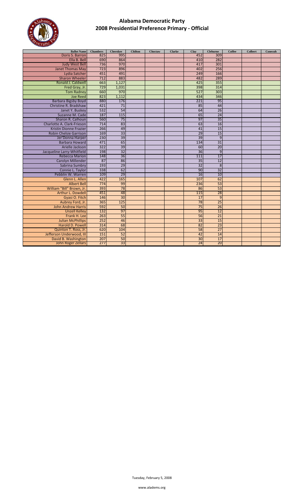

| <b>Ballot Name</b>            | <b>Chambers</b> | <b>Cherokee</b> | <b>Chilton</b> | Choctaw | <b>Clarke</b> | Clay            | <b>Cleburne</b> | <b>Coffee</b> | <b>Colbert</b> | Conecuh |
|-------------------------------|-----------------|-----------------|----------------|---------|---------------|-----------------|-----------------|---------------|----------------|---------|
| Doris S. Barron               | 825             | 995             |                |         |               | 452             | 309             |               |                |         |
| Ella B. Bell                  | 690             | 864             |                |         |               | 410             | 282             |               |                |         |
| <b>Judy West Bell</b>         | 736             | 970             |                |         |               | 417             | 301             |               |                |         |
| <b>Janet Thomas May</b>       | 723             | 896             |                |         |               | 402             | 256             |               |                |         |
| Lydia Satcher                 | 451             | 491             |                |         |               | 249             | 166             |               |                |         |
| <b>Sharon Wheeler</b>         | 712             | 883             |                |         |               | 482             | 289             |               |                |         |
| Ronald J. Caldwell            | 663             | 1,127           |                |         |               | 425             | 355             |               |                |         |
| Fred Gray, Jr.                | 729             | 1,031           |                |         |               | 398             | 314             |               |                |         |
| <b>Tom Radney</b>             | 660             | 970             |                |         |               | 527             | 303             |               |                |         |
| <b>Joe Reed</b>               | 823             | 1,112           |                |         |               | 434             | 346             |               |                |         |
| <b>Barbara Bigsby Boyd</b>    | 880             | 176             |                |         |               | 221             | 95              |               |                |         |
| Christine R. Bradshaw         | 421             | 71              |                |         |               | 85              | 44              |               |                |         |
| Janet Y. Buskey               | 532             | 54              |                |         |               | 64              | 26              |               |                |         |
| Suzanne M. Cade               | 187             | 115             |                |         |               | 65              | 24              |               |                |         |
| Sharon R. Calhoun             | 560             | 75              |                |         |               | 97              | 35              |               |                |         |
| Charlotte A. Clark-Frieson    | 714             | 83              |                |         |               | 63              | 16              |               |                |         |
| <b>Kristin Dionne Frazier</b> | 266             | 49              |                |         |               | 41              | $\overline{15}$ |               |                |         |
| Robin Chelsie Garrison        | 169             | 33              |                |         |               | 29              | 15              |               |                |         |
| Jer'Donna Harper              | 230             | 39              |                |         |               | 39              | 9               |               |                |         |
| <b>Barbara Howard</b>         | 471             | 65              |                |         |               | 134             | 31              |               |                |         |
| Arielle Jackson               | 322             | 39              |                |         |               | 60              | 20              |               |                |         |
| Jacqueline Larry-Whitfield    | 198             | $\overline{32}$ |                |         |               | $\overline{36}$ | 9               |               |                |         |
| <b>Rebecca Marion</b>         | 148             | 36              |                |         |               | 111             | 17              |               |                |         |
| <b>Carolyn Millender</b>      | 87              | 86              |                |         |               | $\overline{35}$ | $\overline{12}$ |               |                |         |
| Sabrina Sumbry                | 193             | 29              |                |         |               | $\overline{32}$ | 8               |               |                |         |
| Connie L. Taylor              | 338             | 62              |                |         |               | 90              | $\overline{32}$ |               |                |         |
| Pebblin W. Warren             | 109             | 29              |                |         |               | 16              | 10              |               |                |         |
| Glenn L. Allen                | 422             | 165             |                |         |               | 107             | 62              |               |                |         |
| <b>Albert Bell</b>            | 774             | 99              |                |         |               | 236             | 53              |               |                |         |
| William "Bill" Brown, Jr.     | 393             | 78              |                |         |               | 86              | 53              |               |                |         |
| Arthur L. Dowdell             | 451             | 48              |                |         |               | 115             | 28              |               |                |         |
| Gyasi O. Fitch                | 146             | 30              |                |         |               | 17              | 9               |               |                |         |
| Aubrey Ford, Jr.              | 365             | 125             |                |         |               | 78              | 25              |               |                |         |
| <b>John Andrew Harris</b>     | 592             | 50              |                |         |               | $\overline{75}$ | 26              |               |                |         |
| <b>Unzell Kelley</b>          | 132             | 97              |                |         |               | 95              | 12              |               |                |         |
| Frank H. Lee                  | 263             | 55              |                |         |               | 56              | 21              |               |                |         |
| <b>Julian McPhillips</b>      | 252             | 46              |                |         |               | $\overline{33}$ | 15              |               |                |         |
| Harold D. Powell              | 314             | 68              |                |         |               | 82              | 23              |               |                |         |
| Quinton T. Ross, Jr.          | 620             | 104             |                |         |               | 58              | $\overline{27}$ |               |                |         |
| Jefferson Underwood, III      | 151             | 52              |                |         |               | 42              | 14              |               |                |         |
| David B. Washington           | 207             | 50              |                |         |               | 30              | 17              |               |                |         |
| <b>John Roger Zellars</b>     | 277             | 33              |                |         |               | 24              | 20              |               |                |         |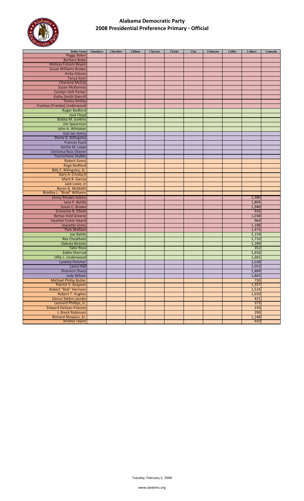

| <b>Ballot Name</b>                | <b>Chambers</b> | <b>Cherokee</b> | <b>Chilton</b> | Choctaw | <b>Clarke</b> | Clay | <b>Cleburne</b> | <b>Coffee</b> | <b>Colbert</b> | Conecuh |
|-----------------------------------|-----------------|-----------------|----------------|---------|---------------|------|-----------------|---------------|----------------|---------|
| <b>Peggy Baker</b>                |                 |                 |                |         |               |      |                 |               |                |         |
| Barbara Bobo                      |                 |                 |                |         |               |      |                 |               |                |         |
| Melissa Folsom Boyen              |                 |                 |                |         |               |      |                 |               |                |         |
| <b>Susan Williams Brown</b>       |                 |                 |                |         |               |      |                 |               |                |         |
| <b>Anita Gibson</b>               |                 |                 |                |         |               |      |                 |               |                |         |
| <b>Tanya Guin</b>                 |                 |                 |                |         |               |      |                 |               |                |         |
| <b>Charlene McCoy</b>             |                 |                 |                |         |               |      |                 |               |                |         |
|                                   |                 |                 |                |         |               |      |                 |               |                |         |
| <b>Susan McKenney</b>             |                 |                 |                |         |               |      |                 |               |                |         |
| Carolyn Holt Parker               |                 |                 |                |         |               |      |                 |               |                |         |
| <b>Kathy Smith Sherrill</b>       |                 |                 |                |         |               |      |                 |               |                |         |
| <b>Teresa Smiley</b>              |                 |                 |                |         |               |      |                 |               |                |         |
| Frankye (Frankie) Underwood       |                 |                 |                |         |               |      |                 |               |                |         |
| <b>Roger Bedford</b>              |                 |                 |                |         |               |      |                 |               |                |         |
| Jack Floyd                        |                 |                 |                |         |               |      |                 |               |                |         |
| <b>Bobby M. Junkins</b>           |                 |                 |                |         |               |      |                 |               |                |         |
| Jim Spearman                      |                 |                 |                |         |               |      |                 |               |                |         |
| John A. Whitaker                  |                 |                 |                |         |               |      |                 |               |                |         |
| <b>Gail Jan Avery</b>             |                 |                 |                |         |               |      |                 |               |                |         |
| Sheila G. Billingsley             |                 |                 |                |         |               |      |                 |               |                |         |
| <b>Frances Hunt</b>               |                 |                 |                |         |               |      |                 |               |                |         |
| Gertie M. Lowe                    |                 |                 |                |         |               |      |                 |               |                |         |
| Christina Ross-Sherer             |                 |                 |                |         |               |      |                 |               |                |         |
| Tourischeva Stubbs                |                 |                 |                |         |               |      |                 |               |                |         |
|                                   |                 |                 |                |         |               |      |                 |               |                |         |
| <b>Robert Avery</b>               |                 |                 |                |         |               |      |                 |               |                |         |
| <b>Roge Bedford</b>               |                 |                 |                |         |               |      |                 |               |                |         |
| Billy F. Billingsley, Sr.         |                 |                 |                |         |               |      |                 |               |                |         |
| Gary A. Crosby, II                |                 |                 |                |         |               |      |                 |               |                |         |
| Mark R. Garcia                    |                 |                 |                |         |               |      |                 |               |                |         |
| Jack Lowe, Jr                     |                 |                 |                |         |               |      |                 |               |                |         |
| Byron G. McMath                   |                 |                 |                |         |               |      |                 |               |                |         |
| <b>Bradley L. "Brad" Williams</b> |                 |                 |                |         |               |      |                 |               |                |         |
| Jenny Rhodes Askins               |                 |                 |                |         |               |      |                 |               | 1,380          |         |
| Jane P. Battle                    |                 |                 |                |         |               |      |                 |               | 1,804          |         |
| Susan C. Brown                    |                 |                 |                |         |               |      |                 |               | 1,940          |         |
| <b>Ernestine B. Elliott</b>       |                 |                 |                |         |               |      |                 |               | 916            |         |
| <b>Bettye Kidd Greene</b>         |                 |                 |                |         |               |      |                 |               | 1,038          |         |
| <b>Heather Fisher Heard</b>       |                 |                 |                |         |               |      |                 |               | 964            |         |
| Jeanette Jones                    |                 |                 |                |         |               |      |                 |               | 1,188          |         |
| Pam Wallace                       |                 |                 |                |         |               |      |                 |               | 1,973          |         |
| Joe Battle                        |                 |                 |                |         |               |      |                 |               | 2,154          |         |
| <b>Rex Cheatham</b>               |                 |                 |                |         |               |      |                 |               | 1,710          |         |
| Dakota Nichols                    |                 |                 |                |         |               |      |                 |               |                |         |
| <b>Tahir Rizvi</b>                |                 |                 |                |         |               |      |                 |               | 1,289          |         |
|                                   |                 |                 |                |         |               |      |                 |               | 352            |         |
| <b>Eddie Sherrod</b>              |                 |                 |                |         |               |      |                 |               | 1,656          |         |
| Ollie L. Underwood                |                 |                 |                |         |               |      |                 |               | 1,681          |         |
| Lynetta Fletcher                  |                 |                 |                |         |               |      |                 |               | 2,038          |         |
| Laura Hall                        |                 |                 |                |         |               |      |                 |               | 2,053          |         |
| <b>Shannon Sharp</b>              |                 |                 |                |         |               |      |                 |               | 1,889          |         |
| <b>Judy Wilson</b>                |                 |                 |                |         |               |      |                 |               | 1,865          |         |
| <b>Michael Phillip Butler</b>     |                 |                 |                |         |               |      |                 |               | 730            |         |
| Patrick V. Grayson                |                 |                 |                |         |               |      |                 |               | 1,357          |         |
| Robert "Bob" Harrison             |                 |                 |                |         |               |      |                 |               | 1,514          |         |
| <b>Robert T. Hughes</b>           |                 |                 |                |         |               |      |                 |               | 1,659          |         |
| <b>Darius Stefon Jacobs</b>       |                 |                 |                |         |               |      |                 |               | 431            |         |
| Leonard Phillips, Jr.             |                 |                 |                |         |               |      |                 |               | 373            |         |
| <b>Edward DeSean Polonio</b>      |                 |                 |                |         |               |      |                 |               | 230            |         |
| J. Breck Robinson                 |                 |                 |                |         |               |      |                 |               | 290            |         |
| Richard Showers, Sr.              |                 |                 |                |         |               |      |                 |               | 1,248          |         |
| Jeremy Taylor                     |                 |                 |                |         |               |      |                 |               | 450            |         |
|                                   |                 |                 |                |         |               |      |                 |               |                |         |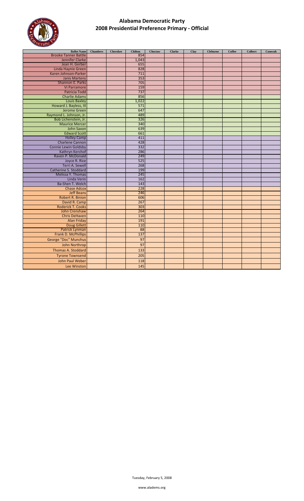

| <b>Ballot Name</b><br><b>Brooke Tanner Battle</b>     | <b>Chambers</b> | <b>Cherokee</b> | <b>Chilton</b><br>854 | Choctaw | <b>Clarke</b> | Clay | <b>Cleburne</b> | <b>Coffee</b> | <b>Colbert</b> | Conecuh |
|-------------------------------------------------------|-----------------|-----------------|-----------------------|---------|---------------|------|-----------------|---------------|----------------|---------|
| Jennifer Clarke                                       |                 |                 | 1,043                 |         |               |      |                 |               |                |         |
| Jean H. Gerber                                        |                 |                 | 655                   |         |               |      |                 |               |                |         |
| Linda Haynie Green                                    |                 |                 | 828                   |         |               |      |                 |               |                |         |
| Karen Johnson-Parker                                  |                 |                 | 711                   |         |               |      |                 |               |                |         |
| <b>Janis Martens</b>                                  |                 |                 | 353                   |         |               |      |                 |               |                |         |
| Shannon E. Parks                                      |                 |                 | 705                   |         |               |      |                 |               |                |         |
| Vi Parramore                                          |                 |                 | 159                   |         |               |      |                 |               |                |         |
| <b>Patricia Todd</b>                                  |                 |                 | 737                   |         |               |      |                 |               |                |         |
| <b>Charlie Adams</b>                                  |                 |                 | 856                   |         |               |      |                 |               |                |         |
| Louis Baxley                                          |                 |                 | 1,022                 |         |               |      |                 |               |                |         |
| Howard J. Bayless, III                                |                 |                 | 571                   |         |               |      |                 |               |                |         |
| Jerome Green                                          |                 |                 | 647                   |         |               |      |                 |               |                |         |
| Raymond L. Johnson, Jr.                               |                 |                 | 489                   |         |               |      |                 |               |                |         |
| Bob Lichenstein, Jr.                                  |                 |                 | 326                   |         |               |      |                 |               |                |         |
| <b>Maurice Mercer</b>                                 |                 |                 | 340                   |         |               |      |                 |               |                |         |
| John Saxon                                            |                 |                 | 639                   |         |               |      |                 |               |                |         |
| <b>Edward Scott</b>                                   |                 |                 | 661                   |         |               |      |                 |               |                |         |
| <b>Holley Camp</b>                                    |                 |                 | 411<br>428            |         |               |      |                 |               |                |         |
| <b>Charlene Cannon</b><br><b>Connie Lewin Goldsby</b> |                 |                 | 332                   |         |               |      |                 |               |                |         |
| Kathryn Kerchof                                       |                 |                 | 286                   |         |               |      |                 |               |                |         |
| Raven P. McDonald                                     |                 |                 | 249                   |         |               |      |                 |               |                |         |
| Joyce R. Rice                                         |                 |                 | 525                   |         |               |      |                 |               |                |         |
| <b>Terri A. Sewell</b>                                |                 |                 | 268                   |         |               |      |                 |               |                |         |
| Catherine S. Stoddard                                 |                 |                 | 199                   |         |               |      |                 |               |                |         |
| Melissa Y. Thomas                                     |                 |                 | 245                   |         |               |      |                 |               |                |         |
| Linda Verin                                           |                 |                 | 162                   |         |               |      |                 |               |                |         |
| Ba-Shen T. Welch                                      |                 |                 | 143                   |         |               |      |                 |               |                |         |
| <b>Chase Adcox</b>                                    |                 |                 | 228                   |         |               |      |                 |               |                |         |
| <b>Jeff Beans</b>                                     |                 |                 | 246                   |         |               |      |                 |               |                |         |
| <b>Robert R. Binion</b>                               |                 |                 | 606                   |         |               |      |                 |               |                |         |
| David R. Camp                                         |                 |                 | 267                   |         |               |      |                 |               |                |         |
| <b>Roderick T. Cooks</b>                              |                 |                 | 303                   |         |               |      |                 |               |                |         |
| John Crenshaw                                         |                 |                 | 264                   |         |               |      |                 |               |                |         |
| <b>Chris DeHaven</b>                                  |                 |                 | 110                   |         |               |      |                 |               |                |         |
| <b>Alan Friday</b>                                    |                 |                 | 191<br>110            |         |               |      |                 |               |                |         |
| <b>Doug Gillett</b>                                   |                 |                 | 88                    |         |               |      |                 |               |                |         |
| Patrick Lynman<br>Frank D. McPhillips                 |                 |                 | 137                   |         |               |      |                 |               |                |         |
| George "Doc" Munchus                                  |                 |                 | 97                    |         |               |      |                 |               |                |         |
|                                                       |                 |                 |                       |         |               |      |                 |               |                |         |
| John Northrop                                         |                 |                 | 97                    |         |               |      |                 |               |                |         |
| Thomas A. Stoddard                                    |                 |                 | 133                   |         |               |      |                 |               |                |         |
| <b>Tyrone Townsend</b>                                |                 |                 | 205                   |         |               |      |                 |               |                |         |
| John Paul Weber                                       |                 |                 | 118                   |         |               |      |                 |               |                |         |
| Lee Winston                                           |                 |                 | 145                   |         |               |      |                 |               |                |         |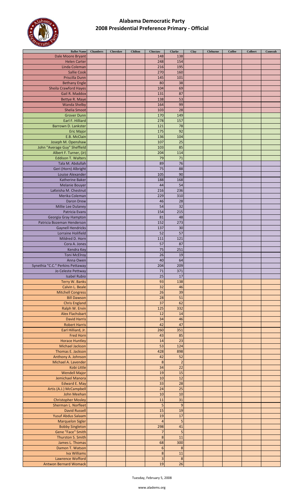

| <b>Ballot Name</b>               | <b>Chambers</b> | <b>Cherokee</b> | <b>Chilton</b> | Choctaw                 | <b>Clarke</b>   | Clay | <b>Cleburne</b> | Coffee | <b>Colbert</b> | Conecuh |
|----------------------------------|-----------------|-----------------|----------------|-------------------------|-----------------|------|-----------------|--------|----------------|---------|
| Dale Moore Bryant                |                 |                 |                | 148                     | 138             |      |                 |        |                |         |
| <b>Helen Carter</b>              |                 |                 |                | 248                     | 154             |      |                 |        |                |         |
| Linda Coleman                    |                 |                 |                | 216                     | 195             |      |                 |        |                |         |
|                                  |                 |                 |                |                         |                 |      |                 |        |                |         |
| <b>Sallie Cook</b>               |                 |                 |                | 270                     | 160             |      |                 |        |                |         |
| Priscilla Dunn                   |                 |                 |                | 145                     | 101             |      |                 |        |                |         |
| <b>Bethany Engle</b>             |                 |                 |                | 80                      | 38              |      |                 |        |                |         |
| <b>Sheila Crawford Hayes</b>     |                 |                 |                | 104                     | 69              |      |                 |        |                |         |
| Gail R. Maddox                   |                 |                 |                | 131                     | 87              |      |                 |        |                |         |
|                                  |                 |                 |                | 138                     | 53              |      |                 |        |                |         |
| Bettye R. Maye                   |                 |                 |                |                         |                 |      |                 |        |                |         |
| <b>Wanda Shelby</b>              |                 |                 |                | 164                     | 99              |      |                 |        |                |         |
| <b>Shelia Smoot</b>              |                 |                 |                | 103                     | 28              |      |                 |        |                |         |
| <b>Grover Dunn</b>               |                 |                 |                | 170                     | 149             |      |                 |        |                |         |
| Earl F. Hilliard                 |                 |                 |                | 278                     | 157             |      |                 |        |                |         |
| Barrown D. Lankster              |                 |                 |                | 121                     | 78              |      |                 |        |                |         |
|                                  |                 |                 |                |                         |                 |      |                 |        |                |         |
| <b>Eric Major</b>                |                 |                 |                | 175                     | 92              |      |                 |        |                |         |
| E.B. McClain                     |                 |                 |                | 136                     | 104             |      |                 |        |                |         |
| Joseph M. Openshaw               |                 |                 |                | 107                     | 25              |      |                 |        |                |         |
| John "Average Guy" Sheffield     |                 |                 |                | 103                     | 85              |      |                 |        |                |         |
| Albert F. Turner, (Jr)           |                 |                 |                | 204                     | 114             |      |                 |        |                |         |
| <b>Eddison T. Walters</b>        |                 |                 |                |                         |                 |      |                 |        |                |         |
|                                  |                 |                 |                | 79                      | 71              |      |                 |        |                |         |
| Tala M. Abdullah                 |                 |                 |                | 89                      | 76              |      |                 |        |                |         |
| Geri (Horn) Albright             |                 |                 |                | 75                      | 88              |      |                 |        |                |         |
| Louise Alexander                 |                 |                 |                | 105                     | 90              |      |                 |        |                |         |
| Katherine Baker                  |                 |                 |                | 188                     | 168             |      |                 |        |                |         |
|                                  |                 |                 |                |                         |                 |      |                 |        |                |         |
| <b>Melanie Bouyer</b>            |                 |                 |                | 44                      | 54              |      |                 |        |                |         |
| LaKeisha M. Chestnut             |                 |                 |                | 216                     | 236             |      |                 |        |                |         |
| Merika Coleman                   |                 |                 |                | 229                     | 310             |      |                 |        |                |         |
| Daron Drew                       |                 |                 |                | 46                      | 28              |      |                 |        |                |         |
|                                  |                 |                 |                |                         |                 |      |                 |        |                |         |
| Millie Lee Dulaney               |                 |                 |                | 54                      | 32              |      |                 |        |                |         |
| Patricia Evans                   |                 |                 |                | 154                     | 215             |      |                 |        |                |         |
| Georgia Gray Hampton             |                 |                 |                | 81                      | 48              |      |                 |        |                |         |
| Patricia Bozeman Henderson       |                 |                 |                | 152                     | 273             |      |                 |        |                |         |
|                                  |                 |                 |                |                         |                 |      |                 |        |                |         |
| <b>Gaynell Hendricks</b>         |                 |                 |                | 137                     | 30              |      |                 |        |                |         |
| Lorraine Holifield               |                 |                 |                | 52                      | 57              |      |                 |        |                |         |
| Mildred D. Horn                  |                 |                 |                | 111                     | 121             |      |                 |        |                |         |
| Cora A. Jones                    |                 |                 |                | 57                      | 87              |      |                 |        |                |         |
|                                  |                 |                 |                |                         |                 |      |                 |        |                |         |
| Kendra Key                       |                 |                 |                | 75                      | 251             |      |                 |        |                |         |
| <b>Toni McElroy</b>              |                 |                 |                | 26                      | 19              |      |                 |        |                |         |
| Anna Owen                        |                 |                 |                | 40                      | 64              |      |                 |        |                |         |
| Synethia "C.C." Perkins Pettaway |                 |                 |                | 204                     | 209             |      |                 |        |                |         |
|                                  |                 |                 |                | 71                      | 371             |      |                 |        |                |         |
| Jo Celeste Pettway               |                 |                 |                |                         |                 |      |                 |        |                |         |
| <b>Isabel Rubio</b>              |                 |                 |                | 25                      | 17              |      |                 |        |                |         |
| Terry W. Banks                   |                 |                 |                | 93                      | 138             |      |                 |        |                |         |
| Calvin L. Beale                  |                 |                 |                | $\overline{32}$         | 46              |      |                 |        |                |         |
| <b>Mitchell Congress</b>         |                 |                 |                | 26                      | 39              |      |                 |        |                |         |
|                                  |                 |                 |                |                         |                 |      |                 |        |                |         |
| <b>Bill Dawson</b>               |                 |                 |                | 28                      | 51              |      |                 |        |                |         |
| <b>Chris England</b>             |                 |                 |                | 37                      | 62              |      |                 |        |                |         |
| Ralph W. Ervin                   |                 |                 |                | 125                     | 332             |      |                 |        |                |         |
| <b>Alex Flachsbart</b>           |                 |                 |                | 12                      | 14              |      |                 |        |                |         |
| <b>David Harris</b>              |                 |                 |                | 34                      | 46              |      |                 |        |                |         |
|                                  |                 |                 |                |                         |                 |      |                 |        |                |         |
| <b>Robert Harris</b>             |                 |                 |                | 42                      | 47              |      |                 |        |                |         |
| Earl Hilliard, Jr.               |                 |                 |                | 260                     | 351             |      |                 |        |                |         |
| <b>Fred Horn</b>                 |                 |                 |                | 43                      | 85              |      |                 |        |                |         |
| <b>Horace Huntley</b>            |                 |                 |                | 14                      | $\overline{23}$ |      |                 |        |                |         |
| Michael Jackson                  |                 |                 |                | 53                      | 124             |      |                 |        |                |         |
|                                  |                 |                 |                |                         |                 |      |                 |        |                |         |
| Thomas E. Jackson                |                 |                 |                | 428                     | 898             |      |                 |        |                |         |
| Anthony A. Johnson               |                 |                 |                | 42                      | 52              |      |                 |        |                |         |
| Michael A. Lavender              |                 |                 |                | $\bf 8$                 | $\overline{c}$  |      |                 |        |                |         |
| Kobi Little                      |                 |                 |                | $\overline{34}$         | 22              |      |                 |        |                |         |
|                                  |                 |                 |                |                         |                 |      |                 |        |                |         |
| <b>Wendell Major</b>             |                 |                 |                | 19                      | 15              |      |                 |        |                |         |
| Jemichael Manora                 |                 |                 |                | 10                      | 12              |      |                 |        |                |         |
| <b>Edward E. May</b>             |                 |                 |                | 33                      | 28              |      |                 |        |                |         |
| Artis (A.J.) McCampbell          |                 |                 |                | 24                      | 25              |      |                 |        |                |         |
|                                  |                 |                 |                | 10                      | 10              |      |                 |        |                |         |
| John Meehan                      |                 |                 |                |                         |                 |      |                 |        |                |         |
| <b>Christopher Mosley</b>        |                 |                 |                | 11                      | 31              |      |                 |        |                |         |
| Sherman L. Norfleet              |                 |                 |                | 5                       | 9               |      |                 |        |                |         |
| <b>David Russell</b>             |                 |                 |                | 15                      | 19              |      |                 |        |                |         |
| Yusuf Abdus Salaam               |                 |                 |                | 19                      | 17              |      |                 |        |                |         |
|                                  |                 |                 |                |                         |                 |      |                 |        |                |         |
| <b>Marquelon Sigler</b>          |                 |                 |                | $\overline{4}$          | 5               |      |                 |        |                |         |
| <b>Bobby Singleton</b>           |                 |                 |                | 298                     | 41              |      |                 |        |                |         |
| Gene "Face" Smith                |                 |                 |                | $\overline{7}$          | 5               |      |                 |        |                |         |
| Thurston S. Smith                |                 |                 |                | $\bf 8$                 | 11              |      |                 |        |                |         |
|                                  |                 |                 |                |                         |                 |      |                 |        |                |         |
| James L. Thomas                  |                 |                 |                | 68                      | 300             |      |                 |        |                |         |
| Damon T. Watson                  |                 |                 |                | $\boldsymbol{6}$        | 8               |      |                 |        |                |         |
| <b>Iva Williams</b>              |                 |                 |                | $\bf 8$                 | 11              |      |                 |        |                |         |
| Lawrence Wofford                 |                 |                 |                | $\overline{\mathbf{3}}$ | $\bf 8$         |      |                 |        |                |         |
| <b>Antwon Bernard Womack</b>     |                 |                 |                |                         |                 |      |                 |        |                |         |
|                                  |                 |                 |                | 19                      | 26              |      |                 |        |                |         |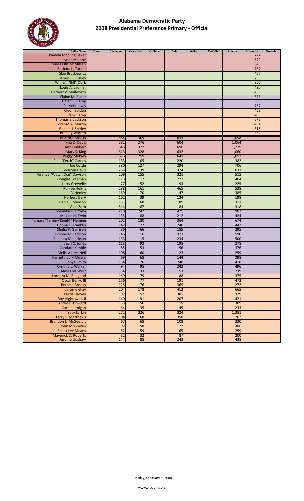

| <b>Ballot Name</b>            | Coosa | Covington | Crenshaw | <b>Cullman</b> | <b>Dale</b> | <b>Dallas</b> | <b>DeKalb</b> | <b>Elmore</b> | <b>Escambia</b> | Etowah |
|-------------------------------|-------|-----------|----------|----------------|-------------|---------------|---------------|---------------|-----------------|--------|
| <b>Pamela Modling Baker</b>   |       |           |          |                |             |               |               |               | 724             |        |
| <b>Lynda Malone</b>           |       |           |          |                |             |               |               |               | 872             |        |
| <b>Brenda Ellis McMillian</b> |       |           |          |                |             |               |               |               | 846             |        |
| Barbara L. Turner             |       |           |          |                |             |               |               |               | 787             |        |
| <b>Skip Brutkiewicz</b>       |       |           |          |                |             |               |               |               | 457             |        |
| James E. Buskey               |       |           |          |                |             |               |               |               | 785             |        |
| William "Bill" Clark          |       |           |          |                |             |               |               |               | 850             |        |
| Louis A. Ladnier              |       |           |          |                |             |               |               |               | 490             |        |
| Herbert V. Stallworth         |       |           |          |                |             |               |               |               | 466             |        |
|                               |       |           |          |                |             |               |               |               |                 |        |
| Elaine M. Buker               |       |           |          |                |             |               |               |               | 678             |        |
| Helen C. Camp                 |       |           |          |                |             |               |               |               | 688             |        |
| Patricia Lewis                |       |           |          |                |             |               |               |               | 767             |        |
| <b>Cleon Bolden</b>           |       |           |          |                |             |               |               |               | 453             |        |
| <b>Frank Camp</b>             |       |           |          |                |             |               |               |               | 408             |        |
| Thomas E. Jackson             |       |           |          |                |             |               |               |               | 675             |        |
| Lorenzo A. Martin             |       |           |          |                |             |               |               |               | 481             |        |
| Ronald J. Shirley             |       |           |          |                |             |               |               |               | 316             |        |
| <b>Bradley Warren</b>         |       |           |          |                |             |               |               |               | 334             |        |
| <b>Beatrice Brooks</b>        |       | 584       | 305      |                | 633         |               |               | 1,098         |                 |        |
| Tyna D. Davis                 |       | 582       | 276      |                | 604         |               |               | 1,064         |                 |        |
| Ann Hubbert                   |       | 646       | 322      |                | 696         |               |               | 1,279         |                 |        |
| Mary S. King                  |       | 613       | 328      |                | 632         |               |               | 1,060         |                 |        |
| <b>Peggy Mobley</b>           |       | 676       | 259      |                | 641         |               |               | 1,052         |                 |        |
| <b>Paul "Fetch" Carnes</b>    |       | 133       | 105      |                | 220         |               |               | 382           |                 |        |
| <b>Joe Cottle</b>             |       | 380       | 127      |                | 294         |               |               | 706           |                 |        |
| <b>Warren Davis</b>           |       | 283       | 139      |                | 374         |               |               | 637           |                 |        |
| Terance "Watch Dog" Dawson    |       | 209       | 155      |                | 321         |               |               | 515           |                 |        |
| Douglas Freeman               |       | 173       | 117      |                | 277         |               |               | 464           |                 |        |
| <b>Larry Grewelle</b>         |       | 77        | 52       |                | 93          |               |               | 225           |                 |        |
| <b>Ronnie Helms</b>           |       | 288       | 161      |                | 465         |               |               | 538           |                 |        |
| Al Henley                     |       | 169       | 70       |                | 147         |               |               | 385           |                 |        |
| <b>Herbert Ivery</b>          |       | 102       | 39       |                | 134         |               |               | 198           |                 |        |
| <b>Daniel Robinson</b>        |       | 131       | 68       |                | 189         |               |               | 311           |                 |        |
| Glen Zorn                     |       | 514       | 67       |                | 184         |               |               | 318           |                 |        |
| Shemika D. Brown              |       | 278       | 242      |                | 475         |               |               | 907           |                 |        |
| Maxine H. Ervin               |       | 135       | 88       |                | 212         |               |               | 424           |                 |        |
| Tamara "Tammy Knight" Fleming |       | 202       | 180      |                | 364         |               |               | 674           |                 |        |
| Donna K. Franklin             |       | 142       | 127      |                | 240         |               |               | 442           |                 |        |
| Shelia P. Garrison            |       | 86        | 66       |                | 185         |               |               | 295           |                 |        |
| Evonne M. Jackson             |       | 146       | 116      |                | 323         |               |               | 590           |                 |        |
|                               |       | 133       | 115      |                | 234         |               |               | 500           |                 |        |
| Rebecca M. Jackson            |       |           |          |                |             |               |               |               |                 |        |
| Jean C. Jones                 |       | 113       | 92       |                | 198         |               |               | 278           |                 |        |
| Candace Kimble                |       | 85        | 53       |                | 156         |               |               | 376           |                 |        |
| Melissa J. McNeil             |       | 108       | 60       |                | 123         |               |               | 259           |                 |        |
| <b>Harriett Ivory Means</b>   |       | 69        | 68       |                | 144         |               |               | 298           |                 |        |
| Sonya Smith                   |       | 134       | 76       |                | 248         |               |               | 418           |                 |        |
| Cynthia L. Walker             |       | 94        | 95       |                | 242         |               |               | 496           |                 |        |
| Alma Lois West                |       | 54        | 33       |                | 153         |               |               | 239           |                 |        |
| Lorenza M. Bedgood            |       | 169       | 179      |                | 188         |               |               | 375           |                 |        |
| <b>Oscar Berry, III</b>       |       | 156       | 77       |                | 191         |               |               | 473           |                 |        |
| <b>Bernest Brooks</b>         |       | 125       | 76       |                | 365         |               |               | 272           |                 |        |
| <b>Jerome Gray</b>            |       | 204       | 178      |                | 412         |               |               | 665           |                 |        |
| <b>Curtis Harvey</b>          |       | 97        | 57       |                | 381         |               |               | 379           |                 |        |
| Roy Hightower, II             |       | 140       | 91       |                | 207         |               |               | 421           |                 |        |
| Andre F. Howard               |       | 53        | 56       |                | 115         |               |               | 309           |                 |        |
| Curtis Jernigan               |       | 64        | 35       |                | 145         |               |               | 233           |                 |        |
| <b>Tracy Larkin</b>           |       | 272       | 326      |                | 324         |               |               | 1,381         |                 |        |
| Larry E. Matthews             |       | 104       | 68       |                | 358         |               |               | 262           |                 |        |
| Brandon L. McGee, Jr.         |       | 67        | 68       |                | 108         |               |               | 230           |                 |        |
| John McGowan                  |       | 92        | 58       |                | 172         |               |               | 306           |                 |        |
| <b>Elbert Lee Means</b>       |       | 52        | 59       |                | 65          |               |               | 259           |                 |        |
| <b>Maverick D. Roberts</b>    |       | 32        | 32       |                | 87          |               |               | 200           |                 |        |
| Jerome Upshaw                 |       | 144       | 88       |                | 243         |               |               | 438           |                 |        |
|                               |       |           |          |                |             |               |               |               |                 |        |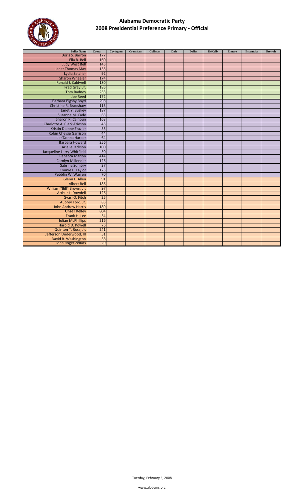

| <b>Ballot Name</b>            | Coosa           | Covington | Crenshaw | <b>Cullman</b> | <b>Dale</b> | <b>Dallas</b> | <b>DeKalb</b> | <b>Elmore</b> | <b>Escambia</b> | <b>Etowah</b> |
|-------------------------------|-----------------|-----------|----------|----------------|-------------|---------------|---------------|---------------|-----------------|---------------|
| Doris S. Barron               | 177             |           |          |                |             |               |               |               |                 |               |
| Ella B. Bell                  | 160             |           |          |                |             |               |               |               |                 |               |
| <b>Judy West Bell</b>         | 145             |           |          |                |             |               |               |               |                 |               |
| <b>Janet Thomas May</b>       | 155             |           |          |                |             |               |               |               |                 |               |
| Lydia Satcher                 | 92              |           |          |                |             |               |               |               |                 |               |
| <b>Sharon Wheeler</b>         | 174             |           |          |                |             |               |               |               |                 |               |
| Ronald J. Caldwell            | 180             |           |          |                |             |               |               |               |                 |               |
| Fred Gray, Jr.                | 185             |           |          |                |             |               |               |               |                 |               |
| <b>Tom Radney</b>             | 233             |           |          |                |             |               |               |               |                 |               |
| <b>Joe Reed</b>               | 172             |           |          |                |             |               |               |               |                 |               |
| <b>Barbara Bigsby Boyd</b>    | 298             |           |          |                |             |               |               |               |                 |               |
| Christine R. Bradshaw         | 113             |           |          |                |             |               |               |               |                 |               |
| Janet Y. Buskey               | 187             |           |          |                |             |               |               |               |                 |               |
| Suzanne M. Cade               | 63              |           |          |                |             |               |               |               |                 |               |
| Sharon R. Calhoun             | 163             |           |          |                |             |               |               |               |                 |               |
| Charlotte A. Clark-Frieson    | 45              |           |          |                |             |               |               |               |                 |               |
| <b>Kristin Dionne Frazier</b> | 55              |           |          |                |             |               |               |               |                 |               |
| <b>Robin Chelsie Garrison</b> | 44              |           |          |                |             |               |               |               |                 |               |
| Jer'Donna Harper              | 64              |           |          |                |             |               |               |               |                 |               |
| <b>Barbara Howard</b>         | 256             |           |          |                |             |               |               |               |                 |               |
| Arielle Jackson               | 100             |           |          |                |             |               |               |               |                 |               |
| Jacqueline Larry-Whitfield    | 50              |           |          |                |             |               |               |               |                 |               |
| <b>Rebecca Marion</b>         | 414             |           |          |                |             |               |               |               |                 |               |
| <b>Carolyn Millender</b>      | 126             |           |          |                |             |               |               |               |                 |               |
| Sabrina Sumbry                | $\overline{37}$ |           |          |                |             |               |               |               |                 |               |
| Connie L. Taylor              | 125             |           |          |                |             |               |               |               |                 |               |
| Pebblin W. Warren             | $\overline{70}$ |           |          |                |             |               |               |               |                 |               |
| Glenn L. Allen                | 91              |           |          |                |             |               |               |               |                 |               |
| <b>Albert Bell</b>            | 186             |           |          |                |             |               |               |               |                 |               |
| William "Bill" Brown, Jr.     | 97              |           |          |                |             |               |               |               |                 |               |
| Arthur L. Dowdell             | 126             |           |          |                |             |               |               |               |                 |               |
| Gyasi O. Fitch                | 25              |           |          |                |             |               |               |               |                 |               |
| Aubrey Ford, Jr.              | 85              |           |          |                |             |               |               |               |                 |               |
| <b>John Andrew Harris</b>     | 189             |           |          |                |             |               |               |               |                 |               |
| <b>Unzell Kelley</b>          | 804             |           |          |                |             |               |               |               |                 |               |
| Frank H. Lee                  | 54              |           |          |                |             |               |               |               |                 |               |
| <b>Julian McPhillips</b>      | 216             |           |          |                |             |               |               |               |                 |               |
| Harold D. Powell              | 76              |           |          |                |             |               |               |               |                 |               |
| Quinton T. Ross, Jr.          | 241             |           |          |                |             |               |               |               |                 |               |
| Jefferson Underwood, III      | 51              |           |          |                |             |               |               |               |                 |               |
| David B. Washington           | 38              |           |          |                |             |               |               |               |                 |               |
| John Roger Zellars            | 29              |           |          |                |             |               |               |               |                 |               |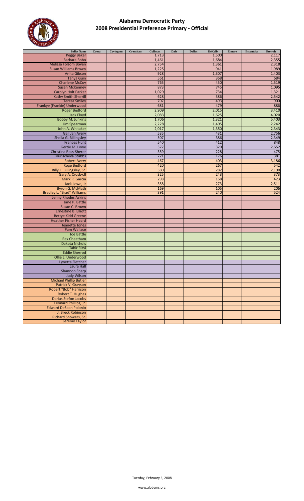

| <b>Ballot Name</b>                | Coosa | Covington | Crenshaw | Cullman | <b>Dale</b> | <b>Dallas</b> | <b>DeKalb</b> | <b>Elmore</b> | Escambia | Etowah |
|-----------------------------------|-------|-----------|----------|---------|-------------|---------------|---------------|---------------|----------|--------|
| <b>Peggy Baker</b>                |       |           |          | 1,713   |             |               | 1,500         |               |          | 2,117  |
| <b>Barbara Bobo</b>               |       |           |          | 1,461   |             |               | 1,684         |               |          | 2,355  |
| Melissa Folsom Boyen              |       |           |          | 2,754   |             |               | 1,361         |               |          | 2,318  |
| <b>Susan Williams Brown</b>       |       |           |          | 1,225   |             |               | 941           |               |          | 1,989  |
| <b>Anita Gibson</b>               |       |           |          | 928     |             |               | 1,307         |               |          | 1,403  |
| <b>Tanya Guin</b>                 |       |           |          | 561     |             |               | 368           |               |          | 684    |
|                                   |       |           |          |         |             |               |               |               |          |        |
| <b>Charlene McCoy</b>             |       |           |          | 765     |             |               | 450           |               |          | 1,519  |
| <b>Susan McKenney</b>             |       |           |          | 873     |             |               | 745           |               |          | 1,095  |
| Carolyn Holt Parker               |       |           |          | 1,029   |             |               | 734           |               |          | 1,321  |
| <b>Kathy Smith Sherrill</b>       |       |           |          | 628     |             |               | 386           |               |          | 2,542  |
| <b>Teresa Smiley</b>              |       |           |          | 707     |             |               | 493           |               |          | 900    |
| Frankye (Frankie) Underwood       |       |           |          | 681     |             |               | 479           |               |          | 886    |
| <b>Roger Bedford</b>              |       |           |          | 2,909   |             |               | 2,015         |               |          | 3,410  |
| Jack Floyd                        |       |           |          | 2,083   |             |               | 1,625         |               |          | 4,020  |
| <b>Bobby M. Junkins</b>           |       |           |          | 1,706   |             |               | 1,321         |               |          | 5,403  |
| Jim Spearman                      |       |           |          | 2,228   |             |               | 1,495         |               |          | 2,242  |
| John A. Whitaker                  |       |           |          | 2,017   |             |               | 1,350         |               |          | 2,343  |
| Gail Jan Avery                    |       |           |          | 535     |             |               | 431           |               |          | 2,756  |
|                                   |       |           |          |         |             |               |               |               |          |        |
| Sheila G. Billingsley             |       |           |          | 507     |             |               | 386           |               |          | 2,349  |
| <b>Frances Hunt</b>               |       |           |          | 540     |             |               | 412           |               |          | 848    |
| Gertie M. Lowe                    |       |           |          | 377     |             |               | 320           |               |          | 2,652  |
| Christina Ross-Sherer             |       |           |          | 359     |             |               | 228           |               |          | 475    |
| Tourischeva Stubbs                |       |           |          | 221     |             |               | 176           |               |          | 381    |
| <b>Robert Avery</b>               |       |           |          | 467     |             |               | 403           |               |          | 3,186  |
| Roge Bedford                      |       |           |          | 420     |             |               | 267           |               |          | 542    |
| Billy F. Billingsley, Sr.         |       |           |          | 380     |             |               | 282           |               |          | 2,190  |
| Gary A. Crosby, II                |       |           |          | 325     |             |               | 243           |               |          | 373    |
| Mark R. Garcia                    |       |           |          | 298     |             |               | 168           |               |          | 423    |
| Jack Lowe, Jr                     |       |           |          | 358     |             |               | 273           |               |          | 2,511  |
| <b>Byron G. McMath</b>            |       |           |          | 169     |             |               | 105           |               |          | 206    |
| <b>Bradley L. "Brad" Williams</b> |       |           |          | 391     |             |               | 240           |               |          | 524    |
|                                   |       |           |          |         |             |               |               |               |          |        |
| Jenny Rhodes Askins               |       |           |          |         |             |               |               |               |          |        |
| Jane P. Battle                    |       |           |          |         |             |               |               |               |          |        |
| Susan C. Brown                    |       |           |          |         |             |               |               |               |          |        |
| <b>Ernestine B. Elliott</b>       |       |           |          |         |             |               |               |               |          |        |
| <b>Bettye Kidd Greene</b>         |       |           |          |         |             |               |               |               |          |        |
| <b>Heather Fisher Heard</b>       |       |           |          |         |             |               |               |               |          |        |
| Jeanette Jones                    |       |           |          |         |             |               |               |               |          |        |
| Pam Wallace                       |       |           |          |         |             |               |               |               |          |        |
| Joe Battle                        |       |           |          |         |             |               |               |               |          |        |
| <b>Rex Cheatham</b>               |       |           |          |         |             |               |               |               |          |        |
| <b>Dakota Nichols</b>             |       |           |          |         |             |               |               |               |          |        |
| <b>Tahir Rizvi</b>                |       |           |          |         |             |               |               |               |          |        |
| <b>Eddie Sherrod</b>              |       |           |          |         |             |               |               |               |          |        |
| Ollie L. Underwood                |       |           |          |         |             |               |               |               |          |        |
|                                   |       |           |          |         |             |               |               |               |          |        |
| Lynetta Fletcher                  |       |           |          |         |             |               |               |               |          |        |
| Laura Hall                        |       |           |          |         |             |               |               |               |          |        |
| <b>Shannon Sharp</b>              |       |           |          |         |             |               |               |               |          |        |
| <b>Judy Wilson</b>                |       |           |          |         |             |               |               |               |          |        |
| <b>Michael Phillip Butler</b>     |       |           |          |         |             |               |               |               |          |        |
| Patrick V. Grayson                |       |           |          |         |             |               |               |               |          |        |
| Robert "Bob" Harrison             |       |           |          |         |             |               |               |               |          |        |
| <b>Robert T. Hughes</b>           |       |           |          |         |             |               |               |               |          |        |
| <b>Darius Stefon Jacobs</b>       |       |           |          |         |             |               |               |               |          |        |
| Leonard Phillips, Jr.             |       |           |          |         |             |               |               |               |          |        |
| <b>Edward DeSean Polonio</b>      |       |           |          |         |             |               |               |               |          |        |
| J. Breck Robinson                 |       |           |          |         |             |               |               |               |          |        |
| Richard Showers, Sr.              |       |           |          |         |             |               |               |               |          |        |
| Jeremy Taylor                     |       |           |          |         |             |               |               |               |          |        |
|                                   |       |           |          |         |             |               |               |               |          |        |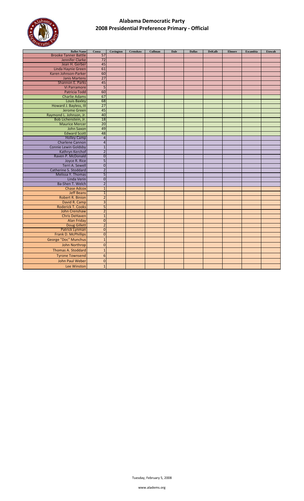

| <b>Ballot Name</b>                         | Coosa                            | Covington | Crenshaw | <b>Cullman</b> | <b>Dale</b> | <b>Dallas</b> | <b>DeKalb</b> | <b>Elmore</b> | Escambia | <b>Etowah</b> |
|--------------------------------------------|----------------------------------|-----------|----------|----------------|-------------|---------------|---------------|---------------|----------|---------------|
| <b>Brooke Tanner Battle</b>                | 57                               |           |          |                |             |               |               |               |          |               |
| Jennifer Clarke                            | 72                               |           |          |                |             |               |               |               |          |               |
| Jean H. Gerber                             | 45                               |           |          |                |             |               |               |               |          |               |
| Linda Haynie Green                         | 61                               |           |          |                |             |               |               |               |          |               |
| Karen Johnson-Parker                       | 60                               |           |          |                |             |               |               |               |          |               |
| <b>Janis Martens</b>                       | $\overline{27}$                  |           |          |                |             |               |               |               |          |               |
| Shannon E. Parks                           | 45                               |           |          |                |             |               |               |               |          |               |
| <b>Vi Parramore</b>                        | $\overline{5}$                   |           |          |                |             |               |               |               |          |               |
| Patricia Todd                              | 60                               |           |          |                |             |               |               |               |          |               |
| <b>Charlie Adams</b>                       | 67                               |           |          |                |             |               |               |               |          |               |
| <b>Louis Baxley</b>                        | 68                               |           |          |                |             |               |               |               |          |               |
| Howard J. Bayless, III                     | 27                               |           |          |                |             |               |               |               |          |               |
| <b>Jerome Green</b>                        | 45                               |           |          |                |             |               |               |               |          |               |
| Raymond L. Johnson, Jr.                    | 40                               |           |          |                |             |               |               |               |          |               |
| Bob Lichenstein, Jr.                       | 18                               |           |          |                |             |               |               |               |          |               |
| <b>Maurice Mercer</b>                      | 20                               |           |          |                |             |               |               |               |          |               |
| John Saxon                                 | 49                               |           |          |                |             |               |               |               |          |               |
| <b>Edward Scott</b>                        | 48                               |           |          |                |             |               |               |               |          |               |
| <b>Holley Camp</b>                         | $\overline{4}$                   |           |          |                |             |               |               |               |          |               |
| <b>Charlene Cannon</b>                     | $\overline{4}$                   |           |          |                |             |               |               |               |          |               |
| <b>Connie Lewin Goldsby</b>                | $\mathbf{1}$                     |           |          |                |             |               |               |               |          |               |
| Kathryn Kerchof                            | $\overline{2}$                   |           |          |                |             |               |               |               |          |               |
| Raven P. McDonald                          | $\overline{0}$                   |           |          |                |             |               |               |               |          |               |
| Joyce R. Rice                              | 5                                |           |          |                |             |               |               |               |          |               |
| Terri A. Sewell                            | $\mathbf 0$                      |           |          |                |             |               |               |               |          |               |
| Catherine S. Stoddard<br>Melissa Y. Thomas | $\overline{2}$<br>$\overline{5}$ |           |          |                |             |               |               |               |          |               |
| Linda Verin                                | $\overline{0}$                   |           |          |                |             |               |               |               |          |               |
| Ba-Shen T. Welch                           | $\overline{2}$                   |           |          |                |             |               |               |               |          |               |
| <b>Chase Adcox</b>                         | $\mathbf{1}$                     |           |          |                |             |               |               |               |          |               |
| <b>Jeff Beans</b>                          | $\mathbf{1}$                     |           |          |                |             |               |               |               |          |               |
| <b>Robert R. Binion</b>                    | $\overline{2}$                   |           |          |                |             |               |               |               |          |               |
| David R. Camp                              | $\overline{3}$                   |           |          |                |             |               |               |               |          |               |
| <b>Roderick T. Cooks</b>                   | 5                                |           |          |                |             |               |               |               |          |               |
| John Crenshaw                              | $\overline{2}$                   |           |          |                |             |               |               |               |          |               |
| <b>Chris DeHaven</b>                       | $\mathbf{1}$                     |           |          |                |             |               |               |               |          |               |
| <b>Alan Friday</b>                         | $\overline{0}$                   |           |          |                |             |               |               |               |          |               |
| <b>Doug Gillett</b>                        | $\overline{2}$                   |           |          |                |             |               |               |               |          |               |
| Patrick Lynman                             | $\overline{0}$                   |           |          |                |             |               |               |               |          |               |
| Frank D. McPhillips                        | $\overline{0}$                   |           |          |                |             |               |               |               |          |               |
| George "Doc" Munchus                       | $\mathbf{1}$                     |           |          |                |             |               |               |               |          |               |
| John Northrop                              | $\overline{0}$                   |           |          |                |             |               |               |               |          |               |
|                                            |                                  |           |          |                |             |               |               |               |          |               |
| <b>Thomas A. Stoddard</b>                  | $\mathbf{1}$                     |           |          |                |             |               |               |               |          |               |
| <b>Tyrone Townsend</b>                     | $6\phantom{1}6$                  |           |          |                |             |               |               |               |          |               |
| John Paul Weber                            | $\mathbf 0$                      |           |          |                |             |               |               |               |          |               |
| Lee Winston                                | $\overline{1}$                   |           |          |                |             |               |               |               |          |               |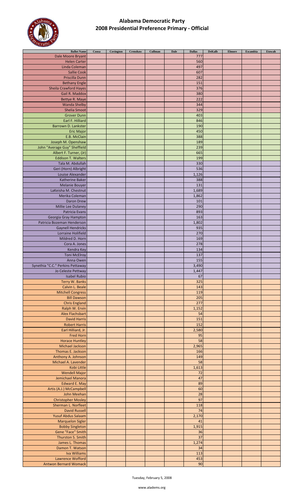

| <b>Ballot Name</b>               | Coosa | Covington | Crenshaw | Cullman | <b>Dale</b> | <b>Dallas</b> | <b>DeKalb</b> | <b>Elmore</b> | Escambia | Etowah |
|----------------------------------|-------|-----------|----------|---------|-------------|---------------|---------------|---------------|----------|--------|
| Dale Moore Bryant                |       |           |          |         |             | 777           |               |               |          |        |
| <b>Helen Carter</b>              |       |           |          |         |             | 560           |               |               |          |        |
| Linda Coleman                    |       |           |          |         |             | 497           |               |               |          |        |
| <b>Sallie Cook</b>               |       |           |          |         |             | 607           |               |               |          |        |
|                                  |       |           |          |         |             |               |               |               |          |        |
| Priscilla Dunn                   |       |           |          |         |             | 282           |               |               |          |        |
| <b>Bethany Engle</b>             |       |           |          |         |             | 151           |               |               |          |        |
| <b>Sheila Crawford Hayes</b>     |       |           |          |         |             | 376           |               |               |          |        |
| Gail R. Maddox                   |       |           |          |         |             | 380           |               |               |          |        |
| Bettye R. Maye                   |       |           |          |         |             | 222           |               |               |          |        |
| <b>Wanda Shelby</b>              |       |           |          |         |             | 344           |               |               |          |        |
| <b>Shelia Smoot</b>              |       |           |          |         |             | 329           |               |               |          |        |
| <b>Grover Dunn</b>               |       |           |          |         |             | 403           |               |               |          |        |
| Earl F. Hilliard                 |       |           |          |         |             | 846           |               |               |          |        |
|                                  |       |           |          |         |             |               |               |               |          |        |
| Barrown D. Lankster              |       |           |          |         |             | 190           |               |               |          |        |
| <b>Eric Major</b>                |       |           |          |         |             | 450           |               |               |          |        |
| E.B. McClain                     |       |           |          |         |             | 388           |               |               |          |        |
| Joseph M. Openshaw               |       |           |          |         |             | 189           |               |               |          |        |
| John "Average Guy" Sheffield     |       |           |          |         |             | 239           |               |               |          |        |
| Albert F. Turner, (Jr)           |       |           |          |         |             | 665           |               |               |          |        |
| <b>Eddison T. Walters</b>        |       |           |          |         |             | 199           |               |               |          |        |
| Tala M. Abdullah                 |       |           |          |         |             | 330           |               |               |          |        |
| Geri (Horn) Albright             |       |           |          |         |             | 536           |               |               |          |        |
| Louise Alexander                 |       |           |          |         |             | 1,126         |               |               |          |        |
|                                  |       |           |          |         |             |               |               |               |          |        |
| <b>Katherine Baker</b>           |       |           |          |         |             | 388           |               |               |          |        |
| <b>Melanie Bouyer</b>            |       |           |          |         |             | 131           |               |               |          |        |
| LaKeisha M. Chestnut             |       |           |          |         |             | 1,689         |               |               |          |        |
| Merika Coleman                   |       |           |          |         |             | 1,862         |               |               |          |        |
| <b>Daron Drew</b>                |       |           |          |         |             | 101           |               |               |          |        |
| Millie Lee Dulaney               |       |           |          |         |             | 290           |               |               |          |        |
| Patricia Evans                   |       |           |          |         |             | 893           |               |               |          |        |
| Georgia Gray Hampton             |       |           |          |         |             | 163           |               |               |          |        |
| Patricia Bozeman Henderson       |       |           |          |         |             | 1,802         |               |               |          |        |
|                                  |       |           |          |         |             |               |               |               |          |        |
| <b>Gaynell Hendricks</b>         |       |           |          |         |             | 935           |               |               |          |        |
| Lorraine Holifield               |       |           |          |         |             | 270           |               |               |          |        |
| Mildred D. Horn                  |       |           |          |         |             | 169           |               |               |          |        |
| Cora A. Jones                    |       |           |          |         |             | 278           |               |               |          |        |
| Kendra Key                       |       |           |          |         |             | 134           |               |               |          |        |
| <b>Toni McElroy</b>              |       |           |          |         |             | 137           |               |               |          |        |
| Anna Owen                        |       |           |          |         |             | 155           |               |               |          |        |
| Synethia "C.C." Perkins Pettaway |       |           |          |         |             | 3,490         |               |               |          |        |
| Jo Celeste Pettway               |       |           |          |         |             | 1,447         |               |               |          |        |
| <b>Isabel Rubio</b>              |       |           |          |         |             | 67            |               |               |          |        |
| Terry W. Banks                   |       |           |          |         |             | 325           |               |               |          |        |
| Calvin L. Beale                  |       |           |          |         |             | 143           |               |               |          |        |
| <b>Mitchell Congress</b>         |       |           |          |         |             | 119           |               |               |          |        |
| <b>Bill Dawson</b>               |       |           |          |         |             | 205           |               |               |          |        |
|                                  |       |           |          |         |             |               |               |               |          |        |
| <b>Chris England</b>             |       |           |          |         |             | 277           |               |               |          |        |
| Ralph W. Ervin                   |       |           |          |         |             | 1,152         |               |               |          |        |
| <b>Alex Flachsbart</b>           |       |           |          |         |             | 54            |               |               |          |        |
| <b>David Harris</b>              |       |           |          |         |             | 151           |               |               |          |        |
| <b>Robert Harris</b>             |       |           |          |         |             | 152           |               |               |          |        |
| Earl Hilliard, Jr.               |       |           |          |         |             | 2,580         |               |               |          |        |
| <b>Fred Horn</b>                 |       |           |          |         |             | 95            |               |               |          |        |
| <b>Horace Huntley</b>            |       |           |          |         |             | 58            |               |               |          |        |
| <b>Michael Jackson</b>           |       |           |          |         |             | 2,965         |               |               |          |        |
| Thomas E. Jackson                |       |           |          |         |             | 166           |               |               |          |        |
| Anthony A. Johnson               |       |           |          |         |             | 149           |               |               |          |        |
|                                  |       |           |          |         |             |               |               |               |          |        |
| Michael A. Lavender              |       |           |          |         |             | 58            |               |               |          |        |
| Kobi Little                      |       |           |          |         |             | 1,613         |               |               |          |        |
| <b>Wendell Major</b>             |       |           |          |         |             | 72            |               |               |          |        |
| Jemichael Manora                 |       |           |          |         |             | 47            |               |               |          |        |
| <b>Edward E. May</b>             |       |           |          |         |             | 89            |               |               |          |        |
| Artis (A.J.) McCampbell          |       |           |          |         |             | 60            |               |               |          |        |
| John Meehan                      |       |           |          |         |             | 28            |               |               |          |        |
| <b>Christopher Mosley</b>        |       |           |          |         |             | 97            |               |               |          |        |
| Sherman L. Norfleet              |       |           |          |         |             | 118           |               |               |          |        |
| <b>David Russell</b>             |       |           |          |         |             | 74            |               |               |          |        |
| <b>Yusuf Abdus Salaam</b>        |       |           |          |         |             | 2,170         |               |               |          |        |
| <b>Marquelon Sigler</b>          |       |           |          |         |             | 41            |               |               |          |        |
|                                  |       |           |          |         |             | 1,915         |               |               |          |        |
| <b>Bobby Singleton</b>           |       |           |          |         |             |               |               |               |          |        |
| Gene "Face" Smith                |       |           |          |         |             | 36            |               |               |          |        |
| Thurston S. Smith                |       |           |          |         |             | 37            |               |               |          |        |
| James L. Thomas                  |       |           |          |         |             | 1,274         |               |               |          |        |
| Damon T. Watson                  |       |           |          |         |             | 34            |               |               |          |        |
| Iva Williams                     |       |           |          |         |             | 113           |               |               |          |        |
| Lawrence Wofford                 |       |           |          |         |             | 453           |               |               |          |        |
| <b>Antwon Bernard Womack</b>     |       |           |          |         |             | 90            |               |               |          |        |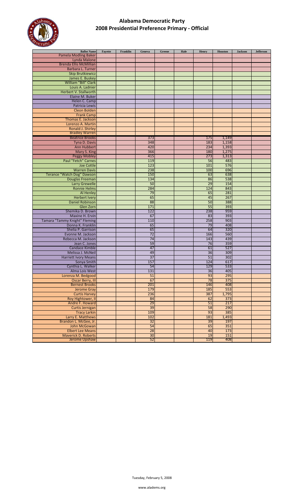

| <b>Ballot Name</b>                         | Fayette | Franklin | Geneva          | Greene | Hale | <b>Henry</b>    | Houston    | <b>Jackson</b> | Jefferson |
|--------------------------------------------|---------|----------|-----------------|--------|------|-----------------|------------|----------------|-----------|
| <b>Pamela Modling Baker</b>                |         |          |                 |        |      |                 |            |                |           |
| Lynda Malone                               |         |          |                 |        |      |                 |            |                |           |
| <b>Brenda Ellis McMillian</b>              |         |          |                 |        |      |                 |            |                |           |
| Barbara L. Turner                          |         |          |                 |        |      |                 |            |                |           |
| <b>Skip Brutkiewicz</b>                    |         |          |                 |        |      |                 |            |                |           |
| James E. Buskey                            |         |          |                 |        |      |                 |            |                |           |
| William "Bill" Clark                       |         |          |                 |        |      |                 |            |                |           |
| Louis A. Ladnier                           |         |          |                 |        |      |                 |            |                |           |
| Herbert V. Stallworth                      |         |          |                 |        |      |                 |            |                |           |
| Elaine M. Buker                            |         |          |                 |        |      |                 |            |                |           |
| Helen C. Camp                              |         |          |                 |        |      |                 |            |                |           |
| Patricia Lewis                             |         |          |                 |        |      |                 |            |                |           |
| <b>Cleon Bolden</b><br><b>Frank Camp</b>   |         |          |                 |        |      |                 |            |                |           |
| <b>Thomas E. Jackson</b>                   |         |          |                 |        |      |                 |            |                |           |
| Lorenzo A. Martin                          |         |          |                 |        |      |                 |            |                |           |
| Ronald J. Shirley                          |         |          |                 |        |      |                 |            |                |           |
| <b>Bradley Warren</b>                      |         |          |                 |        |      |                 |            |                |           |
| <b>Beatrice Brooks</b>                     |         |          | 373             |        |      | 175             | 1,149      |                |           |
| Tyna D. Davis                              |         |          | 348             |        |      | 183             | 1,158      |                |           |
| Ann Hubbert                                |         |          | 420             |        |      | 234             | 1,393      |                |           |
| Mary S. King                               |         |          | 366             |        |      | 180             | 1,275      |                |           |
| <b>Peggy Mobley</b>                        |         |          | 415             |        |      | 273             | 1,313      |                |           |
| Paul "Fetch" Carnes                        |         |          | 119             |        |      | 56              | 483        |                |           |
| <b>Joe Cottle</b>                          |         |          | 123             |        |      | 101             | 576        |                |           |
| <b>Warren Davis</b>                        |         |          | 238             |        |      | 100             | 696        |                |           |
| Terance "Watch Dog" Dawson                 |         |          | 150             |        |      | 63              | 638        |                |           |
| Douglas Freeman                            |         |          | 134             |        |      | 86              | 538        |                |           |
| <b>Larry Grewelle</b>                      |         |          | 50              |        |      | 29              | 154        |                |           |
| <b>Ronnie Helms</b>                        |         |          | 284             |        |      | 124             | 843        |                |           |
| Al Henley                                  |         |          | 79              |        |      | 65              | 281        |                |           |
| <b>Herbert Ivery</b>                       |         |          | 65              |        |      | 45              | 267        |                |           |
| <b>Daniel Robinson</b>                     |         |          | 88              |        |      | 50              | 388        |                |           |
| Glen Zorn                                  |         |          | 171             |        |      | 55              | 393        |                |           |
| Shemika D. Brown                           |         |          | 122             |        |      | 238             | 959        |                |           |
| Maxine H. Ervin                            |         |          | 67              |        |      | 83              | 393        |                |           |
| Tamara "Tammy Knight" Fleming              |         |          | 110             |        |      | 258             | 903        |                |           |
| Donna K. Franklin                          |         |          | 65              |        |      | 79              | 408        |                |           |
| Shelia P. Garrison                         |         |          | 65              |        |      | 64              | 320        |                |           |
| Evonne M. Jackson                          |         |          | 72              |        |      | 166             | 560        |                |           |
| Rebecca M. Jackson                         |         |          | 74              |        |      | 143             | 439        |                |           |
| Jean C. Jones                              |         |          | 59              |        |      | 76              | 359        |                |           |
| Candace Kimble                             |         |          | 47              |        |      | 61              | 527        |                |           |
| Melissa J. McNeil                          |         |          | 49              |        |      | 36              | 309        |                |           |
| <b>Harriett Ivory Means</b>                |         |          | $\overline{37}$ |        |      | $\overline{51}$ | 302        |                |           |
| Sonya Smith                                |         |          | 157             |        |      | 124             | 617        |                |           |
| Cynthia L. Walker                          |         |          | 54              |        |      | 129             | 533        |                |           |
| Alma Lois West                             |         |          | 131             |        |      | 36              | 405        |                |           |
| Lorenza M. Bedgood                         |         |          | 51              |        |      | 93              | 295        |                |           |
| <b>Oscar Berry, III</b>                    |         |          | 67<br>201       |        |      | 78              | 375<br>408 |                |           |
| <b>Bernest Brooks</b>                      |         |          | 179             |        |      | 146<br>185      | 553        |                |           |
| <b>Jerome Gray</b><br><b>Curtis Harvey</b> |         |          | 236             |        |      | 387             | 1,795      |                |           |
| Roy Hightower, II                          |         |          | 84              |        |      | 62              | 373        |                |           |
| Andre F. Howard                            |         |          | 29              |        |      | 51              | 217        |                |           |
| Curtis Jernigan                            |         |          | 39              |        |      | 58              | 290        |                |           |
| <b>Tracy Larkin</b>                        |         |          | 109             |        |      | 93              | 385        |                |           |
| Larry E. Matthews                          |         |          | 102             |        |      | 181             | 1,493      |                |           |
| Brandon L. McGee, Jr.                      |         |          | 32              |        |      | 39              | 197        |                |           |
| John McGowan                               |         |          | 54              |        |      | 65              | 351        |                |           |
| <b>Elbert Lee Means</b>                    |         |          | 28              |        |      | 40              | 173        |                |           |
| <b>Maverick D. Roberts</b>                 |         |          | 30              |        |      | 19              | 151        |                |           |
| Jerome Upshaw                              |         |          | 52              |        |      | 119             | 408        |                |           |
|                                            |         |          |                 |        |      |                 |            |                |           |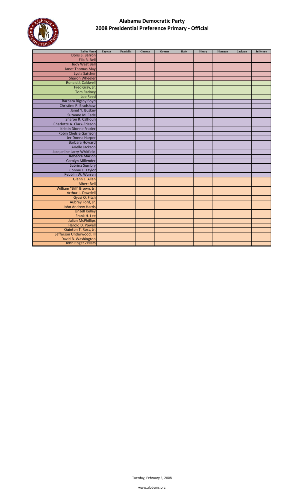

| <b>Ballot Name</b>            | Fayette | Franklin | Geneva | Greene | Hale | Henry | Houston | <b>Jackson</b> | <b>Jefferson</b> |
|-------------------------------|---------|----------|--------|--------|------|-------|---------|----------------|------------------|
| Doris S. Barron               |         |          |        |        |      |       |         |                |                  |
| Ella B. Bell                  |         |          |        |        |      |       |         |                |                  |
| <b>Judy West Bell</b>         |         |          |        |        |      |       |         |                |                  |
| <b>Janet Thomas May</b>       |         |          |        |        |      |       |         |                |                  |
| Lydia Satcher                 |         |          |        |        |      |       |         |                |                  |
| <b>Sharon Wheeler</b>         |         |          |        |        |      |       |         |                |                  |
| Ronald J. Caldwell            |         |          |        |        |      |       |         |                |                  |
| Fred Gray, Jr.                |         |          |        |        |      |       |         |                |                  |
| <b>Tom Radney</b>             |         |          |        |        |      |       |         |                |                  |
| <b>Joe Reed</b>               |         |          |        |        |      |       |         |                |                  |
| <b>Barbara Bigsby Boyd</b>    |         |          |        |        |      |       |         |                |                  |
| Christine R. Bradshaw         |         |          |        |        |      |       |         |                |                  |
| Janet Y. Buskey               |         |          |        |        |      |       |         |                |                  |
| Suzanne M. Cade               |         |          |        |        |      |       |         |                |                  |
| Sharon R. Calhoun             |         |          |        |        |      |       |         |                |                  |
| Charlotte A. Clark-Frieson    |         |          |        |        |      |       |         |                |                  |
| <b>Kristin Dionne Frazier</b> |         |          |        |        |      |       |         |                |                  |
| Robin Chelsie Garrison        |         |          |        |        |      |       |         |                |                  |
| Jer'Donna Harper              |         |          |        |        |      |       |         |                |                  |
| <b>Barbara Howard</b>         |         |          |        |        |      |       |         |                |                  |
| Arielle Jackson               |         |          |        |        |      |       |         |                |                  |
| Jacqueline Larry-Whitfield    |         |          |        |        |      |       |         |                |                  |
| <b>Rebecca Marion</b>         |         |          |        |        |      |       |         |                |                  |
| <b>Carolyn Millender</b>      |         |          |        |        |      |       |         |                |                  |
| Sabrina Sumbry                |         |          |        |        |      |       |         |                |                  |
| Connie L. Taylor              |         |          |        |        |      |       |         |                |                  |
| Pebblin W. Warren             |         |          |        |        |      |       |         |                |                  |
| Glenn L. Allen                |         |          |        |        |      |       |         |                |                  |
| <b>Albert Bell</b>            |         |          |        |        |      |       |         |                |                  |
| William "Bill" Brown, Jr.     |         |          |        |        |      |       |         |                |                  |
| Arthur L. Dowdell             |         |          |        |        |      |       |         |                |                  |
| Gyasi O. Fitch                |         |          |        |        |      |       |         |                |                  |
| Aubrey Ford, Jr.              |         |          |        |        |      |       |         |                |                  |
| <b>John Andrew Harris</b>     |         |          |        |        |      |       |         |                |                  |
| <b>Unzell Kelley</b>          |         |          |        |        |      |       |         |                |                  |
| Frank H. Lee                  |         |          |        |        |      |       |         |                |                  |
| <b>Julian McPhillips</b>      |         |          |        |        |      |       |         |                |                  |
| Harold D. Powell              |         |          |        |        |      |       |         |                |                  |
| Quinton T. Ross, Jr.          |         |          |        |        |      |       |         |                |                  |
| Jefferson Underwood, III      |         |          |        |        |      |       |         |                |                  |
| David B. Washington           |         |          |        |        |      |       |         |                |                  |
| John Roger Zellars            |         |          |        |        |      |       |         |                |                  |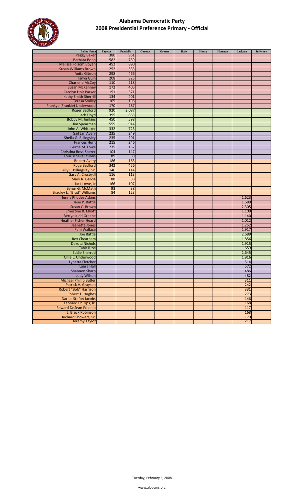

| <b>Ballot Name</b>                | Fayette | Franklin | Geneva | Greene | Hale | Henry | Houston | <b>Jackson</b> | <b>Jefferson</b> |
|-----------------------------------|---------|----------|--------|--------|------|-------|---------|----------------|------------------|
| <b>Peggy Baker</b>                | 380     | 961      |        |        |      |       |         |                |                  |
| <b>Barbara Bobo</b>               | 582     | 739      |        |        |      |       |         |                |                  |
| Melissa Folsom Boyen              | 452     | 890      |        |        |      |       |         |                |                  |
| <b>Susan Williams Brown</b>       | 252     | 533      |        |        |      |       |         |                |                  |
| Anita Gibson                      | 298     | 466      |        |        |      |       |         |                |                  |
| <b>Tanya Guin</b>                 | 208     | 325      |        |        |      |       |         |                |                  |
| <b>Charlene McCoy</b>             | 110     | 218      |        |        |      |       |         |                |                  |
| <b>Susan McKenney</b>             | 172     | 405      |        |        |      |       |         |                |                  |
| Carolyn Holt Parker               | 151     | 371      |        |        |      |       |         |                |                  |
| Kathy Smith Sherrill              | 134     | 401      |        |        |      |       |         |                |                  |
| <b>Teresa Smiley</b>              | 165     | 198      |        |        |      |       |         |                |                  |
| Frankye (Frankie) Underwood       | 170     | 287      |        |        |      |       |         |                |                  |
|                                   | 920     | 2,087    |        |        |      |       |         |                |                  |
| <b>Roger Bedford</b>              | 395     | 865      |        |        |      |       |         |                |                  |
| <b>Jack Floyd</b>                 |         |          |        |        |      |       |         |                |                  |
| <b>Bobby M. Junkins</b>           | 450     | 598      |        |        |      |       |         |                |                  |
| Jim Spearman                      | 555     | 914      |        |        |      |       |         |                |                  |
| John A. Whitaker                  | 332     | 723      |        |        |      |       |         |                |                  |
| <b>Gail Jan Avery</b>             | 235     | 249      |        |        |      |       |         |                |                  |
| Sheila G. Billingsley             | 235     | 201      |        |        |      |       |         |                |                  |
| <b>Frances Hunt</b>               | 215     | 246      |        |        |      |       |         |                |                  |
| Gertie M. Lowe                    | 235     | 157      |        |        |      |       |         |                |                  |
| <b>Christina Ross-Sherer</b>      | 104     | 147      |        |        |      |       |         |                |                  |
| Tourischeva Stubbs                | 89      | 88       |        |        |      |       |         |                |                  |
| <b>Robert Avery</b>               | 186     | 163      |        |        |      |       |         |                |                  |
| <b>Roge Bedford</b>               | 342     | 456      |        |        |      |       |         |                |                  |
| Billy F. Billingsley, Sr.         | 146     | 114      |        |        |      |       |         |                |                  |
| Gary A. Crosby, II                | 116     | 113      |        |        |      |       |         |                |                  |
| Mark R. Garcia                    | 88      | 88       |        |        |      |       |         |                |                  |
| Jack Lowe, Jr                     | 166     | 107      |        |        |      |       |         |                |                  |
| <b>Byron G. McMath</b>            | 93      | 38       |        |        |      |       |         |                |                  |
| <b>Bradley L. "Brad" Williams</b> | 84      | 123      |        |        |      |       |         |                |                  |
| <b>Jenny Rhodes Askins</b>        |         |          |        |        |      |       |         | 1,623          |                  |
| Jane P. Battle                    |         |          |        |        |      |       |         | 1,689          |                  |
| Susan C. Brown                    |         |          |        |        |      |       |         | 2,305          |                  |
| <b>Ernestine B. Elliott</b>       |         |          |        |        |      |       |         | 1,109          |                  |
| <b>Bettye Kidd Greene</b>         |         |          |        |        |      |       |         | 1,140          |                  |
| <b>Heather Fisher Heard</b>       |         |          |        |        |      |       |         | 1,012          |                  |
| Jeanette Jones                    |         |          |        |        |      |       |         | 1,252          |                  |
| <b>Pam Wallace</b>                |         |          |        |        |      |       |         | 1,917          |                  |
| <b>Joe Battle</b>                 |         |          |        |        |      |       |         | 2,689          |                  |
| <b>Rex Cheatham</b>               |         |          |        |        |      |       |         | 1,856          |                  |
| Dakota Nichols                    |         |          |        |        |      |       |         | 1,915          |                  |
| <b>Tahir Rizvi</b>                |         |          |        |        |      |       |         | 659            |                  |
| <b>Eddie Sherrod</b>              |         |          |        |        |      |       |         | 1,645          |                  |
| Ollie L. Underwood                |         |          |        |        |      |       |         | 1,916          |                  |
| Lynetta Fletcher                  |         |          |        |        |      |       |         | 514            |                  |
| Laura Hall                        |         |          |        |        |      |       |         | 572            |                  |
| <b>Shannon Sharp</b>              |         |          |        |        |      |       |         | 486            |                  |
| <b>Judy Wilson</b>                |         |          |        |        |      |       |         | 482            |                  |
| <b>Michael Phillip Butler</b>     |         |          |        |        |      |       |         | 311            |                  |
| Patrick V. Grayson                |         |          |        |        |      |       |         | 242            |                  |
| Robert "Bob" Harrison             |         |          |        |        |      |       |         | 331            |                  |
| <b>Robert T. Hughes</b>           |         |          |        |        |      |       |         | 273            |                  |
| Darius Stefon Jacobs              |         |          |        |        |      |       |         | 146            |                  |
| Leonard Phillips, Jr.             |         |          |        |        |      |       |         | 168            |                  |
| <b>Edward DeSean Polonio</b>      |         |          |        |        |      |       |         | 117            |                  |
| J. Breck Robinson                 |         |          |        |        |      |       |         | 168            |                  |
| <b>Richard Showers, Sr.</b>       |         |          |        |        |      |       |         | 170            |                  |
| Jeremy Taylor                     |         |          |        |        |      |       |         | 217            |                  |
|                                   |         |          |        |        |      |       |         |                |                  |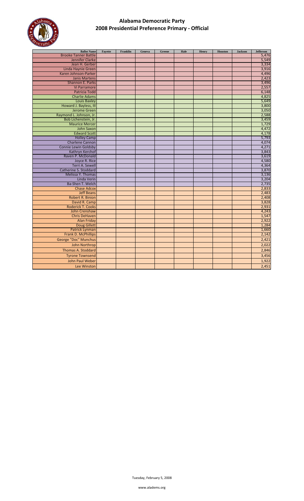

| <b>Ballot Name</b>          | Fayette | Franklin | Geneva | Greene | Hale | Henry | Houston | <b>Jackson</b> | Jefferson |
|-----------------------------|---------|----------|--------|--------|------|-------|---------|----------------|-----------|
| <b>Brooke Tanner Battle</b> |         |          |        |        |      |       |         |                | 5,476     |
| Jennifer Clarke             |         |          |        |        |      |       |         |                | 5,549     |
| Jean H. Gerber              |         |          |        |        |      |       |         |                | 3,334     |
| Linda Haynie Green          |         |          |        |        |      |       |         |                | 3,916     |
| Karen Johnson-Parker        |         |          |        |        |      |       |         |                | 4,496     |
| <b>Janis Martens</b>        |         |          |        |        |      |       |         |                | 2,423     |
| Shannon E. Parks            |         |          |        |        |      |       |         |                | 3,496     |
| Vi Parramore                |         |          |        |        |      |       |         |                | 2,557     |
| <b>Patricia Todd</b>        |         |          |        |        |      |       |         |                | 6,148     |
| <b>Charlie Adams</b>        |         |          |        |        |      |       |         |                | 4,825     |
| <b>Louis Baxley</b>         |         |          |        |        |      |       |         |                | 5,649     |
| Howard J. Bayless, III      |         |          |        |        |      |       |         |                | 3,800     |
| <b>Jerome Green</b>         |         |          |        |        |      |       |         |                | 3,050     |
| Raymond L. Johnson, Jr.     |         |          |        |        |      |       |         |                | 2,588     |
| Bob Lichenstein, Jr.        |         |          |        |        |      |       |         |                | 3,459     |
| <b>Maurice Mercer</b>       |         |          |        |        |      |       |         |                | 1,729     |
| John Saxon                  |         |          |        |        |      |       |         |                | 4,472     |
| <b>Edward Scott</b>         |         |          |        |        |      |       |         |                | 4,178     |
| <b>Holley Camp</b>          |         |          |        |        |      |       |         |                | 5,793     |
| <b>Charlene Cannon</b>      |         |          |        |        |      |       |         |                | 4,074     |
| <b>Connie Lewin Goldsby</b> |         |          |        |        |      |       |         |                | 4,271     |
| Kathryn Kerchof             |         |          |        |        |      |       |         |                | 3,843     |
| Raven P. McDonald           |         |          |        |        |      |       |         |                | 3,619     |
| Joyce R. Rice               |         |          |        |        |      |       |         |                | 4,580     |
| Terri A. Sewell             |         |          |        |        |      |       |         |                | 4,364     |
| Catherine S. Stoddard       |         |          |        |        |      |       |         |                | 3,870     |
| Melissa Y. Thomas           |         |          |        |        |      |       |         |                | 3,136     |
| Linda Verin                 |         |          |        |        |      |       |         |                | 3,204     |
| Ba-Shen T. Welch            |         |          |        |        |      |       |         |                | 2,735     |
| <b>Chase Adcox</b>          |         |          |        |        |      |       |         |                | 2,833     |
| <b>Jeff Beans</b>           |         |          |        |        |      |       |         |                | 2,483     |
| <b>Robert R. Binion</b>     |         |          |        |        |      |       |         |                | 2,408     |
| David R. Camp               |         |          |        |        |      |       |         |                | 3,828     |
| <b>Roderick T. Cooks</b>    |         |          |        |        |      |       |         |                | 2,931     |
| John Crenshaw               |         |          |        |        |      |       |         |                | 4,243     |
| <b>Chris DeHaven</b>        |         |          |        |        |      |       |         |                | 1,547     |
| <b>Alan Friday</b>          |         |          |        |        |      |       |         |                | 2,922     |
| <b>Doug Gillett</b>         |         |          |        |        |      |       |         |                | 1,284     |
| <b>Patrick Lynman</b>       |         |          |        |        |      |       |         |                | 1,660     |
| Frank D. McPhillips         |         |          |        |        |      |       |         |                | 2,142     |
| George "Doc" Munchus        |         |          |        |        |      |       |         |                | 2,421     |
| John Northrop               |         |          |        |        |      |       |         |                | 2,022     |
| <b>Thomas A. Stoddard</b>   |         |          |        |        |      |       |         |                | 2,846     |
| <b>Tyrone Townsend</b>      |         |          |        |        |      |       |         |                | 3,456     |
| John Paul Weber             |         |          |        |        |      |       |         |                | 1,922     |
| Lee Winston                 |         |          |        |        |      |       |         |                | 2,451     |
|                             |         |          |        |        |      |       |         |                |           |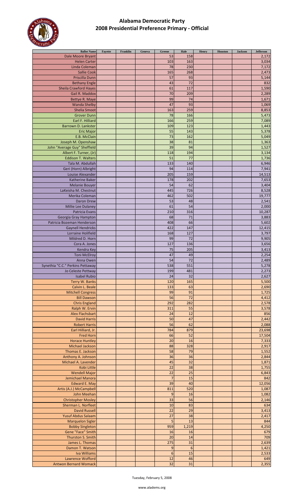

| <b>Ballot Name</b>                                     | Fayette | Franklin | Geneva | ${\bf Green}$   | Hale                  | Henry | Houston | <b>Jackson</b> | $\mathbf{Jefferson}$ |
|--------------------------------------------------------|---------|----------|--------|-----------------|-----------------------|-------|---------|----------------|----------------------|
| Dale Moore Bryant                                      |         |          |        | 53              | 158                   |       |         |                | 2,172                |
| <b>Helen Carter</b>                                    |         |          |        | 103             | 163                   |       |         |                | 3,034                |
| Linda Coleman                                          |         |          |        | 78              | 230                   |       |         |                | 7,172                |
| <b>Sallie Cook</b>                                     |         |          |        | 165             | 268                   |       |         |                | 2,473                |
| Priscilla Dunn                                         |         |          |        | 57              | 93                    |       |         |                | 5,144                |
| <b>Bethany Engle</b>                                   |         |          |        | 43              | 72                    |       |         |                | 832                  |
| <b>Sheila Crawford Hayes</b>                           |         |          |        | 61              | 117                   |       |         |                | 1,590                |
| Gail R. Maddox                                         |         |          |        | 70<br>99        | 209<br>74             |       |         |                | 2,289<br>1,671       |
| Bettye R. Maye<br><b>Wanda Shelby</b>                  |         |          |        | 47              | 93                    |       |         |                | 1,069                |
| <b>Shelia Smoot</b>                                    |         |          |        | 163             | 259                   |       |         |                | 8,853                |
| <b>Grover Dunn</b>                                     |         |          |        | 78              | 166                   |       |         |                | 5,473                |
| Earl F. Hilliard                                       |         |          |        | 166             | 259                   |       |         |                | 7,089                |
| Barrown D. Lankster                                    |         |          |        | 109             | 123                   |       |         |                | 1,443                |
| <b>Eric Major</b>                                      |         |          |        | 55              | 143                   |       |         |                | 5,378                |
| E.B. McClain                                           |         |          |        | 73              | 162                   |       |         |                | 5,049                |
| Joseph M. Openshaw                                     |         |          |        | 38              | 81                    |       |         |                | 1,363                |
| John "Average Guy" Sheffield                           |         |          |        | 39              | 94                    |       |         |                | 1,527                |
| Albert F. Turner, (Jr)                                 |         |          |        | 118             | 194                   |       |         |                | 3,134                |
| <b>Eddison T. Walters</b>                              |         |          |        | 51              | 77                    |       |         |                | 1,736                |
| Tala M. Abdullah                                       |         |          |        | 133             | 140                   |       |         |                | 6,946                |
| Geri (Horn) Albright                                   |         |          |        | 94              | 114                   |       |         |                | 7,941                |
| Louise Alexander                                       |         |          |        | 205             | 159                   |       |         |                | 14,513               |
| <b>Katherine Baker</b>                                 |         |          |        | 178             | 202                   |       |         |                | 7,653                |
| <b>Melanie Bouyer</b>                                  |         |          |        | 54              | 62                    |       |         |                | 3,404                |
| LaKeisha M. Chestnut                                   |         |          |        | 445             | 726                   |       |         |                | 8,528                |
| Merika Coleman                                         |         |          |        | 462             | 502                   |       |         |                | 19,777               |
| Daron Drew                                             |         |          |        | 53              | 48                    |       |         |                | 2,541                |
| Millie Lee Dulaney                                     |         |          |        | 61              | 54                    |       |         |                | 2,000                |
| Patricia Evans                                         |         |          |        | 210             | 316                   |       |         |                | 10,287               |
| Georgia Gray Hampton                                   |         |          |        | 68              | 71                    |       |         |                | 3,883                |
| Patricia Bozeman Henderson                             |         |          |        | 408             | 66                    |       |         |                | 5,602                |
| <b>Gaynell Hendricks</b>                               |         |          |        | 422             | 147                   |       |         |                | 12,415               |
| Lorraine Holifield                                     |         |          |        | 168             | 127                   |       |         |                | 3,797                |
| Mildred D. Horn                                        |         |          |        | 99              | 72                    |       |         |                | 9,905                |
| Cora A. Jones                                          |         |          |        | 127             | 136                   |       |         |                | 3,656                |
| Kendra Key                                             |         |          |        | 75              | 205                   |       |         |                | 3,413                |
| <b>Toni McElroy</b>                                    |         |          |        | 47              | 49                    |       |         |                | 2,254                |
| Anna Owen                                              |         |          |        | 54<br>538       | 72<br>551             |       |         |                | 2,489<br>5,278       |
| Synethia "C.C." Perkins Pettaway<br>Jo Celeste Pettway |         |          |        | 199             | 481                   |       |         |                |                      |
| <b>Isabel Rubio</b>                                    |         |          |        | 24              | 32                    |       |         |                | 2,273<br>2,627       |
| Terry W. Banks                                         |         |          |        | 120             | 165                   |       |         |                | 5,500                |
| Calvin L. Beale                                        |         |          |        | 133             | 63                    |       |         |                | 2,690                |
| <b>Mitchell Congress</b>                               |         |          |        | 99              | 91                    |       |         |                | 1,725                |
| <b>Bill Dawson</b>                                     |         |          |        | 56              | 72                    |       |         |                | 4,412                |
| <b>Chris England</b>                                   |         |          |        | 292             | 282                   |       |         |                | 2,578                |
| Ralph W. Ervin                                         |         |          |        | 311             | 55                    |       |         |                | 3,578                |
| <b>Alex Flachsbart</b>                                 |         |          |        | 24              | 12                    |       |         |                | 856                  |
| <b>David Harris</b>                                    |         |          |        | 50              | 47                    |       |         |                | 2,442                |
| <b>Robert Harris</b>                                   |         |          |        | 56              | 62                    |       |         |                | 2,088                |
| Earl Hilliard, Jr.                                     |         |          |        | 784             | 879                   |       |         |                | 23,698               |
| <b>Fred Horn</b>                                       |         |          |        | 66              | 52                    |       |         |                | 17,504               |
| <b>Horace Huntley</b>                                  |         |          |        | 20              | 16                    |       |         |                | 7,333                |
| <b>Michael Jackson</b>                                 |         |          |        | 88              | 328                   |       |         |                | 2,917                |
| Thomas E. Jackson                                      |         |          |        | 58              | 79                    |       |         |                | 1,552                |
| Anthony A. Johnson                                     |         |          |        | 36              | 36                    |       |         |                | 2,844                |
| Michael A. Lavender                                    |         |          |        | 45              | 32                    |       |         |                | 1,871                |
| Kobi Little                                            |         |          |        | 22              | 38                    |       |         |                | 1,755                |
| <b>Wendell Major</b>                                   |         |          |        | 22              | 25                    |       |         |                | 6,843                |
| Jemichael Manora                                       |         |          |        | 7               | 15                    |       |         |                | 842                  |
| <b>Edward E. May</b>                                   |         |          |        | 39              | 40                    |       |         |                | 12,056               |
| Artis (A.J.) McCampbell                                |         |          |        | 811             | 520                   |       |         |                | 1,087                |
| John Meehan                                            |         |          |        | 9               | 16                    |       |         |                | 1,082                |
| <b>Christopher Mosley</b>                              |         |          |        | 33              | 56                    |       |         |                | 2,146                |
| Sherman L. Norfleet                                    |         |          |        | 10              | 83                    |       |         |                | 634                  |
| <b>David Russell</b>                                   |         |          |        | 22              | 29                    |       |         |                | 3,413                |
| <b>Yusuf Abdus Salaam</b>                              |         |          |        | 27<br>5         | 38<br>$\overline{13}$ |       |         |                | 2,417                |
| <b>Marquelon Sigler</b>                                |         |          |        |                 |                       |       |         |                | 844                  |
| <b>Bobby Singleton</b><br>Gene "Face" Smith            |         |          |        | 959<br>16       | 1,219<br>16           |       |         |                | 4,250<br>679         |
| Thurston S. Smith                                      |         |          |        | 20              | 14                    |       |         |                | 709                  |
| James L. Thomas                                        |         |          |        | 275             | 31                    |       |         |                | 2,639                |
| Damon T. Watson                                        |         |          |        | 9               | $6\phantom{1}6$       |       |         |                | 1,421                |
| Iva Williams                                           |         |          |        | $6\phantom{1}6$ | 15                    |       |         |                | 2,533                |
| Lawrence Wofford                                       |         |          |        | 12              | 46                    |       |         |                | 649                  |
| <b>Antwon Bernard Womack</b>                           |         |          |        | 32              | 31                    |       |         |                | 2,355                |
|                                                        |         |          |        |                 |                       |       |         |                |                      |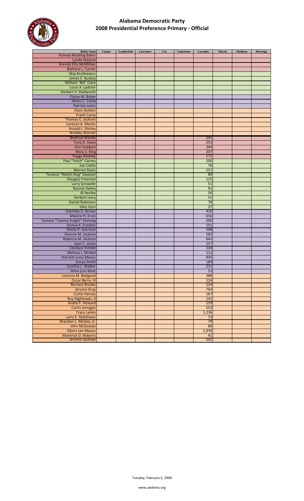

| <b>Ballot Name</b>                                 | Lamar | Lauderdale | Lawrence | Lee | Limestone | Lowndes    | Macon | <b>Madison</b> | Marengo |
|----------------------------------------------------|-------|------------|----------|-----|-----------|------------|-------|----------------|---------|
| <b>Pamela Modling Baker</b>                        |       |            |          |     |           |            |       |                |         |
| Lynda Malone                                       |       |            |          |     |           |            |       |                |         |
| <b>Brenda Ellis McMillian</b>                      |       |            |          |     |           |            |       |                |         |
| Barbara L. Turner                                  |       |            |          |     |           |            |       |                |         |
| <b>Skip Brutkiewicz</b>                            |       |            |          |     |           |            |       |                |         |
| James E. Buskey                                    |       |            |          |     |           |            |       |                |         |
| William "Bill" Clark                               |       |            |          |     |           |            |       |                |         |
| Louis A. Ladnier                                   |       |            |          |     |           |            |       |                |         |
| Herbert V. Stallworth                              |       |            |          |     |           |            |       |                |         |
| Elaine M. Buker                                    |       |            |          |     |           |            |       |                |         |
| Helen C. Camp                                      |       |            |          |     |           |            |       |                |         |
| Patricia Lewis                                     |       |            |          |     |           |            |       |                |         |
| Cleon Bolden                                       |       |            |          |     |           |            |       |                |         |
| <b>Frank Camp</b>                                  |       |            |          |     |           |            |       |                |         |
| Thomas E. Jackson                                  |       |            |          |     |           |            |       |                |         |
| Lorenzo A. Martin                                  |       |            |          |     |           |            |       |                |         |
| Ronald J. Shirley                                  |       |            |          |     |           |            |       |                |         |
| <b>Bradley Warren</b>                              |       |            |          |     |           |            |       |                |         |
| <b>Beatrice Brooks</b>                             |       |            |          |     |           | 245        |       |                |         |
| Tyna D. Davis                                      |       |            |          |     |           | 253        |       |                |         |
| Ann Hubbert                                        |       |            |          |     |           | 249        |       |                |         |
| Mary S. King                                       |       |            |          |     |           | 207        |       |                |         |
| <b>Peggy Mobley</b>                                |       |            |          |     |           | 171        |       |                |         |
| Paul "Fetch" Carnes                                |       |            |          |     |           | 100        |       |                |         |
| <b>Joe Cottle</b>                                  |       |            |          |     |           | 76         |       |                |         |
| <b>Warren Davis</b>                                |       |            |          |     |           | 151        |       |                |         |
| Terance "Watch Dog" Dawson                         |       |            |          |     |           | 89         |       |                |         |
| Douglas Freeman                                    |       |            |          |     |           | 125        |       |                |         |
| <b>Larry Grewelle</b>                              |       |            |          |     |           | 51         |       |                |         |
| <b>Ronnie Helms</b>                                |       |            |          |     |           | 91         |       |                |         |
| Al Henley                                          |       |            |          |     |           | 56         |       |                |         |
| <b>Herbert Ivery</b>                               |       |            |          |     |           | 52         |       |                |         |
| <b>Daniel Robinson</b>                             |       |            |          |     |           | 76         |       |                |         |
| Glen Zorn                                          |       |            |          |     |           | 37         |       |                |         |
| Shemika D. Brown                                   |       |            |          |     |           | 416        |       |                |         |
| Maxine H. Ervin                                    |       |            |          |     |           | 656        |       |                |         |
| Tamara "Tammy Knight" Fleming<br>Donna K. Franklin |       |            |          |     |           | 290<br>151 |       |                |         |
|                                                    |       |            |          |     |           | 598        |       |                |         |
| Shelia P. Garrison                                 |       |            |          |     |           | 282        |       |                |         |
| Evonne M. Jackson                                  |       |            |          |     |           | 641        |       |                |         |
| Rebecca M. Jackson                                 |       |            |          |     |           | 157        |       |                |         |
| Jean C. Jones<br><b>Candace Kimble</b>             |       |            |          |     |           | 134        |       |                |         |
| Melissa J. McNeil                                  |       |            |          |     |           | 111        |       |                |         |
| <b>Harriett Ivory Means</b>                        |       |            |          |     |           | 935        |       |                |         |
|                                                    |       |            |          |     |           | 189        |       |                |         |
| Sonya Smith<br>Cynthia L. Walker                   |       |            |          |     |           | 231        |       |                |         |
| Alma Lois West                                     |       |            |          |     |           | 53         |       |                |         |
| Lorenza M. Bedgood                                 |       |            |          |     |           | 288        |       |                |         |
| <b>Oscar Berry, III</b>                            |       |            |          |     |           | 124        |       |                |         |
| <b>Bernest Brooks</b>                              |       |            |          |     |           | 124        |       |                |         |
| <b>Jerome Gray</b>                                 |       |            |          |     |           | 764        |       |                |         |
| <b>Curtis Harvey</b>                               |       |            |          |     |           | 167        |       |                |         |
| Roy Hightower, II                                  |       |            |          |     |           | 141        |       |                |         |
| Andre F. Howard                                    |       |            |          |     |           | 159        |       |                |         |
| Curtis Jernigan                                    |       |            |          |     |           | 553        |       |                |         |
| <b>Tracy Larkin</b>                                |       |            |          |     |           | 1,236      |       |                |         |
| Larry E. Matthews                                  |       |            |          |     |           | 73         |       |                |         |
| Brandon L. McGee, Jr.                              |       |            |          |     |           | 79         |       |                |         |
| John McGowan                                       |       |            |          |     |           | 80         |       |                |         |
| <b>Elbert Lee Means</b>                            |       |            |          |     |           | 1,076      |       |                |         |
| <b>Maverick D. Roberts</b>                         |       |            |          |     |           | 41         |       |                |         |
| Jerome Upshaw                                      |       |            |          |     |           | 102        |       |                |         |
|                                                    |       |            |          |     |           |            |       |                |         |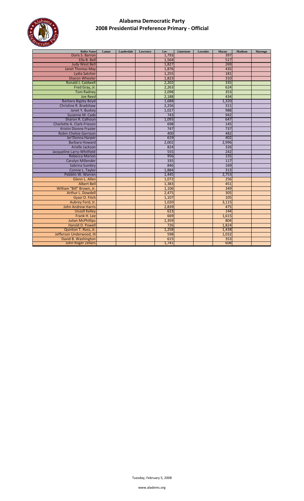

| <b>Ballot Name</b>            | Lamar | Lauderdale | <b>Lawrence</b> | Lee   | Limestone | <b>Lowndes</b> | Macon | <b>Madison</b> | Marengo |
|-------------------------------|-------|------------|-----------------|-------|-----------|----------------|-------|----------------|---------|
| Doris S. Barron               |       |            |                 | 1.793 |           |                | 397   |                |         |
| Ella B. Bell                  |       |            |                 | 1,564 |           |                | 517   |                |         |
| <b>Judy West Bell</b>         |       |            |                 | 1,827 |           |                | 269   |                |         |
| <b>Janet Thomas May</b>       |       |            |                 | 1,876 |           |                | 435   |                |         |
| Lydia Satcher                 |       |            |                 | 1,255 |           |                | 181   |                |         |
| <b>Sharon Wheeler</b>         |       |            |                 | 1,823 |           |                | 310   |                |         |
| Ronald J. Caldwell            |       |            |                 | 2,202 |           |                | 335   |                |         |
| Fred Gray, Jr.                |       |            |                 | 2,263 |           |                | 624   |                |         |
| <b>Tom Radney</b>             |       |            |                 | 2,098 |           |                | 353   |                |         |
| <b>Joe Reed</b>               |       |            |                 | 2,188 |           |                | 434   |                |         |
| <b>Barbara Bigsby Boyd</b>    |       |            |                 | 1,688 |           |                | 1,320 |                |         |
| Christine R. Bradshaw         |       |            |                 | 2,256 |           |                | 311   |                |         |
| Janet Y. Buskey               |       |            |                 | 1,027 |           |                | 988   |                |         |
| Suzanne M. Cade               |       |            |                 | 743   |           |                | 942   |                |         |
| Sharon R. Calhoun             |       |            |                 | 1,093 |           |                | 647   |                |         |
| Charlotte A. Clark-Frieson    |       |            |                 | 698   |           |                | 145   |                |         |
| <b>Kristin Dionne Frazier</b> |       |            |                 | 747   |           |                | 737   |                |         |
| Robin Chelsie Garrison        |       |            |                 | 400   |           |                | 482   |                |         |
| Jer'Donna Harper              |       |            |                 | 619   |           |                | 402   |                |         |
| <b>Barbara Howard</b>         |       |            |                 | 2,002 |           |                | 2,996 |                |         |
| Arielle Jackson               |       |            |                 | 824   |           |                | 326   |                |         |
| Jacqueline Larry-Whitfield    |       |            |                 | 555   |           |                | 242   |                |         |
| <b>Rebecca Marion</b>         |       |            |                 | 956   |           |                | 155   |                |         |
| <b>Carolyn Millender</b>      |       |            |                 | 335   |           |                | 117   |                |         |
| Sabrina Sumbry                |       |            |                 | 846   |           |                | 169   |                |         |
| Connie L. Taylor              |       |            |                 | 1,884 |           |                | 313   |                |         |
| Pebblin W. Warren             |       |            |                 | 1,445 |           |                | 2,753 |                |         |
| Glenn L. Allen                |       |            |                 | 1,072 |           |                | 256   |                |         |
| <b>Albert Bell</b>            |       |            |                 | 1,383 |           |                | 451   |                |         |
| William "Bill" Brown, Jr.     |       |            |                 | 1,106 |           |                | 349   |                |         |
| Arthur L. Dowdell             |       |            |                 | 2,475 |           |                | 305   |                |         |
| Gyasi O. Fitch                |       |            |                 | 1,107 |           |                | 105   |                |         |
| Aubrey Ford, Jr.              |       |            |                 | 1,020 |           |                | 3,115 |                |         |
| John Andrew Harris            |       |            |                 | 2,839 |           |                | 475   |                |         |
| <b>Unzell Kelley</b>          |       |            |                 | 623   |           |                | 144   |                |         |
| Frank H. Lee                  |       |            |                 | 669   |           |                | 1,615 |                |         |
| <b>Julian McPhillips</b>      |       |            |                 | 1,359 |           |                | 804   |                |         |
| Harold D. Powell              |       |            |                 | 726   |           |                | 1,824 |                |         |
| Quinton T. Ross, Jr.          |       |            |                 | 1,258 |           |                | 1,438 |                |         |
| Jefferson Underwood, III      |       |            |                 | 598   |           |                | 1,032 |                |         |
| David B. Washington           |       |            |                 | 615   |           |                | 353   |                |         |
| John Roger Zellars            |       |            |                 | 1,741 |           |                | 608   |                |         |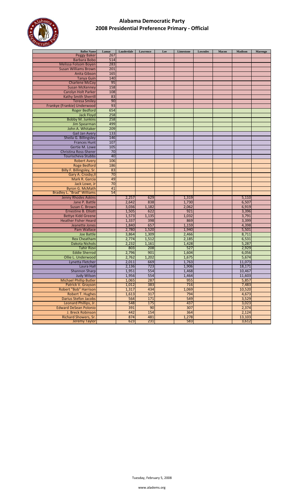

| <b>Ballot Name</b>                | Lamar | Lauderdale | Lawrence | Lee | Limestone | Lowndes | Macon | <b>Madison</b> | Marengo |
|-----------------------------------|-------|------------|----------|-----|-----------|---------|-------|----------------|---------|
| <b>Peggy Baker</b>                | 267   |            |          |     |           |         |       |                |         |
| <b>Barbara Bobo</b>               | 514   |            |          |     |           |         |       |                |         |
| <b>Melissa Folsom Boyen</b>       | 283   |            |          |     |           |         |       |                |         |
| <b>Susan Williams Brown</b>       | 201   |            |          |     |           |         |       |                |         |
| Anita Gibson                      | 165   |            |          |     |           |         |       |                |         |
| <b>Tanya Guin</b>                 | 140   |            |          |     |           |         |       |                |         |
| <b>Charlene McCoy</b>             | 95    |            |          |     |           |         |       |                |         |
| <b>Susan McKenney</b>             | 158   |            |          |     |           |         |       |                |         |
| Carolyn Holt Parker               | 108   |            |          |     |           |         |       |                |         |
| <b>Kathy Smith Sherrill</b>       | 83    |            |          |     |           |         |       |                |         |
| <b>Teresa Smiley</b>              | 90    |            |          |     |           |         |       |                |         |
| Frankye (Frankie) Underwood       | 93    |            |          |     |           |         |       |                |         |
| <b>Roger Bedford</b>              | 654   |            |          |     |           |         |       |                |         |
| <b>Jack Floyd</b>                 | 258   |            |          |     |           |         |       |                |         |
| <b>Bobby M. Junkins</b>           | 258   |            |          |     |           |         |       |                |         |
| Jim Spearman                      | 499   |            |          |     |           |         |       |                |         |
| John A. Whitaker                  | 209   |            |          |     |           |         |       |                |         |
| <b>Gail Jan Avery</b>             | 133   |            |          |     |           |         |       |                |         |
| Sheila G. Billingsley             | 146   |            |          |     |           |         |       |                |         |
| <b>Frances Hunt</b>               | 107   |            |          |     |           |         |       |                |         |
| Gertie M. Lowe                    | 105   |            |          |     |           |         |       |                |         |
| Christina Ross-Sherer             | 70    |            |          |     |           |         |       |                |         |
| Tourischeva Stubbs                | 40    |            |          |     |           |         |       |                |         |
|                                   | 106   |            |          |     |           |         |       |                |         |
| <b>Robert Avery</b>               |       |            |          |     |           |         |       |                |         |
| <b>Roge Bedford</b>               | 186   |            |          |     |           |         |       |                |         |
| Billy F. Billingsley, Sr.         | 83    |            |          |     |           |         |       |                |         |
| Gary A. Crosby, II                | 70    |            |          |     |           |         |       |                |         |
| Mark R. Garcia                    | 49    |            |          |     |           |         |       |                |         |
| Jack Lowe, Jr                     | 70    |            |          |     |           |         |       |                |         |
| <b>Byron G. McMath</b>            | 41    |            |          |     |           |         |       |                |         |
| <b>Bradley L. "Brad" Williams</b> | 54    |            |          |     |           |         |       |                |         |
| <b>Jenny Rhodes Askins</b>        |       | 2,257      | 629      |     | 1,319     |         |       | 5,110          |         |
| Jane P. Battle                    |       | 2,642      | 838      |     | 1,730     |         |       | 6,507          |         |
| Susan C. Brown                    |       | 3,036      | 1,182    |     | 2,062     |         |       | 6,919          |         |
| <b>Ernestine B. Elliott</b>       |       | 1,505      | 622      |     | 921       |         |       | 3,396          |         |
| <b>Bettye Kidd Greene</b>         |       | 1,573      | 1,135    |     | 1,032     |         |       | 3,791          |         |
| <b>Heather Fisher Heard</b>       |       | 1,337      | 398      |     | 869       |         |       | 3,399          |         |
| Jeanette Jones                    |       | 1,840      | 657      |     | 1,159     |         |       | 4,398          |         |
| Pam Wallace                       |       | 2,780      | 1,520    |     | 1,940     |         |       | 5,501          |         |
| <b>Joe Battle</b>                 |       | 3,864      | 1,309    |     | 2,466     |         |       | 8,711          |         |
| <b>Rex Cheatham</b>               |       | 2,774      | 1,512    |     | 2,185     |         |       | 6,531          |         |
| <b>Dakota Nichols</b>             |       | 2,232      | 1,161    |     | 1,428     |         |       | 5,287          |         |
| <b>Tahir Rizvi</b>                |       | 803        | 208      |     | 527       |         |       | 2,929          |         |
| <b>Eddie Sherrod</b>              |       | 2,796      | 901      |     | 1,604     |         |       | 6,056          |         |
| Ollie L. Underwood                |       | 2,762      | 1,202    |     | 1,675     |         |       | 5,674          |         |
| Lynetta Fletcher                  |       | 2,011      | 669      |     | 1,763     |         |       | 11,073         |         |
| Laura Hall                        |       | 2,136      | 723      |     | 1,906     |         |       | 18,171         |         |
| <b>Shannon Sharp</b>              |       | 1,951      | 554      |     | 1,468     |         |       | 10,467         |         |
| <b>Judy Wilson</b>                |       | 1,956      | 554      |     | 1,464     |         |       | 11,603         |         |
| <b>Michael Phillip Butler</b>     |       | 1,065      | 287      |     | 955       |         |       | 5,857          |         |
| Patrick V. Grayson                |       | 1,012      | 383      |     | 716       |         |       | 7,483          |         |
| Robert "Bob" Harrison             |       | 1,317      | 434      |     | 1,069     |         |       | 10,520         |         |
| <b>Robert T. Hughes</b>           |       | 1,613      | 317      |     | 794       |         |       | 4,673          |         |
| <b>Darius Stefon Jacobs</b>       |       | 564        | 171      |     | 549       |         |       | 3,529          |         |
| Leonard Phillips, Jr.             |       | 548        | 175      |     | 437       |         |       | 3,023          |         |
| <b>Edward DeSean Polonio</b>      |       | 391        | 90       |     | 307       |         |       | 2,374          |         |
| J. Breck Robinson                 |       | 442        | 154      |     | 364       |         |       | 2,124          |         |
| Richard Showers, Sr.              |       | 874        | 481      |     | 1,278     |         |       | 13,103         |         |
| <b>Jeremy Taylor</b>              |       | 623        | 231      |     | 583       |         |       | 3,612          |         |
|                                   |       |            |          |     |           |         |       |                |         |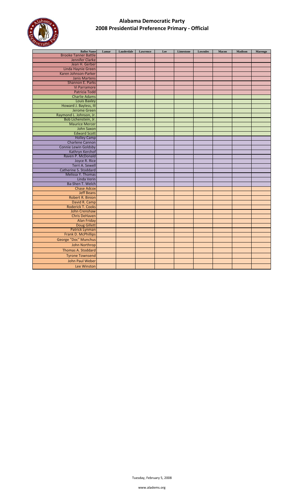

| <b>Ballot Name</b>                    | Lamar | Lauderdale | Lawrence | Lee | Limestone | <b>Lowndes</b> | Macon | Madison | Marengo |
|---------------------------------------|-------|------------|----------|-----|-----------|----------------|-------|---------|---------|
| <b>Brooke Tanner Battle</b>           |       |            |          |     |           |                |       |         |         |
| <b>Jennifer Clarke</b>                |       |            |          |     |           |                |       |         |         |
| Jean H. Gerber                        |       |            |          |     |           |                |       |         |         |
| Linda Haynie Green                    |       |            |          |     |           |                |       |         |         |
| Karen Johnson-Parker                  |       |            |          |     |           |                |       |         |         |
| <b>Janis Martens</b>                  |       |            |          |     |           |                |       |         |         |
| Shannon E. Parks                      |       |            |          |     |           |                |       |         |         |
| Vi Parramore                          |       |            |          |     |           |                |       |         |         |
| <b>Patricia Todd</b>                  |       |            |          |     |           |                |       |         |         |
| <b>Charlie Adams</b>                  |       |            |          |     |           |                |       |         |         |
| <b>Louis Baxley</b>                   |       |            |          |     |           |                |       |         |         |
| Howard J. Bayless, III                |       |            |          |     |           |                |       |         |         |
| <b>Jerome Green</b>                   |       |            |          |     |           |                |       |         |         |
| Raymond L. Johnson, Jr.               |       |            |          |     |           |                |       |         |         |
| Bob Lichenstein, Jr.                  |       |            |          |     |           |                |       |         |         |
| <b>Maurice Mercer</b>                 |       |            |          |     |           |                |       |         |         |
| John Saxon                            |       |            |          |     |           |                |       |         |         |
| <b>Edward Scott</b>                   |       |            |          |     |           |                |       |         |         |
| <b>Holley Camp</b>                    |       |            |          |     |           |                |       |         |         |
| <b>Charlene Cannon</b>                |       |            |          |     |           |                |       |         |         |
| <b>Connie Lewin Goldsby</b>           |       |            |          |     |           |                |       |         |         |
| Kathryn Kerchof                       |       |            |          |     |           |                |       |         |         |
| Raven P. McDonald                     |       |            |          |     |           |                |       |         |         |
| Joyce R. Rice                         |       |            |          |     |           |                |       |         |         |
| Terri A. Sewell                       |       |            |          |     |           |                |       |         |         |
| Catherine S. Stoddard                 |       |            |          |     |           |                |       |         |         |
| Melissa Y. Thomas                     |       |            |          |     |           |                |       |         |         |
| Linda Verin                           |       |            |          |     |           |                |       |         |         |
| Ba-Shen T. Welch                      |       |            |          |     |           |                |       |         |         |
| <b>Chase Adcox</b>                    |       |            |          |     |           |                |       |         |         |
| <b>Jeff Beans</b>                     |       |            |          |     |           |                |       |         |         |
| <b>Robert R. Binion</b>               |       |            |          |     |           |                |       |         |         |
| David R. Camp                         |       |            |          |     |           |                |       |         |         |
| <b>Roderick T. Cooks</b>              |       |            |          |     |           |                |       |         |         |
| John Crenshaw<br><b>Chris DeHaven</b> |       |            |          |     |           |                |       |         |         |
|                                       |       |            |          |     |           |                |       |         |         |
| <b>Alan Friday</b>                    |       |            |          |     |           |                |       |         |         |
| <b>Doug Gillett</b><br>Patrick Lynman |       |            |          |     |           |                |       |         |         |
| Frank D. McPhillips                   |       |            |          |     |           |                |       |         |         |
|                                       |       |            |          |     |           |                |       |         |         |
| George "Doc" Munchus                  |       |            |          |     |           |                |       |         |         |
| John Northrop                         |       |            |          |     |           |                |       |         |         |
| <b>Thomas A. Stoddard</b>             |       |            |          |     |           |                |       |         |         |
| <b>Tyrone Townsend</b>                |       |            |          |     |           |                |       |         |         |
| John Paul Weber                       |       |            |          |     |           |                |       |         |         |
| Lee Winston                           |       |            |          |     |           |                |       |         |         |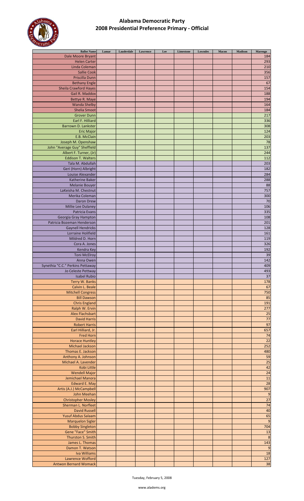

| <b>Ballot Name</b>               | Lamar | Lauderdale | Lawrence | Lee | Limestone | <b>Lowndes</b> | Macon | <b>Madison</b> | Marengo          |
|----------------------------------|-------|------------|----------|-----|-----------|----------------|-------|----------------|------------------|
|                                  |       |            |          |     |           |                |       |                |                  |
| Dale Moore Bryant                |       |            |          |     |           |                |       |                | 184              |
| <b>Helen Carter</b>              |       |            |          |     |           |                |       |                | 293              |
|                                  |       |            |          |     |           |                |       |                |                  |
| Linda Coleman                    |       |            |          |     |           |                |       |                | 210              |
| <b>Sallie Cook</b>               |       |            |          |     |           |                |       |                | 356              |
|                                  |       |            |          |     |           |                |       |                |                  |
| Priscilla Dunn                   |       |            |          |     |           |                |       |                | 157              |
| <b>Bethany Engle</b>             |       |            |          |     |           |                |       |                | 67               |
|                                  |       |            |          |     |           |                |       |                |                  |
| <b>Sheila Crawford Hayes</b>     |       |            |          |     |           |                |       |                | 154              |
|                                  |       |            |          |     |           |                |       |                |                  |
| Gail R. Maddox                   |       |            |          |     |           |                |       |                | 188              |
| Bettye R. Maye                   |       |            |          |     |           |                |       |                | 194              |
|                                  |       |            |          |     |           |                |       |                |                  |
| <b>Wanda Shelby</b>              |       |            |          |     |           |                |       |                | 164              |
| <b>Shelia Smoot</b>              |       |            |          |     |           |                |       |                | 184              |
|                                  |       |            |          |     |           |                |       |                |                  |
| <b>Grover Dunn</b>               |       |            |          |     |           |                |       |                | 217              |
|                                  |       |            |          |     |           |                |       |                |                  |
| Earl F. Hilliard                 |       |            |          |     |           |                |       |                | 336              |
| Barrown D. Lankster              |       |            |          |     |           |                |       |                | 308              |
|                                  |       |            |          |     |           |                |       |                |                  |
| <b>Eric Major</b>                |       |            |          |     |           |                |       |                | 124              |
| E.B. McClain                     |       |            |          |     |           |                |       |                | 203              |
|                                  |       |            |          |     |           |                |       |                |                  |
| Joseph M. Openshaw               |       |            |          |     |           |                |       |                | 78               |
| John "Average Guy" Sheffield     |       |            |          |     |           |                |       |                | 137              |
|                                  |       |            |          |     |           |                |       |                |                  |
| Albert F. Turner, (Jr)           |       |            |          |     |           |                |       |                | 244              |
|                                  |       |            |          |     |           |                |       |                |                  |
| <b>Eddison T. Walters</b>        |       |            |          |     |           |                |       |                | 112              |
| Tala M. Abdullah                 |       |            |          |     |           |                |       |                | 203              |
|                                  |       |            |          |     |           |                |       |                |                  |
| Geri (Horn) Albright             |       |            |          |     |           |                |       |                | 182              |
| Louise Alexander                 |       |            |          |     |           |                |       |                | 284              |
|                                  |       |            |          |     |           |                |       |                |                  |
| <b>Katherine Baker</b>           |       |            |          |     |           |                |       |                | 288              |
| <b>Melanie Bouyer</b>            |       |            |          |     |           |                |       |                | 88               |
|                                  |       |            |          |     |           |                |       |                |                  |
| LaKeisha M. Chestnut             |       |            |          |     |           |                |       |                | 757              |
|                                  |       |            |          |     |           |                |       |                |                  |
| Merika Coleman                   |       |            |          |     |           |                |       |                | 300              |
| Daron Drew                       |       |            |          |     |           |                |       |                | 70               |
|                                  |       |            |          |     |           |                |       |                |                  |
| Millie Lee Dulaney               |       |            |          |     |           |                |       |                | 106              |
| Patricia Evans                   |       |            |          |     |           |                |       |                | 335              |
|                                  |       |            |          |     |           |                |       |                |                  |
| Georgia Gray Hampton             |       |            |          |     |           |                |       |                | 108              |
|                                  |       |            |          |     |           |                |       |                |                  |
| Patricia Bozeman Henderson       |       |            |          |     |           |                |       |                | 201              |
| <b>Gaynell Hendricks</b>         |       |            |          |     |           |                |       |                | 128              |
|                                  |       |            |          |     |           |                |       |                |                  |
| Lorraine Holifield               |       |            |          |     |           |                |       |                | 161              |
| Mildred D. Horn                  |       |            |          |     |           |                |       |                | 119              |
|                                  |       |            |          |     |           |                |       |                |                  |
| Cora A. Jones                    |       |            |          |     |           |                |       |                | 326              |
|                                  |       |            |          |     |           |                |       |                |                  |
| Kendra Key                       |       |            |          |     |           |                |       |                | 192              |
| <b>Toni McElroy</b>              |       |            |          |     |           |                |       |                | 39               |
|                                  |       |            |          |     |           |                |       |                |                  |
| Anna Owen                        |       |            |          |     |           |                |       |                | 142              |
| Synethia "C.C." Perkins Pettaway |       |            |          |     |           |                |       |                | 409              |
|                                  |       |            |          |     |           |                |       |                |                  |
| Jo Celeste Pettway               |       |            |          |     |           |                |       |                | 493              |
|                                  |       |            |          |     |           |                |       |                | 37               |
| Isabel Rubio                     |       |            |          |     |           |                |       |                |                  |
| Terry W. Banks                   |       |            |          |     |           |                |       |                | 178              |
|                                  |       |            |          |     |           |                |       |                |                  |
| Calvin L. Beale                  |       |            |          |     |           |                |       |                | 67               |
| <b>Mitchell Congress</b>         |       |            |          |     |           |                |       |                | 750              |
|                                  |       |            |          |     |           |                |       |                |                  |
| <b>Bill Dawson</b>               |       |            |          |     |           |                |       |                | 85               |
|                                  |       |            |          |     |           |                |       |                |                  |
| <b>Chris England</b>             |       |            |          |     |           |                |       |                | 191              |
| Ralph W. Ervin                   |       |            |          |     |           |                |       |                | 277              |
|                                  |       |            |          |     |           |                |       |                |                  |
| <b>Alex Flachsbart</b>           |       |            |          |     |           |                |       |                | $\overline{25}$  |
| <b>David Harris</b>              |       |            |          |     |           |                |       |                | $\overline{77}$  |
|                                  |       |            |          |     |           |                |       |                |                  |
| <b>Robert Harris</b>             |       |            |          |     |           |                |       |                | 97               |
| Earl Hilliard, Jr.               |       |            |          |     |           |                |       |                | 657              |
|                                  |       |            |          |     |           |                |       |                |                  |
| <b>Fred Horn</b>                 |       |            |          |     |           |                |       |                | 74               |
|                                  |       |            |          |     |           |                |       |                | $\overline{22}$  |
| <b>Horace Huntley</b>            |       |            |          |     |           |                |       |                |                  |
| <b>Michael Jackson</b>           |       |            |          |     |           |                |       |                | 252              |
|                                  |       |            |          |     |           |                |       |                |                  |
| Thomas E. Jackson                |       |            |          |     |           |                |       |                | 480              |
| Anthony A. Johnson               |       |            |          |     |           |                |       |                | 59               |
|                                  |       |            |          |     |           |                |       |                |                  |
| Michael A. Lavender              |       |            |          |     |           |                |       |                | $\overline{25}$  |
| Kobi Little                      |       |            |          |     |           |                |       |                | 42               |
|                                  |       |            |          |     |           |                |       |                |                  |
| <b>Wendell Major</b>             |       |            |          |     |           |                |       |                | 24               |
|                                  |       |            |          |     |           |                |       |                |                  |
| Jemichael Manora                 |       |            |          |     |           |                |       |                | 11               |
| <b>Edward E. May</b>             |       |            |          |     |           |                |       |                | 28               |
|                                  |       |            |          |     |           |                |       |                |                  |
| Artis (A.J.) McCampbell          |       |            |          |     |           |                |       |                | 907              |
| John Meehan                      |       |            |          |     |           |                |       |                | $\overline{9}$   |
|                                  |       |            |          |     |           |                |       |                |                  |
| <b>Christopher Mosley</b>        |       |            |          |     |           |                |       |                | $\overline{27}$  |
|                                  |       |            |          |     |           |                |       |                | 74               |
| Sherman L. Norfleet              |       |            |          |     |           |                |       |                |                  |
| <b>David Russell</b>             |       |            |          |     |           |                |       |                | 40               |
|                                  |       |            |          |     |           |                |       |                |                  |
| <b>Yusuf Abdus Salaam</b>        |       |            |          |     |           |                |       |                | 65               |
|                                  |       |            |          |     |           |                |       |                | $\overline{9}$   |
| <b>Marquelon Sigler</b>          |       |            |          |     |           |                |       |                |                  |
| <b>Bobby Singleton</b>           |       |            |          |     |           |                |       |                | 704              |
|                                  |       |            |          |     |           |                |       |                |                  |
| Gene "Face" Smith                |       |            |          |     |           |                |       |                | 13               |
| Thurston S. Smith                |       |            |          |     |           |                |       |                | $\boldsymbol{8}$ |
|                                  |       |            |          |     |           |                |       |                |                  |
| James L. Thomas                  |       |            |          |     |           |                |       |                | 143              |
| Damon T. Watson                  |       |            |          |     |           |                |       |                | $\overline{9}$   |
|                                  |       |            |          |     |           |                |       |                |                  |
| Iva Williams                     |       |            |          |     |           |                |       |                | 18               |
|                                  |       |            |          |     |           |                |       |                |                  |
| Lawrence Wofford                 |       |            |          |     |           |                |       |                | 127              |
| <b>Antwon Bernard Womack</b>     |       |            |          |     |           |                |       |                | 38               |
|                                  |       |            |          |     |           |                |       |                |                  |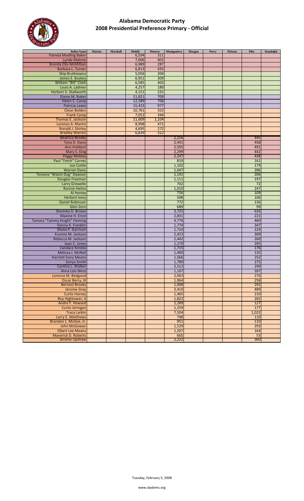

| <b>Ballot Name</b>            | <b>Marion</b> | Marshall | Mobile | Monroe | Montgomery | Morgan | Perry | <b>Pickens</b> | Pike  | Randolph |
|-------------------------------|---------------|----------|--------|--------|------------|--------|-------|----------------|-------|----------|
| <b>Pamela Modling Baker</b>   |               |          | 6,594  | 311    |            |        |       |                |       |          |
| Lynda Malone                  |               |          | 7,606  | 401    |            |        |       |                |       |          |
| <b>Brenda Ellis McMillian</b> |               |          | 6,989  | 287    |            |        |       |                |       |          |
| Barbara L. Turner             |               |          | 6,813  | 435    |            |        |       |                |       |          |
|                               |               |          |        |        |            |        |       |                |       |          |
| <b>Skip Brutkiewicz</b>       |               |          | 5,056  | 204    |            |        |       |                |       |          |
| James E. Buskey               |               |          | 6,951  | 309    |            |        |       |                |       |          |
| William "Bill" Clark          |               |          | 6,585  | 403    |            |        |       |                |       |          |
| Louis A. Ladnier              |               |          | 4,257  | 180    |            |        |       |                |       |          |
| Herbert V. Stallworth         |               |          | 4,151  | 231    |            |        |       |                |       |          |
| Elaine M. Buker               |               |          | 11,821 | 709    |            |        |       |                |       |          |
| Helen C. Camp                 |               |          | 12,589 | 706    |            |        |       |                |       |          |
| Patricia Lewis                |               |          | 15,423 | 977    |            |        |       |                |       |          |
|                               |               |          |        |        |            |        |       |                |       |          |
| Cleon Bolden                  |               |          | 10,761 | 323    |            |        |       |                |       |          |
| <b>Frank Camp</b>             |               |          | 7,052  | 344    |            |        |       |                |       |          |
| Thomas E. Jackson             |               |          | 11,609 | 1,104  |            |        |       |                |       |          |
| Lorenzo A. Martin             |               |          | 8,998  | 471    |            |        |       |                |       |          |
| Ronald J. Shirley             |               |          | 4,695  | 272    |            |        |       |                |       |          |
| <b>Bradley Warren</b>         |               |          | 6,839  | 312    |            |        |       |                |       |          |
| <b>Beatrice Brooks</b>        |               |          |        |        | 2,256      |        |       |                | 445   |          |
| Tyna D. Davis                 |               |          |        |        | 2,441      |        |       |                | 458   |          |
|                               |               |          |        |        |            |        |       |                | 491   |          |
| Ann Hubbert                   |               |          |        |        | 2,505      |        |       |                |       |          |
| Mary S. King                  |               |          |        |        | 2,299      |        |       |                | 442   |          |
| <b>Peggy Mobley</b>           |               |          |        |        | 2,247      |        |       |                | 438   |          |
| <b>Paul "Fetch" Carnes</b>    |               |          |        |        | 819        |        |       |                | 161   |          |
| <b>Joe Cottle</b>             |               |          |        |        | 1,102      |        |       |                | 179   |          |
| <b>Warren Davis</b>           |               |          |        |        | 1,647      |        |       |                | 286   |          |
| Terance "Watch Dog" Dawson    |               |          |        |        | 1,191      |        |       |                | 206   |          |
| <b>Douglas Freeman</b>        |               |          |        |        | 1,111      |        |       |                | 197   |          |
|                               |               |          |        |        |            |        |       |                |       |          |
| <b>Larry Grewelle</b>         |               |          |        |        | 702        |        |       |                | 72    |          |
| <b>Ronnie Helms</b>           |               |          |        |        | 1,010      |        |       |                | 247   |          |
| Al Henley                     |               |          |        |        | 754        |        |       |                | 109   |          |
| <b>Herbert Ivery</b>          |               |          |        |        | 508        |        |       |                | 106   |          |
| <b>Daniel Robinson</b>        |               |          |        |        | 772        |        |       |                | 136   |          |
| Glen Zorn                     |               |          |        |        | 689        |        |       |                | 99    |          |
| Shemika D. Brown              |               |          |        |        | 3,725      |        |       |                | 626   |          |
| Maxine H. Ervin               |               |          |        |        | 2,831      |        |       |                | 221   |          |
| Tamara "Tammy Knight" Fleming |               |          |        |        |            |        |       |                | 460   |          |
|                               |               |          |        |        | 4,776      |        |       |                |       |          |
| Donna K. Franklin             |               |          |        |        | 1,774      |        |       |                | 347   |          |
| Shelia P. Garrison            |               |          |        |        | 1,710      |        |       |                | 229   |          |
| Evonne M. Jackson             |               |          |        |        | 2,423      |        |       |                | 309   |          |
| Rebecca M. Jackson            |               |          |        |        | 2,442      |        |       |                | 260   |          |
| Jean C. Jones                 |               |          |        |        | 1,270      |        |       |                | 295   |          |
| Candace Kimble                |               |          |        |        | 1,715      |        |       |                | 176   |          |
| Melissa J. McNeil             |               |          |        |        | 1,400      |        |       |                | 135   |          |
| <b>Harriett Ivory Means</b>   |               |          |        |        |            |        |       |                | 252   |          |
|                               |               |          |        |        | 1,566      |        |       |                |       |          |
| Sonya Smith                   |               |          |        |        | 1,789      |        |       |                | 275   |          |
| Cynthia L. Walker             |               |          |        |        | 2,512      |        |       |                | 299   |          |
| Alma Lois West                |               |          |        |        | 1,107      |        |       |                | 187   |          |
| Lorenza M. Bedgood            |               |          |        |        | 2,063      |        |       |                | 276   |          |
| <b>Oscar Berry, III</b>       |               |          |        |        | 1,964      |        |       |                | 258   |          |
| <b>Bernest Brooks</b>         |               |          |        |        | 1,008      |        |       |                | 292   |          |
| <b>Jerome Gray</b>            |               |          |        |        | 3,410      |        |       |                | 489   |          |
| <b>Curtis Harvey</b>          |               |          |        |        | 1,465      |        |       |                | 210   |          |
| Roy Hightower, II             |               |          |        |        | 1,822      |        |       |                | 265   |          |
|                               |               |          |        |        |            |        |       |                |       |          |
| Andre F. Howard               |               |          |        |        | 2,289      |        |       |                | 127   |          |
| <b>Curtis Jernigan</b>        |               |          |        |        | 1,259      |        |       |                | 177   |          |
| <b>Tracy Larkin</b>           |               |          |        |        | 7,504      |        |       |                | 1,022 |          |
| Larry E. Matthews             |               |          |        |        | 748        |        |       |                | 110   |          |
| Brandon L. McGee, Jr.         |               |          |        |        | 951        |        |       |                | 110   |          |
| John McGowan                  |               |          |        |        | 1,529      |        |       |                | 293   |          |
| <b>Elbert Lee Means</b>       |               |          |        |        | 1,207      |        |       |                | 164   |          |
| <b>Maverick D. Roberts</b>    |               |          |        |        | 665        |        |       |                | 53    |          |
| Jerome Upshaw                 |               |          |        |        | 2,222      |        |       |                | 360   |          |
|                               |               |          |        |        |            |        |       |                |       |          |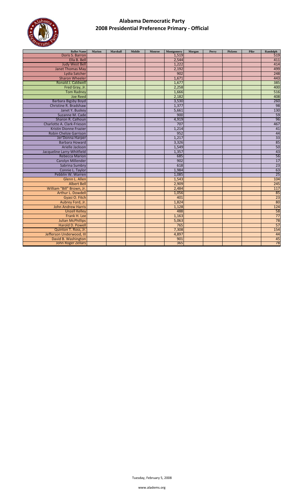

| <b>Ballot Name</b>            | Marion | Marshall | <b>Mobile</b> | Monroe | Montgomery | Morgan | Perry | <b>Pickens</b> | Pike | Randolph          |
|-------------------------------|--------|----------|---------------|--------|------------|--------|-------|----------------|------|-------------------|
| Doris S. Barron               |        |          |               |        | 1,519      |        |       |                |      | 519               |
| Ella B. Bell                  |        |          |               |        | 2,544      |        |       |                |      | 411               |
| <b>Judy West Bell</b>         |        |          |               |        | 1,222      |        |       |                |      | 414               |
| <b>Janet Thomas May</b>       |        |          |               |        | 2,192      |        |       |                |      | 499               |
| Lydia Satcher                 |        |          |               |        | 902        |        |       |                |      | 248               |
| <b>Sharon Wheeler</b>         |        |          |               |        | 1,671      |        |       |                |      | $\frac{443}{385}$ |
| Ronald J. Caldwell            |        |          |               |        | 1,677      |        |       |                |      |                   |
| Fred Gray, Jr.                |        |          |               |        | 2,258      |        |       |                |      | 400               |
| <b>Tom Radney</b>             |        |          |               |        | 1,666      |        |       |                |      | 516               |
| <b>Joe Reed</b>               |        |          |               |        | 2,182      |        |       |                |      | 408               |
| <b>Barbara Bigsby Boyd</b>    |        |          |               |        | 3,530      |        |       |                |      | 260               |
| Christine R. Bradshaw         |        |          |               |        | 1,377      |        |       |                |      | 98                |
| Janet Y. Buskey               |        |          |               |        | 5,661      |        |       |                |      | 130               |
| Suzanne M. Cade               |        |          |               |        | 900        |        |       |                |      | $\frac{59}{96}$   |
| Sharon R. Calhoun             |        |          |               |        | 4,919      |        |       |                |      |                   |
| Charlotte A. Clark-Frieson    |        |          |               |        | 707        |        |       |                |      | 467               |
| <b>Kristin Dionne Frazier</b> |        |          |               |        | 1,214      |        |       |                |      | 41                |
| <b>Robin Chelsie Garrison</b> |        |          |               |        | 952        |        |       |                |      | $\frac{44}{33}$   |
| Jer'Donna Harper              |        |          |               |        | 1,217      |        |       |                |      |                   |
| <b>Barbara Howard</b>         |        |          |               |        | 3,326      |        |       |                |      | $\frac{85}{50}$   |
| Arielle Jackson               |        |          |               |        | 1,549      |        |       |                |      |                   |
| Jacqueline Larry-Whitfield    |        |          |               |        | 1,357      |        |       |                |      | $\frac{43}{56}$   |
| <b>Rebecca Marion</b>         |        |          |               |        | 685        |        |       |                |      |                   |
| <b>Carolyn Millender</b>      |        |          |               |        | 902        |        |       |                |      | 17                |
| Sabrina Sumbry                |        |          |               |        | 618        |        |       |                |      | $\overline{23}$   |
| Connie L. Taylor              |        |          |               |        | 1,984      |        |       |                |      | 63                |
| Pebblin W. Warren             |        |          |               |        | 1,085      |        |       |                |      | $\overline{25}$   |
| Glenn L. Allen                |        |          |               |        | 1,543      |        |       |                |      | 104               |
| <b>Albert Bell</b>            |        |          |               |        | 2,909      |        |       |                |      | 245               |
| William "Bill" Brown, Jr.     |        |          |               |        | 2,484      |        |       |                |      | 117               |
| Arthur L. Dowdell             |        |          |               |        | 1,056      |        |       |                |      | 85                |
| Gyasi O. Fitch                |        |          |               |        | 401        |        |       |                |      | $\overline{23}$   |
| Aubrey Ford, Jr.              |        |          |               |        | 1,824      |        |       |                |      | 80                |
| <b>John Andrew Harris</b>     |        |          |               |        | 1,128      |        |       |                |      | 124               |
| <b>Unzell Kelley</b>          |        |          |               |        | 488        |        |       |                |      |                   |
| Frank H. Lee                  |        |          |               |        | 1,163      |        |       |                |      | $\frac{58}{77}$   |
| <b>Julian McPhillips</b>      |        |          |               |        | 5,063      |        |       |                |      | $\frac{78}{57}$   |
| Harold D. Powell              |        |          |               |        | 765        |        |       |                |      |                   |
| Quinton T. Ross, Jr.          |        |          |               |        | 7,308      |        |       |                |      | 154               |
| Jefferson Underwood, III      |        |          |               |        | 4,897      |        |       |                |      | 44                |
| David B. Washington           |        |          |               |        | 901        |        |       |                |      | 45                |
| John Roger Zellars            |        |          |               |        | 365        |        |       |                |      | 78                |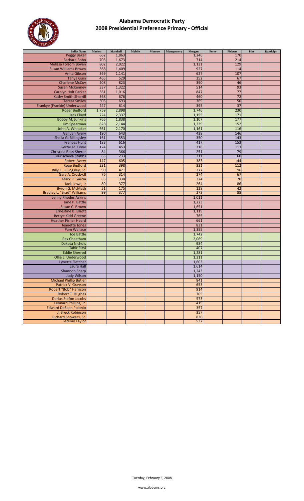

| <b>Ballot Name</b>                | Marion | Marshall | Mobile | Monroe | Montgomery | Morgan | Perry | <b>Pickens</b> | Pike | Randolph |
|-----------------------------------|--------|----------|--------|--------|------------|--------|-------|----------------|------|----------|
| <b>Peggy Baker</b>                | 662    | 1,863    |        |        |            | 1,246  |       | 170            |      |          |
| <b>Barbara Bobo</b>               | 703    | 1,673    |        |        |            | 714    |       | 214            |      |          |
| Melissa Folsom Boyen              | 802    | 2,022    |        |        |            | 1,131  |       | 129            |      |          |
| <b>Susan Williams Brown</b>       | 568    | 1,409    |        |        |            | 927    |       | 114            |      |          |
| Anita Gibson                      | 369    | 1,141    |        |        |            | 627    |       | 107            |      |          |
| <b>Tanya Guin</b>                 | 465    | 529      |        |        |            | 252    |       | 67             |      |          |
| <b>Charlene McCoy</b>             | 208    | 823      |        |        |            | 390    |       | 46             |      |          |
| <b>Susan McKenney</b>             | 337    | 1,322    |        |        |            | 514    |       | 93             |      |          |
| Carolyn Holt Parker               | 361    | 1,016    |        |        |            | 847    |       | 77             |      |          |
| <b>Kathy Smith Sherrill</b>       | 368    | 676      |        |        |            | 460    |       | 72             |      |          |
| <b>Teresa Smiley</b>              | 305    | 693      |        |        |            | 369    |       | 50             |      |          |
| Frankye (Frankie) Underwood       | 247    | 614      |        |        |            | 395    |       | 37             |      |          |
| <b>Roger Bedford</b>              | 1,759  | 2,898    |        |        |            | 1,746  |       | 230            |      |          |
| <b>Jack Floyd</b>                 | 724    | 2,337    |        |        |            | 1,155  |       | 171            |      |          |
| <b>Bobby M. Junkins</b>           | 765    | 1,838    |        |        |            | 1,107  |       | 177            |      |          |
| <b>Jim Spearman</b>               | 828    | 2,144    |        |        |            | 1,339  |       | 152            |      |          |
| John A. Whitaker                  | 661    | 2,170    |        |        |            | 1,161  |       | 116            |      |          |
| <b>Gail Jan Avery</b>             | 190    | 643      |        |        |            | 438    |       | 146            |      |          |
| Sheila G. Billingsley             | 161    | 553      |        |        |            | 350    |       | 143            |      |          |
|                                   | 183    | 616      |        |        |            | 417    |       | 153            |      |          |
| <b>Frances Hunt</b>               | 124    |          |        |        |            | 318    |       | 113            |      |          |
| Gertie M. Lowe                    |        | 453      |        |        |            |        |       |                |      |          |
| Christina Ross-Sherer             | 84     | 366      |        |        |            | 251    |       | 79             |      |          |
| Tourischeva Stubbs                | 65     | 233      |        |        |            | 211    |       | 60             |      |          |
| <b>Robert Avery</b>               | 147    | 605      |        |        |            | 383    |       | 144            |      |          |
| <b>Roge Bedford</b>               | 231    | 398      |        |        |            | 331    |       | 112            |      |          |
| Billy F. Billingsley, Sr.         | 90     | 471      |        |        |            | 277    |       | 96             |      |          |
| Gary A. Crosby, II                | 76     | 314      |        |        |            | 274    |       | 67             |      |          |
| Mark R. Garcia                    | 85     | 338      |        |        |            | 224    |       | 70             |      |          |
| Jack Lowe, Jr                     | 89     | 377      |        |        |            | 264    |       | 86             |      |          |
| <b>Byron G. McMath</b>            | 51     | 175      |        |        |            | 128    |       | 42             |      |          |
| <b>Bradley L. "Brad" Williams</b> | 99     | 377      |        |        |            | 273    |       | 88             |      |          |
| Jenny Rhodes Askins               |        |          |        |        |            | 1,011  |       |                |      |          |
| Jane P. Battle                    |        |          |        |        |            | 1,223  |       |                |      |          |
| Susan C. Brown                    |        |          |        |        |            | 1,651  |       |                |      |          |
| <b>Ernestine B. Elliott</b>       |        |          |        |        |            | 1,119  |       |                |      |          |
| <b>Bettye Kidd Greene</b>         |        |          |        |        |            | 765    |       |                |      |          |
| <b>Heather Fisher Heard</b>       |        |          |        |        |            | 661    |       |                |      |          |
| Jeanette Jones                    |        |          |        |        |            | 831    |       |                |      |          |
| Pam Wallace                       |        |          |        |        |            | 1,355  |       |                |      |          |
| Joe Battle                        |        |          |        |        |            | 1,742  |       |                |      |          |
| <b>Rex Cheatham</b>               |        |          |        |        |            | 2,069  |       |                |      |          |
| Dakota Nichols                    |        |          |        |        |            | 984    |       |                |      |          |
| <b>Tahir Rizvi</b>                |        |          |        |        |            | 407    |       |                |      |          |
| <b>Eddie Sherrod</b>              |        |          |        |        |            | 1,281  |       |                |      |          |
| Ollie L. Underwood                |        |          |        |        |            | 1,311  |       |                |      |          |
| Lynetta Fletcher                  |        |          |        |        |            | 1,603  |       |                |      |          |
| Laura Hall                        |        |          |        |        |            | 1,614  |       |                |      |          |
| <b>Shannon Sharp</b>              |        |          |        |        |            | 1,243  |       |                |      |          |
| <b>Judy Wilson</b>                |        |          |        |        |            | 1,150  |       |                |      |          |
| <b>Michael Phillip Butler</b>     |        |          |        |        |            | 841    |       |                |      |          |
| Patrick V. Grayson                |        |          |        |        |            | 653    |       |                |      |          |
| <b>Robert "Bob" Harrison</b>      |        |          |        |        |            | 914    |       |                |      |          |
| Robert T. Hughes                  |        |          |        |        |            | 705    |       |                |      |          |
| Darius Stefon Jacobs              |        |          |        |        |            | 573    |       |                |      |          |
| Leonard Phillips, Jr.             |        |          |        |        |            | 419    |       |                |      |          |
| <b>Edward DeSean Polonio</b>      |        |          |        |        |            |        |       |                |      |          |
| J. Breck Robinson                 |        |          |        |        |            | 357    |       |                |      |          |
|                                   |        |          |        |        |            | 357    |       |                |      |          |
| Richard Showers, Sr.              |        |          |        |        |            | 830    |       |                |      |          |
| <b>Jeremy Taylor</b>              |        |          |        |        |            | 532    |       |                |      |          |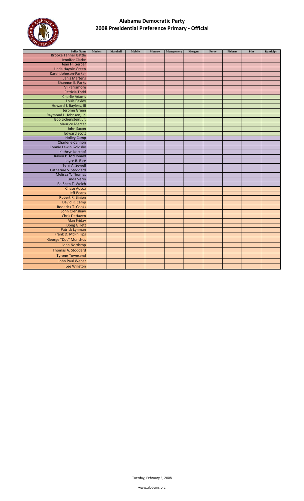

| <b>Ballot Name</b>          | <b>Marion</b> | Marshall | <b>Mobile</b> | Monroe | Montgomery | Morgan | Perry | Pickens | Pike | Randolph |
|-----------------------------|---------------|----------|---------------|--------|------------|--------|-------|---------|------|----------|
| <b>Brooke Tanner Battle</b> |               |          |               |        |            |        |       |         |      |          |
| Jennifer Clarke             |               |          |               |        |            |        |       |         |      |          |
| Jean H. Gerber              |               |          |               |        |            |        |       |         |      |          |
| Linda Haynie Green          |               |          |               |        |            |        |       |         |      |          |
| Karen Johnson-Parker        |               |          |               |        |            |        |       |         |      |          |
| <b>Janis Martens</b>        |               |          |               |        |            |        |       |         |      |          |
| Shannon E. Parks            |               |          |               |        |            |        |       |         |      |          |
| Vi Parramore                |               |          |               |        |            |        |       |         |      |          |
| <b>Patricia Todd</b>        |               |          |               |        |            |        |       |         |      |          |
| <b>Charlie Adams</b>        |               |          |               |        |            |        |       |         |      |          |
| <b>Louis Baxley</b>         |               |          |               |        |            |        |       |         |      |          |
| Howard J. Bayless, III      |               |          |               |        |            |        |       |         |      |          |
| <b>Jerome Green</b>         |               |          |               |        |            |        |       |         |      |          |
| Raymond L. Johnson, Jr.     |               |          |               |        |            |        |       |         |      |          |
| Bob Lichenstein, Jr.        |               |          |               |        |            |        |       |         |      |          |
| <b>Maurice Mercer</b>       |               |          |               |        |            |        |       |         |      |          |
| John Saxon                  |               |          |               |        |            |        |       |         |      |          |
| <b>Edward Scott</b>         |               |          |               |        |            |        |       |         |      |          |
| <b>Holley Camp</b>          |               |          |               |        |            |        |       |         |      |          |
| <b>Charlene Cannon</b>      |               |          |               |        |            |        |       |         |      |          |
| <b>Connie Lewin Goldsby</b> |               |          |               |        |            |        |       |         |      |          |
| Kathryn Kerchof             |               |          |               |        |            |        |       |         |      |          |
| Raven P. McDonald           |               |          |               |        |            |        |       |         |      |          |
| Joyce R. Rice               |               |          |               |        |            |        |       |         |      |          |
| Terri A. Sewell             |               |          |               |        |            |        |       |         |      |          |
| Catherine S. Stoddard       |               |          |               |        |            |        |       |         |      |          |
| Melissa Y. Thomas           |               |          |               |        |            |        |       |         |      |          |
| Linda Verin                 |               |          |               |        |            |        |       |         |      |          |
| Ba-Shen T. Welch            |               |          |               |        |            |        |       |         |      |          |
| <b>Chase Adcox</b>          |               |          |               |        |            |        |       |         |      |          |
| <b>Jeff Beans</b>           |               |          |               |        |            |        |       |         |      |          |
| Robert R. Binion            |               |          |               |        |            |        |       |         |      |          |
| David R. Camp               |               |          |               |        |            |        |       |         |      |          |
| <b>Roderick T. Cooks</b>    |               |          |               |        |            |        |       |         |      |          |
| John Crenshaw               |               |          |               |        |            |        |       |         |      |          |
| <b>Chris DeHaven</b>        |               |          |               |        |            |        |       |         |      |          |
| <b>Alan Friday</b>          |               |          |               |        |            |        |       |         |      |          |
| <b>Doug Gillett</b>         |               |          |               |        |            |        |       |         |      |          |
| Patrick Lynman              |               |          |               |        |            |        |       |         |      |          |
| Frank D. McPhillips         |               |          |               |        |            |        |       |         |      |          |
| George "Doc" Munchus        |               |          |               |        |            |        |       |         |      |          |
| John Northrop               |               |          |               |        |            |        |       |         |      |          |
| Thomas A. Stoddard          |               |          |               |        |            |        |       |         |      |          |
| <b>Tyrone Townsend</b>      |               |          |               |        |            |        |       |         |      |          |
| <b>John Paul Weber</b>      |               |          |               |        |            |        |       |         |      |          |
| Lee Winston                 |               |          |               |        |            |        |       |         |      |          |
|                             |               |          |               |        |            |        |       |         |      |          |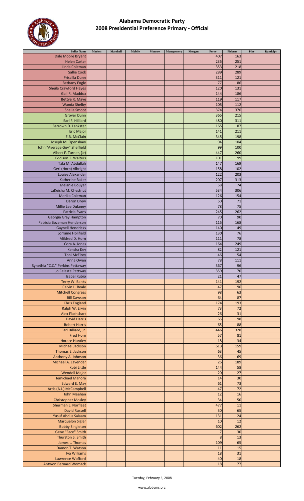

| <b>Ballot Name</b>               | Marion | Marshall | Mobile | Monroe | Montgomery | Morgan | Perry   | Pickens | Pike | Randolph |
|----------------------------------|--------|----------|--------|--------|------------|--------|---------|---------|------|----------|
| Dale Moore Bryant                |        |          |        |        |            |        | 407     | 163     |      |          |
|                                  |        |          |        |        |            |        |         |         |      |          |
| <b>Helen Carter</b>              |        |          |        |        |            |        | 235     | 251     |      |          |
| Linda Coleman                    |        |          |        |        |            |        | 353     | 218     |      |          |
| <b>Sallie Cook</b>               |        |          |        |        |            |        | 289     | 289     |      |          |
|                                  |        |          |        |        |            |        |         |         |      |          |
| Priscilla Dunn                   |        |          |        |        |            |        | 311     | 121     |      |          |
| <b>Bethany Engle</b>             |        |          |        |        |            |        | 77      | 86      |      |          |
| <b>Sheila Crawford Hayes</b>     |        |          |        |        |            |        | 120     | 131     |      |          |
|                                  |        |          |        |        |            |        |         |         |      |          |
| Gail R. Maddox                   |        |          |        |        |            |        | 144     | 186     |      |          |
| Bettye R. Maye                   |        |          |        |        |            |        | 119     | 117     |      |          |
| <b>Wanda Shelby</b>              |        |          |        |        |            |        | 105     | 112     |      |          |
|                                  |        |          |        |        |            |        |         |         |      |          |
| <b>Shelia Smoot</b>              |        |          |        |        |            |        | 374     | 376     |      |          |
| <b>Grover Dunn</b>               |        |          |        |        |            |        | 365     | 215     |      |          |
|                                  |        |          |        |        |            |        | 480     | 311     |      |          |
| Earl F. Hilliard                 |        |          |        |        |            |        |         |         |      |          |
| Barrown D. Lankster              |        |          |        |        |            |        | 165     | 87      |      |          |
| <b>Eric Major</b>                |        |          |        |        |            |        | 141     | 211     |      |          |
|                                  |        |          |        |        |            |        |         |         |      |          |
| E.B. McClain                     |        |          |        |        |            |        | 345     | 198     |      |          |
| Joseph M. Openshaw               |        |          |        |        |            |        | 94      | 104     |      |          |
| John "Average Guy" Sheffield     |        |          |        |        |            |        | 99      | 100     |      |          |
|                                  |        |          |        |        |            |        |         |         |      |          |
| Albert F. Turner, (Jr)           |        |          |        |        |            |        | 447     | 260     |      |          |
| <b>Eddison T. Walters</b>        |        |          |        |        |            |        | 101     | 99      |      |          |
| Tala M. Abdullah                 |        |          |        |        |            |        | 147     | 169     |      |          |
|                                  |        |          |        |        |            |        |         |         |      |          |
| Geri (Horn) Albright             |        |          |        |        |            |        | 158     | 102     |      |          |
| Louise Alexander                 |        |          |        |        |            |        | 122     | 203     |      |          |
| Katherine Baker                  |        |          |        |        |            |        | 207     | 313     |      |          |
|                                  |        |          |        |        |            |        |         |         |      |          |
| <b>Melanie Bouyer</b>            |        |          |        |        |            |        | 58      | 74      |      |          |
| LaKeisha M. Chestnut             |        |          |        |        |            |        | 534     | 306     |      |          |
| Merika Coleman                   |        |          |        |        |            |        | 126     | 154     |      |          |
|                                  |        |          |        |        |            |        |         |         |      |          |
| Daron Drew                       |        |          |        |        |            |        | 50      | 71      |      |          |
| Millie Lee Dulaney               |        |          |        |        |            |        | 78      | 75      |      |          |
| Patricia Evans                   |        |          |        |        |            |        | 245     | 262     |      |          |
|                                  |        |          |        |        |            |        |         |         |      |          |
| Georgia Gray Hampton             |        |          |        |        |            |        | 70      | 90      |      |          |
| Patricia Bozeman Henderson       |        |          |        |        |            |        | 115     | 168     |      |          |
|                                  |        |          |        |        |            |        | 140     | 49      |      |          |
| <b>Gaynell Hendricks</b>         |        |          |        |        |            |        |         |         |      |          |
| Lorraine Holifield               |        |          |        |        |            |        | 130     | 76      |      |          |
| Mildred D. Horn                  |        |          |        |        |            |        | 111     | 78      |      |          |
|                                  |        |          |        |        |            |        |         |         |      |          |
| Cora A. Jones                    |        |          |        |        |            |        | 164     | 249     |      |          |
| Kendra Key                       |        |          |        |        |            |        | 82      | 121     |      |          |
| <b>Toni McElroy</b>              |        |          |        |        |            |        | 46      | 54      |      |          |
|                                  |        |          |        |        |            |        |         |         |      |          |
| Anna Owen                        |        |          |        |        |            |        | 78      | 111     |      |          |
| Synethia "C.C." Perkins Pettaway |        |          |        |        |            |        | 367     | 96      |      |          |
| Jo Celeste Pettway               |        |          |        |        |            |        | 359     | $70\,$  |      |          |
|                                  |        |          |        |        |            |        |         |         |      |          |
| Isabel Rubio                     |        |          |        |        |            |        | 21      | 47      |      |          |
| Terry W. Banks                   |        |          |        |        |            |        | 141     | 192     |      |          |
| Calvin L. Beale                  |        |          |        |        |            |        | 47      | 96      |      |          |
|                                  |        |          |        |        |            |        |         |         |      |          |
| <b>Mitchell Congress</b>         |        |          |        |        |            |        | 98      | 63      |      |          |
| <b>Bill Dawson</b>               |        |          |        |        |            |        | 64      | 87      |      |          |
|                                  |        |          |        |        |            |        |         |         |      |          |
| <b>Chris England</b>             |        |          |        |        |            |        | 174     | 193     |      |          |
| Ralph W. Ervin                   |        |          |        |        |            |        | 73      | 72      |      |          |
| Alex Flachsbart                  |        |          |        |        |            |        | 26      | 31      |      |          |
|                                  |        |          |        |        |            |        |         |         |      |          |
| <b>David Harris</b>              |        |          |        |        |            |        | 65      | 98      |      |          |
| <b>Robert Harris</b>             |        |          |        |        |            |        | 65      | 88      |      |          |
| Earl Hilliard, Jr.               |        |          |        |        |            |        | 446     | 328     |      |          |
|                                  |        |          |        |        |            |        |         |         |      |          |
| <b>Fred Horn</b>                 |        |          |        |        |            |        | 57      | 81      |      |          |
| <b>Horace Huntley</b>            |        |          |        |        |            |        | 18      | 34      |      |          |
| Michael Jackson                  |        |          |        |        |            |        | 613     | 159     |      |          |
|                                  |        |          |        |        |            |        |         |         |      |          |
| Thomas E. Jackson                |        |          |        |        |            |        | 63      | 45      |      |          |
| Anthony A. Johnson               |        |          |        |        |            |        | 36      | 69      |      |          |
| Michael A. Lavender              |        |          |        |        |            |        | 26      | 189     |      |          |
|                                  |        |          |        |        |            |        |         |         |      |          |
| Kobi Little                      |        |          |        |        |            |        | 144     | 58      |      |          |
| <b>Wendell Major</b>             |        |          |        |        |            |        | 20      | 27      |      |          |
| Jemichael Manora                 |        |          |        |        |            |        | 14      | 30      |      |          |
|                                  |        |          |        |        |            |        |         |         |      |          |
| <b>Edward E. May</b>             |        |          |        |        |            |        | 61      | 73      |      |          |
| Artis (A.J.) McCampbell          |        |          |        |        |            |        | 47      | 72      |      |          |
| John Meehan                      |        |          |        |        |            |        | 12      | 16      |      |          |
|                                  |        |          |        |        |            |        |         |         |      |          |
| <b>Christopher Mosley</b>        |        |          |        |        |            |        | 34      | 50      |      |          |
| Sherman L. Norfleet              |        |          |        |        |            |        | 477     | 11      |      |          |
| <b>David Russell</b>             |        |          |        |        |            |        | 30      | 65      |      |          |
|                                  |        |          |        |        |            |        |         |         |      |          |
| <b>Yusuf Abdus Salaam</b>        |        |          |        |        |            |        | 131     | 24      |      |          |
| <b>Marquelon Sigler</b>          |        |          |        |        |            |        | 10      | 12      |      |          |
| <b>Bobby Singleton</b>           |        |          |        |        |            |        | 602     | 262     |      |          |
|                                  |        |          |        |        |            |        |         |         |      |          |
| Gene "Face" Smith                |        |          |        |        |            |        | 7       | 30      |      |          |
| Thurston S. Smith                |        |          |        |        |            |        | $\bf 8$ | 13      |      |          |
| James L. Thomas                  |        |          |        |        |            |        | 109     | 65      |      |          |
|                                  |        |          |        |        |            |        |         |         |      |          |
| Damon T. Watson                  |        |          |        |        |            |        | 11      | 15      |      |          |
| Iva Williams                     |        |          |        |        |            |        | 18      | 31      |      |          |
| Lawrence Wofford                 |        |          |        |        |            |        | 40      | 18      |      |          |
|                                  |        |          |        |        |            |        |         |         |      |          |
| <b>Antwon Bernard Womack</b>     |        |          |        |        |            |        | 18      | 77      |      |          |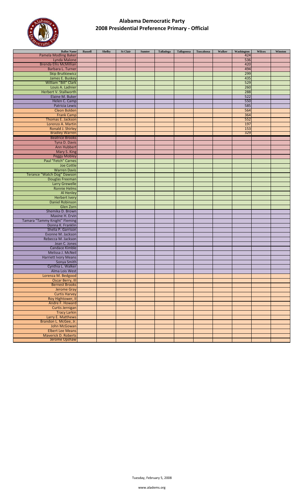

| <b>Ballot Name</b>            | <b>Russell</b> | <b>Shelby</b> | <b>St Clair</b> | <b>Sumter</b> | Talladega | <b>Tallapoosa</b> | <b>Tuscaloosa</b> | Walker | Washington | Wilcox | Winston |
|-------------------------------|----------------|---------------|-----------------|---------------|-----------|-------------------|-------------------|--------|------------|--------|---------|
| Pamela Modling Baker          |                |               |                 |               |           |                   |                   |        | 424        |        |         |
| Lynda Malone                  |                |               |                 |               |           |                   |                   |        | 536        |        |         |
| <b>Brenda Ellis McMillian</b> |                |               |                 |               |           |                   |                   |        | 420        |        |         |
| Barbara L. Turner             |                |               |                 |               |           |                   |                   |        | 494        |        |         |
| <b>Skip Brutkiewicz</b>       |                |               |                 |               |           |                   |                   |        | 299        |        |         |
| James E. Buskey               |                |               |                 |               |           |                   |                   |        | 435        |        |         |
| William "Bill" Clark          |                |               |                 |               |           |                   |                   |        | 529        |        |         |
| Louis A. Ladnier              |                |               |                 |               |           |                   |                   |        | 260        |        |         |
| Herbert V. Stallworth         |                |               |                 |               |           |                   |                   |        | 288        |        |         |
| Elaine M. Buker               |                |               |                 |               |           |                   |                   |        | 522        |        |         |
|                               |                |               |                 |               |           |                   |                   |        |            |        |         |
| Helen C. Camp                 |                |               |                 |               |           |                   |                   |        | 550        |        |         |
| Patricia Lewis                |                |               |                 |               |           |                   |                   |        | 585        |        |         |
| <b>Cleon Bolden</b>           |                |               |                 |               |           |                   |                   |        | 564        |        |         |
| <b>Frank Camp</b>             |                |               |                 |               |           |                   |                   |        | 364        |        |         |
| Thomas E. Jackson             |                |               |                 |               |           |                   |                   |        | 552        |        |         |
| Lorenzo A. Martin             |                |               |                 |               |           |                   |                   |        | 197        |        |         |
| Ronald J. Shirley             |                |               |                 |               |           |                   |                   |        | 153        |        |         |
| <b>Bradley Warren</b>         |                |               |                 |               |           |                   |                   |        | 329        |        |         |
| <b>Beatrice Brooks</b>        |                |               |                 |               |           |                   |                   |        |            |        |         |
| Tyna D. Davis                 |                |               |                 |               |           |                   |                   |        |            |        |         |
| <b>Ann Hubbert</b>            |                |               |                 |               |           |                   |                   |        |            |        |         |
| Mary S. King                  |                |               |                 |               |           |                   |                   |        |            |        |         |
| <b>Peggy Mobley</b>           |                |               |                 |               |           |                   |                   |        |            |        |         |
| Paul "Fetch" Carnes           |                |               |                 |               |           |                   |                   |        |            |        |         |
| Joe Cottle                    |                |               |                 |               |           |                   |                   |        |            |        |         |
| <b>Warren Davis</b>           |                |               |                 |               |           |                   |                   |        |            |        |         |
| Terance "Watch Dog" Dawson    |                |               |                 |               |           |                   |                   |        |            |        |         |
| Douglas Freeman               |                |               |                 |               |           |                   |                   |        |            |        |         |
| <b>Larry Grewelle</b>         |                |               |                 |               |           |                   |                   |        |            |        |         |
| <b>Ronnie Helms</b>           |                |               |                 |               |           |                   |                   |        |            |        |         |
| Al Henley                     |                |               |                 |               |           |                   |                   |        |            |        |         |
| <b>Herbert Ivery</b>          |                |               |                 |               |           |                   |                   |        |            |        |         |
| <b>Daniel Robinson</b>        |                |               |                 |               |           |                   |                   |        |            |        |         |
| Glen Zorn                     |                |               |                 |               |           |                   |                   |        |            |        |         |
| Shemika D. Brown              |                |               |                 |               |           |                   |                   |        |            |        |         |
|                               |                |               |                 |               |           |                   |                   |        |            |        |         |
| Maxine H. Ervin               |                |               |                 |               |           |                   |                   |        |            |        |         |
| Tamara "Tammy Knight" Fleming |                |               |                 |               |           |                   |                   |        |            |        |         |
| Donna K. Franklin             |                |               |                 |               |           |                   |                   |        |            |        |         |
| Shelia P. Garrison            |                |               |                 |               |           |                   |                   |        |            |        |         |
| Evonne M. Jackson             |                |               |                 |               |           |                   |                   |        |            |        |         |
| Rebecca M. Jackson            |                |               |                 |               |           |                   |                   |        |            |        |         |
| Jean C. Jones                 |                |               |                 |               |           |                   |                   |        |            |        |         |
| <b>Candace Kimble</b>         |                |               |                 |               |           |                   |                   |        |            |        |         |
| Melissa J. McNeil             |                |               |                 |               |           |                   |                   |        |            |        |         |
| <b>Harriett Ivory Means</b>   |                |               |                 |               |           |                   |                   |        |            |        |         |
| Sonya Smith                   |                |               |                 |               |           |                   |                   |        |            |        |         |
| Cynthia L. Walker             |                |               |                 |               |           |                   |                   |        |            |        |         |
| Alma Lois West                |                |               |                 |               |           |                   |                   |        |            |        |         |
| Lorenza M. Bedgood            |                |               |                 |               |           |                   |                   |        |            |        |         |
| Oscar Berry, III              |                |               |                 |               |           |                   |                   |        |            |        |         |
| <b>Bernest Brooks</b>         |                |               |                 |               |           |                   |                   |        |            |        |         |
| <b>Jerome Gray</b>            |                |               |                 |               |           |                   |                   |        |            |        |         |
| <b>Curtis Harvey</b>          |                |               |                 |               |           |                   |                   |        |            |        |         |
| Roy Hightower, II             |                |               |                 |               |           |                   |                   |        |            |        |         |
| Andre F. Howard               |                |               |                 |               |           |                   |                   |        |            |        |         |
| <b>Curtis Jernigan</b>        |                |               |                 |               |           |                   |                   |        |            |        |         |
| <b>Tracy Larkin</b>           |                |               |                 |               |           |                   |                   |        |            |        |         |
| Larry E. Matthews             |                |               |                 |               |           |                   |                   |        |            |        |         |
| Brandon L. McGee, Jr.         |                |               |                 |               |           |                   |                   |        |            |        |         |
| John McGowan                  |                |               |                 |               |           |                   |                   |        |            |        |         |
| <b>Elbert Lee Means</b>       |                |               |                 |               |           |                   |                   |        |            |        |         |
| <b>Maverick D. Roberts</b>    |                |               |                 |               |           |                   |                   |        |            |        |         |
| Jerome Upshaw                 |                |               |                 |               |           |                   |                   |        |            |        |         |
|                               |                |               |                 |               |           |                   |                   |        |            |        |         |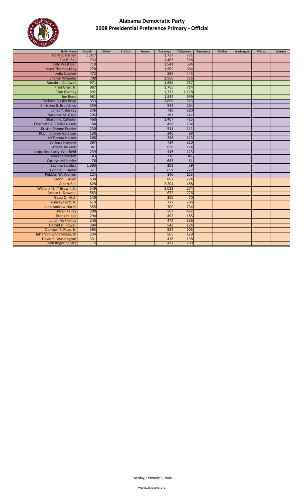

| <b>Ballot Name</b>            | <b>Russell</b> | <b>Shelby</b> | St Clair | <b>Sumter</b> | Talladega | <b>Tallapoosa</b> | <b>Tuscaloosa</b> | Walker | Washington | Wilcox | Winston |
|-------------------------------|----------------|---------------|----------|---------------|-----------|-------------------|-------------------|--------|------------|--------|---------|
| Doris S. Barron               | 1,027          |               |          |               | 1,737     | 731               |                   |        |            |        |         |
| Ella B. Bell                  | 733            |               |          |               | 1,463     | 596               |                   |        |            |        |         |
| <b>Judy West Bell</b>         | 710            |               |          |               | 1,541     | 584               |                   |        |            |        |         |
| <b>Janet Thomas May</b>       | 778            |               |          |               | 1,509     | 664               |                   |        |            |        |         |
| Lydia Satcher                 | 472            |               |          |               | 886       | 443               |                   |        |            |        |         |
| <b>Sharon Wheeler</b>         | 708            |               |          |               | 1,556     | 726               |                   |        |            |        |         |
| Ronald J. Caldwell            | 971            |               |          |               | 1,856     | 737               |                   |        |            |        |         |
| Fred Gray, Jr.                | 987            |               |          |               | 1,765     | 714               |                   |        |            |        |         |
| <b>Tom Radney</b>             | 892            |               |          |               | 1,772     | 1,128             |                   |        |            |        |         |
| <b>Joe Reed</b>               | 961            |               |          |               | 1,832     | 699               |                   |        |            |        |         |
| <b>Barbara Bigsby Boyd</b>    | 553            |               |          |               | 2,696     | 515               |                   |        |            |        |         |
| Christine R. Bradshaw         | 359            |               |          |               | 545       | 264               |                   |        |            |        |         |
| Janet Y. Buskey               | 246            |               |          |               | 710       | 380               |                   |        |            |        |         |
| Suzanne M. Cade               | 205            |               |          |               | 387       | 141               |                   |        |            |        |         |
| Sharon R. Calhoun             | 468            |               |          |               | 1,407     | 413               |                   |        |            |        |         |
| Charlotte A. Clark-Frieson    | 188            |               |          |               | 498       | 234               |                   |        |            |        |         |
| <b>Kristin Dionne Frazier</b> | 230            |               |          |               | 511       | 141               |                   |        |            |        |         |
| Robin Chelsie Garrison        | 138            |               |          |               | 240       | 88                |                   |        |            |        |         |
| Jer'Donna Harper              | 268            |               |          |               | 348       | 113               |                   |        |            |        |         |
| <b>Barbara Howard</b>         | 597            |               |          |               | 724       | 320               |                   |        |            |        |         |
| Arielle Jackson               | 341            |               |          |               | 658       | 174               |                   |        |            |        |         |
| Jacqueline Larry-Whitfield    | 239            |               |          |               | 416       | 123               |                   |        |            |        |         |
| <b>Rebecca Marion</b>         | 143            |               |          |               | 276       | 941               |                   |        |            |        |         |
| Carolyn Millender             | 76             |               |          |               | 643       | 61                |                   |        |            |        |         |
| Sabrina Sumbry                | 1,393          |               |          |               | 208       | 59                |                   |        |            |        |         |
| Connie L. Taylor              | 321            |               |          |               | 691       | 222               |                   |        |            |        |         |
| Pebblin W. Warren             | 124            |               |          |               | 146       | 153               |                   |        |            |        |         |
| Glenn L. Allen                | 638            |               |          |               | 867       | 274               |                   |        |            |        |         |
| <b>Albert Bell</b>            | 628            |               |          |               | 2,204     | 488               |                   |        |            |        |         |
| William "Bill" Brown, Jr.     | 549            |               |          |               | 1,033     | 274               |                   |        |            |        |         |
| Arthur L. Dowdell             | 583            |               |          |               | 672       | 276               |                   |        |            |        |         |
| Gyasi O. Fitch                | 140            |               |          |               | 205       | 70                |                   |        |            |        |         |
| Aubrey Ford, Jr.              | 619            |               |          |               | 727       | 286               |                   |        |            |        |         |
| <b>John Andrew Harris</b>     | 355            |               |          |               | 709       | 734               |                   |        |            |        |         |
| <b>Unzell Kelley</b>          | 208            |               |          |               | 507       | 462               |                   |        |            |        |         |
| Frank H. Lee                  | 294            |               |          |               | 492       | 185               |                   |        |            |        |         |
| <b>Julian McPhillips</b>      | 246            |               |          |               | 474       | 336               |                   |        |            |        |         |
| Harold D. Powell              | 304            |               |          |               | 543       | 124               |                   |        |            |        |         |
| Quinton T. Ross, Jr.          | 395            |               |          |               | 824       | 505               |                   |        |            |        |         |
| Jefferson Underwood, III      | 234            |               |          |               | 565       | 129               |                   |        |            |        |         |
| David B. Washington           | 331            |               |          |               | 438       | 138               |                   |        |            |        |         |
| John Roger Zellars            | 115            |               |          |               | 437       | 209               |                   |        |            |        |         |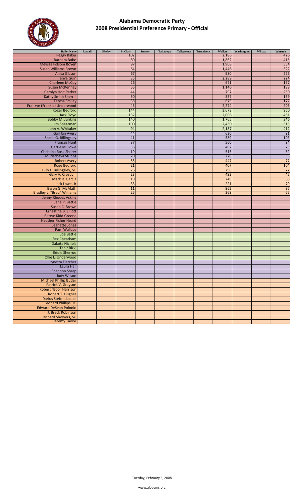

| <b>Ballot Name</b>                | <b>Russell</b> | <b>Shelby</b> | <b>St Clair</b>  | Sumter | Talladega | Tallapoosa | Tuscaloosa | Walker | Washington | <b>Wilcox</b> | Winston                                                                  |
|-----------------------------------|----------------|---------------|------------------|--------|-----------|------------|------------|--------|------------|---------------|--------------------------------------------------------------------------|
| <b>Peggy Baker</b>                |                |               | 102              |        |           |            |            | 2,186  |            |               | 426                                                                      |
| <b>Barbara Bobo</b>               |                |               | 80               |        |           |            |            | 1,862  |            |               | 415                                                                      |
| <b>Melissa Folsom Boyen</b>       |                |               | 97               |        |           |            |            | 1,908  |            |               | 554                                                                      |
| <b>Susan Williams Brown</b>       |                |               | 64               |        |           |            |            | 1,446  |            |               | $\overline{322}$                                                         |
| Anita Gibson                      |                |               | 67               |        |           |            |            | 980    |            |               | 226                                                                      |
| <b>Tanya Guin</b>                 |                |               | $\overline{35}$  |        |           |            |            | 2,289  |            |               | 224                                                                      |
| <b>Charlene McCoy</b>             |                |               | 26               |        |           |            |            | 671    |            |               | 167                                                                      |
| <b>Susan McKenney</b>             |                |               | 55               |        |           |            |            | 1,146  |            |               | 188                                                                      |
| <b>Carolyn Holt Parker</b>        |                |               | 44               |        |           |            |            | 797    |            |               | 230                                                                      |
| Kathy Smith Sherrill              |                |               | 50               |        |           |            |            | 557    |            |               | 169                                                                      |
| <b>Teresa Smiley</b>              |                |               | 38               |        |           |            |            | 675    |            |               | 172                                                                      |
| Frankye (Frankie) Underwood       |                |               | 45               |        |           |            |            | 2,274  |            |               |                                                                          |
| <b>Roger Bedford</b>              |                |               | 144              |        |           |            |            | 3,673  |            |               | $\frac{203}{960}$                                                        |
|                                   |                |               | $\overline{132}$ |        |           |            |            | 2,006  |            |               |                                                                          |
| <b>Jack Floyd</b>                 |                |               |                  |        |           |            |            |        |            |               | $\frac{461}{346}$                                                        |
| <b>Bobby M. Junkins</b>           |                |               | 140              |        |           |            |            | 1,765  |            |               |                                                                          |
| Jim Spearman                      |                |               | 100              |        |           |            |            | 2,430  |            |               | 513                                                                      |
| John A. Whitaker                  |                |               | 94               |        |           |            |            | 2,187  |            |               | 412                                                                      |
| Gail Jan Avery                    |                |               | 44               |        |           |            |            | 630    |            |               | 91                                                                       |
| Sheila G. Billingsley             |                |               | 41               |        |           |            |            | 589    |            |               | 103                                                                      |
| Frances Hunt                      |                |               | 37               |        |           |            |            | 560    |            |               | $\frac{94}{75}$ $\frac{59}{36}$                                          |
| Gertie M. Lowe                    |                |               | 36               |        |           |            |            | 402    |            |               |                                                                          |
| Christina Ross-Sherer             |                |               | 19               |        |           |            |            | 515    |            |               |                                                                          |
| <b>Tourischeva Stubbs</b>         |                |               | 20               |        |           |            |            | 228    |            |               |                                                                          |
| <b>Robert Avery</b>               |                |               | 55               |        |           |            |            | 447    |            |               | $\overline{77}$                                                          |
| <b>Roge Bedford</b>               |                |               | 21               |        |           |            |            | 407    |            |               | 104                                                                      |
| Billy F. Billingsley, Sr.         |                |               | 26               |        |           |            |            | 290    |            |               | 77                                                                       |
| Gary A. Crosby, II                |                |               | 23               |        |           |            |            | 493    |            |               |                                                                          |
| Mark R. Garcia                    |                |               | 19               |        |           |            |            | 249    |            |               | $\begin{array}{r} \n \overline{45} \\  60 \\  \hline\n 70\n \end{array}$ |
| Jack Lowe, Jr                     |                |               | 33               |        |           |            |            | 221    |            |               |                                                                          |
| Byron G. McMath                   |                |               | 11               |        |           |            |            | 962    |            |               | $\overline{36}$                                                          |
| <b>Bradley L. "Brad" Williams</b> |                |               | $\overline{25}$  |        |           |            |            | 269    |            |               | 65                                                                       |
|                                   |                |               |                  |        |           |            |            |        |            |               |                                                                          |
| Jenny Rhodes Askins               |                |               |                  |        |           |            |            |        |            |               |                                                                          |
| Jane P. Battle                    |                |               |                  |        |           |            |            |        |            |               |                                                                          |
| Susan C. Brown                    |                |               |                  |        |           |            |            |        |            |               |                                                                          |
| Ernestine B. Elliott              |                |               |                  |        |           |            |            |        |            |               |                                                                          |
| <b>Bettye Kidd Greene</b>         |                |               |                  |        |           |            |            |        |            |               |                                                                          |
| <b>Heather Fisher Heard</b>       |                |               |                  |        |           |            |            |        |            |               |                                                                          |
| Jeanette Jones                    |                |               |                  |        |           |            |            |        |            |               |                                                                          |
| <b>Pam Wallace</b>                |                |               |                  |        |           |            |            |        |            |               |                                                                          |
| Joe Battle                        |                |               |                  |        |           |            |            |        |            |               |                                                                          |
| <b>Rex Cheatham</b>               |                |               |                  |        |           |            |            |        |            |               |                                                                          |
| <b>Dakota Nichols</b>             |                |               |                  |        |           |            |            |        |            |               |                                                                          |
| <b>Tahir Rizvi</b>                |                |               |                  |        |           |            |            |        |            |               |                                                                          |
| <b>Eddie Sherrod</b>              |                |               |                  |        |           |            |            |        |            |               |                                                                          |
| Ollie L. Underwood                |                |               |                  |        |           |            |            |        |            |               |                                                                          |
| Lynetta Fletcher                  |                |               |                  |        |           |            |            |        |            |               |                                                                          |
| Laura Hall                        |                |               |                  |        |           |            |            |        |            |               |                                                                          |
| Shannon Sharp                     |                |               |                  |        |           |            |            |        |            |               |                                                                          |
| <b>Judy Wilson</b>                |                |               |                  |        |           |            |            |        |            |               |                                                                          |
| <b>Michael Phillip Butler</b>     |                |               |                  |        |           |            |            |        |            |               |                                                                          |
| Patrick V. Grayson                |                |               |                  |        |           |            |            |        |            |               |                                                                          |
| <b>Robert "Bob" Harrison</b>      |                |               |                  |        |           |            |            |        |            |               |                                                                          |
|                                   |                |               |                  |        |           |            |            |        |            |               |                                                                          |
| <b>Robert T. Hughes</b>           |                |               |                  |        |           |            |            |        |            |               |                                                                          |
| <b>Darius Stefon Jacobs</b>       |                |               |                  |        |           |            |            |        |            |               |                                                                          |
| Leonard Phillips, Jr.             |                |               |                  |        |           |            |            |        |            |               |                                                                          |
| <b>Edward DeSean Polonio</b>      |                |               |                  |        |           |            |            |        |            |               |                                                                          |
| J. Breck Robinson                 |                |               |                  |        |           |            |            |        |            |               |                                                                          |
| Richard Showers, Sr.              |                |               |                  |        |           |            |            |        |            |               |                                                                          |
| Jeremy Taylor                     |                |               |                  |        |           |            |            |        |            |               |                                                                          |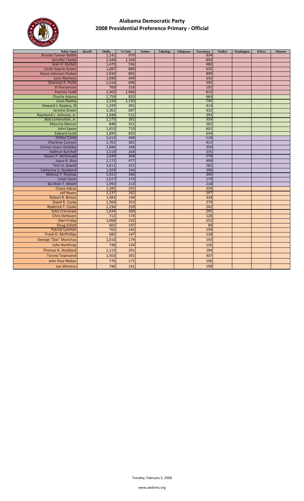

| <b>Ballot Name</b>                            | <b>Russell</b> | Shelby         | <b>St Clair</b> | <b>Sumter</b> | Talladega | <b>Tallapoosa</b> | <b>Tuscaloosa</b> | Walker | Washington | <b>Wilcox</b> | Winston |
|-----------------------------------------------|----------------|----------------|-----------------|---------------|-----------|-------------------|-------------------|--------|------------|---------------|---------|
| <b>Brooke Tanner Battle</b>                   |                | 2,142          | 970             |               |           |                   | 834               |        |            |               |         |
| Jennifer Clarke                               |                | 2,349          | 1,164           |               |           |                   | 893               |        |            |               |         |
| Jean H. Gerber                                |                | 1,470          | 596             |               |           |                   | 480               |        |            |               |         |
| Linda Haynie Green                            |                | 1,687          | 880             |               |           |                   | 635               |        |            |               |         |
| Karen Johnson-Parker                          |                | 1,934          | 891             |               |           |                   | 899               |        |            |               |         |
| <b>Janis Martens</b>                          |                | 1,040          | 449             |               |           |                   | 335               |        |            |               |         |
| Shannon E. Parks                              |                | 1,510          | 690             |               |           |                   | 595               |        |            |               |         |
| Vi Parramore                                  |                | 769            | 318             |               |           |                   | 192               |        |            |               |         |
| <b>Patricia Todd</b>                          |                | 2,302          | 1,066           |               |           |                   | 815               |        |            |               |         |
| <b>Charlie Adams</b>                          |                | 1,759          | 835             |               |           |                   | 664               |        |            |               |         |
| Louis Baxley                                  |                | 2,220          | 1,150<br>491    |               |           |                   | 745               |        |            |               |         |
| Howard J. Bayless, III                        |                | 1,339          | 697             |               |           |                   | 414<br>432        |        |            |               |         |
| Jerome Green                                  |                | 1,361          | 515             |               |           |                   |                   |        |            |               |         |
| Raymond L. Johnson, Jr.                       |                | 1,048<br>1,173 | 392             |               |           |                   | 393<br>359        |        |            |               |         |
| Bob Lichenstein, Jr.<br><b>Maurice Mercer</b> |                | 848            | 321             |               |           |                   | 262               |        |            |               |         |
| <b>John Saxon</b>                             |                | 1,653          | 710             |               |           |                   | 601               |        |            |               |         |
| <b>Edward Scott</b>                           |                | 1,695          | 855             |               |           |                   | 634               |        |            |               |         |
| <b>Holley Camp</b>                            |                | 2,413          | 490             |               |           |                   | 518               |        |            |               |         |
| <b>Charlene Cannon</b>                        |                | 1,701          | 361             |               |           |                   | 415               |        |            |               |         |
| <b>Connie Lewin Goldsby</b>                   |                | 1,686          | 348             |               |           |                   | 350               |        |            |               |         |
| Kathryn Kerchof                               |                | 1,518          | 264             |               |           |                   | 335               |        |            |               |         |
| Raven P. McDonald                             |                | 1,639          | 304             |               |           |                   | 279               |        |            |               |         |
| Joyce R. Rice                                 |                | 2,172          | 477             |               |           |                   | 490               |        |            |               |         |
| Terri A. Sewell                               |                | 1,611          | 321             |               |           |                   | 282               |        |            |               |         |
| Catherine S. Stoddard                         |                | 1,509          | 244             |               |           |                   | 296               |        |            |               |         |
| Melissa Y. Thomas                             |                | 1,411          | 346             |               |           |                   | 345               |        |            |               |         |
| Linda Verin                                   |                | 1,017          | 173             |               |           |                   | 179               |        |            |               |         |
| Ba-Shen T. Welch                              |                | 1,092          | 213             |               |           |                   | 218               |        |            |               |         |
| <b>Chase Adcox</b>                            |                | 1,285          | 255             |               |           |                   | 359               |        |            |               |         |
| <b>Jeff Beans</b>                             |                | 1,137          | 262             |               |           |                   | 297               |        |            |               |         |
| <b>Robert R. Binion</b>                       |                | 1,083          | 194             |               |           |                   | 328               |        |            |               |         |
| David R. Camp                                 |                | 1,569          | 353             |               |           |                   | 279               |        |            |               |         |
| <b>Roderick T. Cooks</b>                      |                | 1,236          | 259             |               |           |                   | 242               |        |            |               |         |
| John Crenshaw                                 |                | 1,634          | 300             |               |           |                   | 295               |        |            |               |         |
| <b>Chris DeHaven</b>                          |                | 712            | 174             |               |           |                   | 126               |        |            |               |         |
| <b>Alan Friday</b>                            |                | 1,068          | 232             |               |           |                   | 252               |        |            |               |         |
| <b>Doug Gillett</b>                           |                | 602            | 107             |               |           |                   | 94                |        |            |               |         |
| Patrick Lynman                                |                | 702            | 143             |               |           |                   | 139               |        |            |               |         |
| Frank D. McPhillips                           |                | 682            | 147             |               |           |                   | 118               |        |            |               |         |
| George "Doc" Munchus                          |                | 1,010          | 174             |               |           |                   | 143               |        |            |               |         |
| John Northrop                                 |                | 748            | 134             |               |           |                   | 126               |        |            |               |         |
| <b>Thomas A. Stoddard</b>                     |                | 1,115          | 201             |               |           |                   | 194               |        |            |               |         |
| <b>Tyrone Townsend</b>                        |                | 1,563          | 301             |               |           |                   | 307               |        |            |               |         |
| John Paul Weber                               |                | 776            | 172             |               |           |                   | 196               |        |            |               |         |
| Lee Winston                                   |                | 796            | 141             |               |           |                   | 199               |        |            |               |         |
|                                               |                |                |                 |               |           |                   |                   |        |            |               |         |